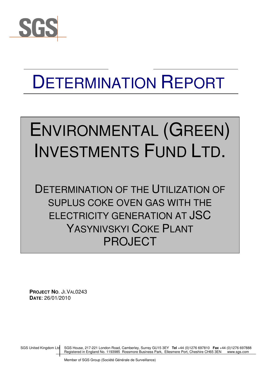

## DETERMINATION REPORT

# ENVIRONMENTAL (GREEN) INVESTMENTS FUND LTD.

DETERMINATION OF THE UTILIZATION OF SUPLUS COKE OVEN GAS WITH THE ELECTRICITY GENERATION AT JSC YASYNIVSKYI COKE PLANT PROJECT

**PROJECT NO**. JI.VAL0243 **DATE**: 26/01/2010

SGS United Kingdom Ltd SGS House, 217-221 London Road, Camberley, Surrey GU15 3EY **Tel** +44 (0)1276 697810 **Fax** +44 (0)1276 697888 Registered in England No. 1193985 Rossmore Business Park, Ellesmere Port, Cheshire CH65 3EN www.sgs.com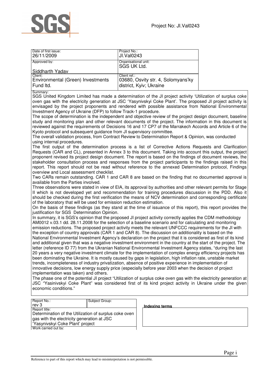

| Date of first issue:              | Project No.:                               |
|-----------------------------------|--------------------------------------------|
| 26/11/2009                        | UI.Val0243                                 |
| Approved by:                      | Organisational unit:<br><b>SGS UK Ltd.</b> |
| Siddharth Yadav                   |                                            |
| Client:                           | Client ref.:                               |
| Environmental (Green) Investments | 03680, Osvity str. 4, Solomyans'ky         |
| Fund Itd.                         | district, Kyiv; Ukraine                    |

Summary:

SGS United Kingdom Limited has made a determination of the JI project activity 'Utilization of surplus coke oven gas with the electricity generation at JSC 'Yasynivskyi Coke Plant'. The proposed JI project activity is envisaged by the project proponents and rendered with possible assistance from National Environmental Investment Agency of Ukraine (DFP) to follow Track-1 procedure.

The scope of determination is the independent and objective review of the project design document, baseline study and monitoring plan and other relevant documents of the project. The information in this document is reviewed against the requirements of Decisions 16 and 17 CP7 of the Marrakech Accords and Article 6 of the Kyoto protocol and subsequent guidance from JI supervisory committee.

The overall validation process, from Contract Review to Determination Report & Opinion, was conducted using internal procedures.

The first output of the determination process is a list of Corrective Actions Requests and Clarification Requests (CAR and CL), presented in Annex 3 to this document. Taking into account this output, the project proponent revised its project design document. The report is based on the findings of document reviews, the stakeholder consultation process and responses from the project participants to the findings raised in this report. This report should not be read without reference to the annexed Determination protocol, Findings overview and Local assessment checklist.

Two CARs remain outstanding. CAR 1 and CAR 8 are based on the finding that no documented approval is available from the Parties involved.

Three observations were stated in view of EIA, its approval by authorities and other relevant permits for Stage II which is not developed yet and recommendation for training procedures discussion in the PDD. Also it should be checked during the first verification the means of NCV determination and corresponding certificate of the laboratory that will be used for emission reduction estimation.

On the basis of these findings (as they stand at the time of issuance of this report), this report provides the justification for SGS Determination Opinion.

In summary, it is SGS's opinion that the proposed JI project activity correctly applies the CDM methodology AM0012 v.03.1 dd. 28.11.2008 for the selection of a baseline scenario and for calculating and monitoring emission reductions. The proposed project activity meets the relevant UNFCCC requirements for the JI with the exception of country approvals (CAR 1 and CAR 8). The discussion on additionality is based on the National Environmental Investment Agency's declaration on the project that it is considered as first of its kind and additional given that was a negative investment environment in the country at the start of the project. The letter (reference ID 77) from the Ukranian National Environmental Investment Agency states, "during the last 20 years a very negative investment climate for the implementation of complex energy efficiency projects has been dominating the Ukraine. It is mostly caused by gaps in legislation, high inflation rate, unstable market trends, incompleteness of industry privatization, absence of positive experience in implementation of innovative decisions, low energy supply price (especially before year 2003 when the decision of project implementation was taken) and others.

The phase one of the potential JI project "Utilization of surplus coke oven gas with the electricity generation at JSC "Yasinivskyi Coke Plant" was considered first of its kind project activity in Ukraine under the given economic conditions."

Report No.: Subject Group: rev 3 **Indexing terms** Report title: Determination of the Utilization of surplus coke oven gas with the electricity generation at JSC 'Yasynivskyi Coke Plant' project Work carried out by:

| Indexing terms |  |  |
|----------------|--|--|
|                |  |  |
|                |  |  |
|                |  |  |
|                |  |  |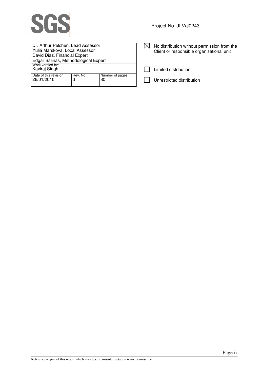

| Dr. Arthur Pelchen, Lead Assessor<br>Yulia Marskova, Local Assessor<br>David Diaz, Financial Expert |                |                        |
|-----------------------------------------------------------------------------------------------------|----------------|------------------------|
| Edgar Salinas, Methodological Expert<br>Work verified by:<br>Kaviraj Singh                          |                |                        |
| Date of this revision:<br>26/01/2010                                                                | Rev. No.:<br>3 | Number of pages:<br>80 |

| $\boxtimes$ No distribution without permission from the |
|---------------------------------------------------------|
| Client or responsible organisational unit               |

 $\Box$  Limited distribution

Unrestricted distribution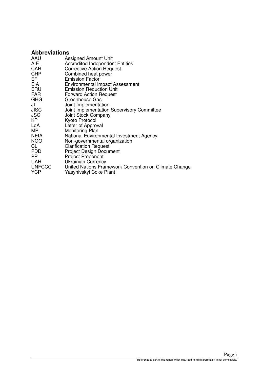## **Abbreviations**

| AAU<br><b>AIE</b> | Assigned Amount Unit<br><b>Accredited Independent Entities</b> |
|-------------------|----------------------------------------------------------------|
| CAR               | <b>Corrective Action Request</b>                               |
| <b>CHP</b>        | Combined heat power                                            |
| EF.               | <b>Emission Factor</b>                                         |
| <b>EIA</b>        | <b>Environmental Impact Assessment</b>                         |
| ERU               | <b>Emission Reduction Unit</b>                                 |
| <b>FAR</b>        | <b>Forward Action Request</b>                                  |
| <b>GHG</b>        | Greenhouse Gas                                                 |
| JI                | Joint Implementation                                           |
| <b>JISC</b>       | Joint Implementation Supervisory Committee                     |
| <b>JSC</b>        | Joint Stock Company                                            |
| KP                | Kyoto Protocol                                                 |
| LoA               | Letter of Approval                                             |
| MP                | Monitoring Plan                                                |
| <b>NEIA</b>       | National Environmental Investment Agency                       |
| <b>NGO</b>        | Non-governmental organization                                  |
| CL<br><b>PDD</b>  | <b>Clarification Request</b><br><b>Project Design Document</b> |
| PP.               | <b>Project Proponent</b>                                       |
| <b>UAH</b>        | <b>Ukrainian Currency</b>                                      |
| <b>UNFCCC</b>     | United Nations Framework Convention on Climate Change          |
| <b>YCP</b>        | Yasynivskyi Coke Plant                                         |
|                   |                                                                |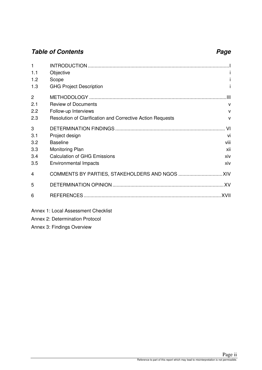## **Table of Contents Page 2018**

| 1              |                                                            |              |
|----------------|------------------------------------------------------------|--------------|
| 1.1            | Objective                                                  |              |
| 1.2            | Scope                                                      |              |
| 1.3            | <b>GHG Project Description</b>                             |              |
| $\overline{2}$ |                                                            | Ш            |
| 2.1            | <b>Review of Documents</b>                                 | $\mathsf{V}$ |
| 2.2            | Follow-up Interviews                                       | $\mathsf{v}$ |
| 2.3            | Resolution of Clarification and Corrective Action Requests | $\mathsf{V}$ |
| 3              |                                                            | VI           |
| 3.1            | Project design                                             | vi           |
| 3.2            | <b>Baseline</b>                                            | viii         |
| 3.3            | Monitoring Plan                                            | xii          |
| 3.4            | <b>Calculation of GHG Emissions</b>                        | xiv          |
| 3.5            | Environmental Impacts                                      | xiv          |
| 4              |                                                            |              |
| 5              |                                                            |              |
| 6              |                                                            |              |
|                | Annex 1: Local Assessment Checklist                        |              |

Annex 2: Determination Protocol

Annex 3: Findings Overview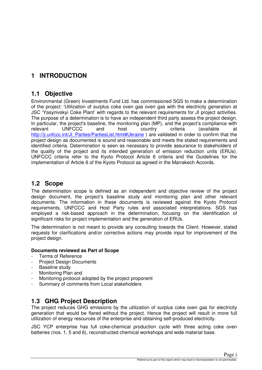## **1 INTRODUCTION**

## **1.1 Objective**

Environmental (Green) Investments Fund Ltd. has commissioned SGS to make a determination of the project: 'Utilization of surplus coke oven gas oven gas with the electricity generation at JSC 'Yasynivskyi Coke Plant' with regards to the relevant requirements for JI project activities. The purpose of a determination is to have an independent third party assess the project design. In particular, the project's baseline, the monitoring plan (MP), and the project's compliance with relevant UNFCCC and host country criteria (available at http://ji.unfccc.int/JI\_Parties/PartiesList.html#Ukraine ) are validated in order to confirm that the project design as documented is sound and reasonable and meets the stated requirements and identified criteria. Determination is seen as necessary to provide assurance to stakeholders of the quality of the project and its intended generation of emission reduction units (ERUs). UNFCCC criteria refer to the Kyoto Protocol Article 6 criteria and the Guidelines for the implementation of Article 6 of the Kyoto Protocol as agreed in the Marrakech Accords.

## **1.2 Scope**

The determination scope is defined as an independent and objective review of the project design document, the project's baseline study and monitoring plan and other relevant documents. The information in these documents is reviewed against the Kyoto Protocol requirements, UNFCCC and Host Party rules and associated interpretations. SGS has employed a risk-based approach in the determination, focusing on the identification of significant risks for project implementation and the generation of ERUs.

The determination is not meant to provide any consulting towards the Client. However, stated requests for clarifications and/or corrective actions may provide input for improvement of the project design.

#### **Documents reviewed as Part of Scope**

- Terms of Reference
- Project Design Documents
- Baseline study
- Monitoring Plan and
- Monitoring protocol adopted by the project proponent
- Summary of comments from Local stakeholders

## **1.3 GHG Project Description**

The project reduces GHG emissions by the utilization of surplus coke oven gas for electricity generation that would be flared without the project. Hence the project will result in more full utilization of energy resources of the enterprise and obtaining self-produced electricity.

JSC YСР enterprise has full coke-chemical production cycle with three acting coke oven batteries (nos. 1, 5 and 6), reconstructed chemical workshops and wide material base.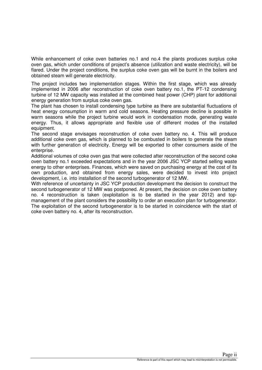While enhancement of coke oven batteries no.1 and no.4 the plants produces surplus coke oven gas, which under conditions of project's absence (utilization and waste electricity), will be flared. Under the project conditions, the surplus coke oven gas will be burnt in the boilers and obtained steam will generate electricity.

The project includes two implementation stages. Within the first stage, which was already implemented in 2006 after reconstruction of coke oven battery no.1, the PT-12 condensing turbine of 12 MW capacity was installed at the combined heat power (CHP) plant for additional energy generation from surplus coke oven gas.

The plant has chosen to install condensing type turbine as there are substantial fluctuations of heat energy consumption in warm and cold seasons. Heating pressure decline is possible in warm seasons while the project turbine would work in condensation mode, generating waste energy. Thus, it allows appropriate and flexible use of different modes of the installed equipment.

The second stage envisages reconstruction of coke oven battery no. 4. This will produce additional coke oven gas, which is planned to be combusted in boilers to generate the steam with further generation of electricity. Energy will be exported to other consumers aside of the enterprise.

Additional volumes of coke oven gas that were collected after reconstruction of the second coke oven battery no.1 exceeded expectations and in the year 2006 JSC YСР started selling waste energy to other enterprises. Finances, which were saved on purchasing energy at the cost of its own production, and obtained from energy sales, were decided to invest into project development, i.e. into installation of the second turbogenerator of 12 MW.

With reference of uncertainty in JSC YСР production development the decision to construct the second turbogenerator of 12 MW was postponed. At present, the decision on coke oven battery no. 4 reconstruction is taken (exploitation is to be started in the year 2012) and topmanagement of the plant considers the possibility to order an execution plan for turbogenerator. The exploitation of the second turbogenerator is to be started in coincidence with the start of coke oven battery no. 4, after its reconstruction.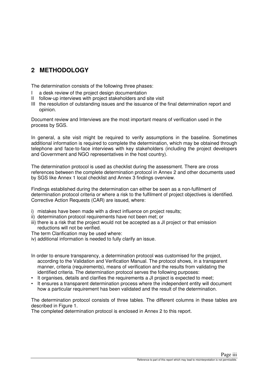## **2 METHODOLOGY**

The determination consists of the following three phases:

- I a desk review of the project design documentation
- II follow-up interviews with project stakeholders and site visit
- III the resolution of outstanding issues and the issuance of the final determination report and opinion.

Document review and Interviews are the most important means of verification used in the process by SGS.

In general, a site visit might be required to verify assumptions in the baseline. Sometimes additional information is required to complete the determination, which may be obtained through telephone and face-to-face interviews with key stakeholders (including the project developers and Government and NGO representatives in the host country).

The determination protocol is used as checklist during the assessment. There are cross references between the complete determination protocol in Annex 2 and other documents used by SGS like Annex 1 local checklist and Annex 3 findings overview.

Findings established during the determination can either be seen as a non-fulfilment of determination protocol criteria or where a risk to the fulfilment of project objectives is identified. Corrective Action Requests (CAR) are issued, where:

- i) mistakes have been made with a direct influence on project results;
- ii) determination protocol requirements have not been met; or
- iii) there is a risk that the project would not be accepted as a JI project or that emission reductions will not be verified.

The term Clarification may be used where:

iv) additional information is needed to fully clarify an issue.

In order to ensure transparency, a determination protocol was customised for the project, according to the Validation and Verification Manual. The protocol shows, in a transparent manner, criteria (requirements), means of verification and the results from validating the identified criteria. The determination protocol serves the following purposes:

- It organises, details and clarifies the requirements a JI project is expected to meet;
- It ensures a transparent determination process where the independent entity will document how a particular requirement has been validated and the result of the determination.

The determination protocol consists of three tables. The different columns in these tables are described in Figure 1.

The completed determination protocol is enclosed in Annex 2 to this report.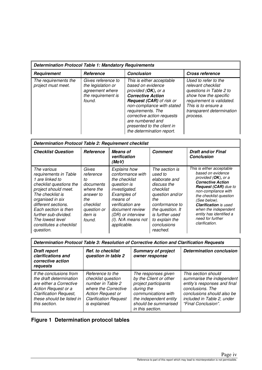| <b>Determination Protocol Table 1: Mandatory Requirements</b> |                                                                                             |                                                                                                                                                                                                                                                                                                         |                                                                                                                                                                                             |
|---------------------------------------------------------------|---------------------------------------------------------------------------------------------|---------------------------------------------------------------------------------------------------------------------------------------------------------------------------------------------------------------------------------------------------------------------------------------------------------|---------------------------------------------------------------------------------------------------------------------------------------------------------------------------------------------|
| <b>Requirement</b>                                            | <b>Reference</b>                                                                            | <b>Conclusion</b>                                                                                                                                                                                                                                                                                       | <b>Cross reference</b>                                                                                                                                                                      |
| The requirements the<br>project must meet.                    | Gives reference to<br>the legislation or<br>agreement where<br>the requirement is<br>found. | This is either acceptable<br>based on evidence<br>provided $(OK)$ , or a<br><b>Corrective Action</b><br><b>Request (CAR)</b> of risk or<br>non-compliance with stated<br>requirements. The<br>corrective action requests<br>are numbered and<br>presented to the client in<br>the determination report. | Used to refer to the<br>relevant checklist<br>questions in Table 2 to<br>show how the specific<br>requirement is validated.<br>This is to ensure a<br>transparent determination<br>process. |

| <b>Determination Protocol Table 2: Requirement checklist</b>                                                                                                                                                                                                                          |                                                                                                                                |                                                                                                                                                                                                                         |                                                                                                                                                                                                        |                                                                                                                                                                                                                                                                                                                            |
|---------------------------------------------------------------------------------------------------------------------------------------------------------------------------------------------------------------------------------------------------------------------------------------|--------------------------------------------------------------------------------------------------------------------------------|-------------------------------------------------------------------------------------------------------------------------------------------------------------------------------------------------------------------------|--------------------------------------------------------------------------------------------------------------------------------------------------------------------------------------------------------|----------------------------------------------------------------------------------------------------------------------------------------------------------------------------------------------------------------------------------------------------------------------------------------------------------------------------|
| <b>Checklist Question</b>                                                                                                                                                                                                                                                             | <b>Reference</b>                                                                                                               | <b>Means of</b><br>verification<br>(MoV)                                                                                                                                                                                | <b>Comment</b>                                                                                                                                                                                         | <b>Draft and/or Final</b><br><b>Conclusion</b>                                                                                                                                                                                                                                                                             |
| The various<br>requirements in Table<br>1 are linked to<br>checklist questions the<br>project should meet.<br>The checklist is<br>organised in six<br>different sections.<br>Each section is then<br>further sub-divided.<br>The lowest level<br>constitutes a checklist<br>question. | Gives<br>reference<br>tο<br>documents<br>where the<br>answer to<br>the<br>checklist<br>question or<br><i>item is</i><br>found. | <b>Explains how</b><br>conformance with<br>the checklist<br>question is<br>investigated.<br>Examples of<br>means of<br>verification are<br>document review<br>(DR) or interview<br>$(1)$ . N/A means not<br>applicable. | The section is<br>used to<br>elaborate and<br>discuss the<br>checklist<br>question and/or<br>the<br>conformance to<br>the question. It<br>is further used<br>to explain the<br>conclusions<br>reached. | This is either acceptable<br>based on evidence<br>provided (OK), or a<br><b>Corrective Action</b><br><b>Request (CAR)</b> due to<br>non-compliance with<br>the checklist question<br>(See below).<br><b>Clarification</b> is used<br>when the independent<br>entity has identified a<br>need for further<br>clarification. |

| Determination Protocol Table 3: Resolution of Corrective Action and Clarification Requests                                                                                          |                                                                                                                                                                  |                                                                                                                                                                                  |                                                                                                                                                                                         |
|-------------------------------------------------------------------------------------------------------------------------------------------------------------------------------------|------------------------------------------------------------------------------------------------------------------------------------------------------------------|----------------------------------------------------------------------------------------------------------------------------------------------------------------------------------|-----------------------------------------------------------------------------------------------------------------------------------------------------------------------------------------|
| <b>Draft report</b><br>clarifications and<br>corrective action<br>requests                                                                                                          | <b>Ref. to checklist</b><br>question in table 2                                                                                                                  | <b>Summary of project</b><br>owner response                                                                                                                                      | <b>Determination conclusion</b>                                                                                                                                                         |
| If the conclusions from<br>the draft determination<br>are either a Corrective<br>Action Request or a<br><b>Clarification Request,</b><br>these should be listed in<br>this section. | Reference to the<br>checklist question<br>number in Table 2<br>where the Corrective<br><b>Action Request or</b><br><b>Clarification Request</b><br>is explained. | The responses given<br>by the Client or other<br>project participants<br>during the<br>communications with<br>the independent entity<br>should be summarised<br>in this section. | This section should<br>summarise the independent<br>entity's responses and final<br>conclusions. The<br>conclusions should also be<br>included in Table 2, under<br>"Final Conclusion". |

## **Figure 1 Determination protocol tables**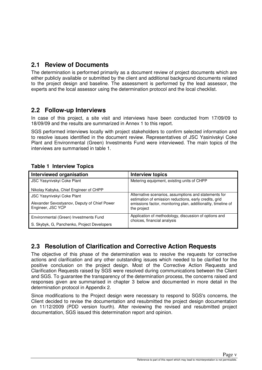## **2.1 Review of Documents**

The determination is performed primarily as a document review of project documents which are either publicly available or submitted by the client and additional background documents related to the project design and baseline. The assessment is performed by the lead assessor, the experts and the local assessor using the determination protocol and the local checklist.

## **2.2 Follow-up Interviews**

In case of this project, a site visit and interviews have been conducted from 17/09/09 to 18/09/09 and the results are summarized in Annex 1 to this report.

SGS performed interviews locally with project stakeholders to confirm selected information and to resolve issues identified in the document review. Representatives of JSC Yasinivskyi Coke Plant and Environmental (Green) Investments Fund were interviewed. The main topics of the interviews are summarised in table 1.

### **Table 1 Interview Topics**

| Interviewed organisation                                          | <b>Interview topics</b>                                                                                         |
|-------------------------------------------------------------------|-----------------------------------------------------------------------------------------------------------------|
| JSC Yasynivskyi Coke Plant                                        | Metering equipment, existing units of CHPP                                                                      |
| Nikolay Kabyka, Chief Engineer of CHPP                            |                                                                                                                 |
| JSC Yasynivskyi Coke Plant                                        | Alternative scenarios, assumptions and statements for<br>estimation of emission reductions, early credits, grid |
| Alexander Sevostyanov, Deputy of Chief Power<br>Engineer, JSC YCP | emissions factor, monitoring plan, additionality, timeline of<br>the project                                    |
| Environmental (Green) Investments Fund                            | Application of methodology, discussion of options and<br>choices, financial analysis                            |
| S. Skybyk, G, Panchenko, Project Developers                       |                                                                                                                 |

## **2.3 Resolution of Clarification and Corrective Action Requests**

The objective of this phase of the determination was to resolve the requests for corrective actions and clarification and any other outstanding issues which needed to be clarified for the positive conclusion on the project design. Most of the Corrective Action Requests and Clarification Requests raised by SGS were resolved during communications between the Client and SGS. To guarantee the transparency of the determination process, the concerns raised and responses given are summarised in chapter 3 below and documented in more detail in the determination protocol in Appendix 2.

Since modifications to the Project design were necessary to respond to SGS's concerns, the Client decided to revise the documentation and resubmitted the project design documentation on 11/12/2009 (PDD version fourth). After reviewing the revised and resubmitted project documentation, SGS issued this determination report and opinion.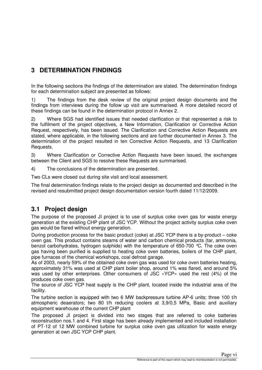## **3 DETERMINATION FINDINGS**

In the following sections the findings of the determination are stated. The determination findings for each determination subject are presented as follows:

1) The findings from the desk review of the original project design documents and the findings from interviews during the follow up visit are summarised. A more detailed record of these findings can be found in the determination protocol in Annex 2.

2) Where SGS had identified issues that needed clarification or that represented a risk to the fulfilment of the project objectives, a New Information, Clarification or Corrective Action Request, respectively, has been issued. The Clarification and Corrective Action Requests are stated, where applicable, in the following sections and are further documented in Annex 3. The determination of the project resulted in ten Corrective Action Requests, and 13 Clarification Requests.

3) Where Clarification or Corrective Action Requests have been issued, the exchanges between the Client and SGS to resolve these Requests are summarised.

4) The conclusions of the determination are presented.

Two CLs were closed out during site visit and local assessment.

The final determination findings relate to the project design as documented and described in the revised and resubmitted project design documentation version fourth dated 11/12/2009.

## **3.1 Project design**

The purpose of the proposed JI project is to use of surplus coke oven gas for waste energy generation at the existing CHP plant of JSC YCP. Without the project activity surplus coke oven gas would be flared without energy generation.

During production process for the basic product (coke) at JSC YСР there is a by-product – coke oven gas. This product contains steams of water and carbon chemical products (tar, ammonia, benzol carbohydrates, hydrogen sulphide) with the temperature of 650-700 °С. The coke oven gas having been purified is supplied to heating coke oven batteries, boilers of the CHP plant, pipe furnaces of the chemical workshops, coal defrost garage.

As of 2003, nearly 59% of the obtained coke oven gas was used for coke oven batteries heating, approximately 31% was used at CHP plant boiler shop, around 1% was flared, and around 5% was used by other enterprises. Other consumers of JSC «YСР» used the rest (4%) of the produces coke oven gas.

The source of JSC YСР heat supply is the CHP plant, located inside the industrial area of the facility.

The turbine section is equipped with two 6 MW backpressure turbine AP-6 units; three 100 t/h atmospheric deaerators; two 80 t/h reducing coolers at 3,9/0,5 MPa, Basic and auxiliary equipment warehouse of the current CHP plant

The proposed JI project is divided into two stages that are referred to coke batteries reconstruction nos.1 and 4. First stage has been already implemented and included installation of PT-12 of 12 MW combined turbine for surplus coke oven gas utilization for waste energy generation at own JSC YCP CHP plant.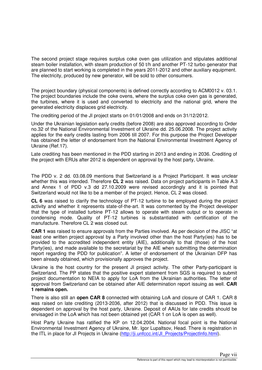The second project stage requires surplus coke oven gas utilization and stipulates additional steam boiler installation, with steam production of 50 t/h and another PT-12 turbo generator that are planned to start working is completed in the years 2011-2012 and other auxiliary equipment. The electricity, produced by new generator, will be sold to other consumers.

The project boundary (physical components) is defined correctly according to ACM0012 v. 03.1. The project boundaries include the coke ovens, where the surplus coke oven gas is generated, the turbines, where it is used and converted to electricity and the national grid, where the generated electricity displaces grid electricity.

The crediting period of the JI project starts on 01/01/2008 and ends on 31/12/2012.

Under the Ukrainian legislation early credits (before 2008) are also approved according to Order no.32 of the National Environmental Investment of Ukraine dd. 25.06.2008. The project activity applies for the early credits lasting from 2006 till 2007. For this purpose the Project Developer has obtained the letter of endorsement from the National Environmental Investment Agency of Ukraine (Ref.17).

Late crediting has been mentioned in the PDD starting in 2013 and ending in 2036. Crediting of the project with ERUs after 2012 is dependent on approval by the host party, Ukraine.

The PDD v. 2 dd. 03.08.09 mentions that Switzerland is a Project Participant. It was unclear whether this was intended. Therefore **CL 2** was raised. Data on project participants in Table A.3 and Annex 1 of PDD v.3 dd 27.10.2009 were revised accordingly and it is pointed that Switzerland would not like to be a member of the project. Hence, CL 2 was closed.

**CL 6** was raised to clarify the technology of PT-12 turbine to be employed during the project activity and whether it represents state-of-the-art. It was commented by the Project developer that the type of installed turbine PT-12 allows to operate with steam output or to operate in condensing mode. Quality of PT-12 turbines is substantiated with certification of the manufacture. Therefore CL 2 was closed out.

**CAR 1** was raised to ensure approvals from the Parties involved. As per decision of the JISC "at least one written project approval by a Party involved other than the host Party(ies) has to be provided to the accredited independent entity (AIE), additionally to that (those) of the host Party(ies), and made available to the secretariat by the AIE when submitting the determination report regarding the PDD for publication". A letter of endorsement of the Ukrainian DFP has been already obtained, which provisionally approves the project.

Ukraine is the host country for the present JI project activity. The other Party-participant is Switzerland. The PP states that the positive expert statement from SGS is required to submit project documentation to NEIA to apply for LoA from the Ukrainian authorities. The letter of approval from Switzerland can be obtained after AIE determination report issuing as well. **CAR 1 remains open.** 

There is also still an **open CAR 8** connected with obtaining LoA and closure of CAR 1. CAR 8 was raised on late crediting (2013-2036, after 2012) that is discussed in PDD. This issue is dependent on approval by the host party, Ukraine. Deposit of AAUs for late credits should be envisaged in the LoA which has not been obtained yet (CAR 1 on LoA is open as well).

Host Party Ukraine has ratified the KP on 12.04.2004. National focal point is the National Environmental Investment Agency of Ukraine, Mr. Igor Lupaltsov, Head. There is registration in the ITL in place for JI Projects in Ukraine (http://ji.unfccc.int/JI\_Projects/ProjectInfo.html).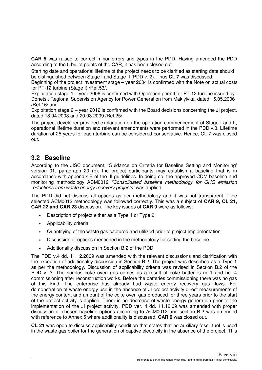**CAR 5** was raised to correct minor errors and typos in the PDD. Having amended the PDD according to the 5 bullet points of the CAR, it has been closed out.

Starting date and operational lifetime of the project needs to be clarified as starting date should be distinguished between Stage I and Stage II (PDD v. 2). Thus **CL 7** was discussed:

Beginning of the project investment stage – year 2004 is confirmed with the Note on actual costs for PT-12 turbine (Stage I) /Ref.53/,

Exploitation stage 1 – year 2006 is confirmed with Operation permit for PT-12 turbine issued by Donetsk Regional Supervision Agency for Power Generation from Makiyivka, dated 15.05.2006 /Ref.16/ and

Exploitation stage 2 – year 2012 is confirmed with the Board decisions concerning the JI project, dated 18.04.2003 and 20.03.2009 /Ref.25/.

The project developer provided explanation on the operation commencement of Stage I and II, operational lifetime duration and relevant amendments were performed in the PDD v.3. Lifetime duration of 25 years for each turbine can be considered conservative. Hence, CL 7 was closed out.

## **3.2 Baseline**

According to the JISC document; 'Guidance on Criteria for Baseline Setting and Monitoring' version 01, paragraph 20 (b), the project participants may establish a baseline that is in accordance with appendix B of the JI guidelines. In doing so, the approved CDM baseline and monitoring methodology ACM0012 "Consolidated baseline methodology for GHG emission reductions from waste energy recovery projects" was applied.

The PDD did not discuss all options as per methodology and it was not transparent if the selected ACM0012 methodology was followed correctly. This was a subject of **CAR 9, CL 21, CAR 22 and CAR 23** discussion. The key issues of **CAR 9** were as follows:

- Description of project either as a Type 1 or Type 2
- Applicability criteria
- Quantifying of the waste gas captured and utilized prior to project implementation
- Discussion of options mentioned in the methodology for setting the baseline
- Additionality discussion in Section B.2 of the PDD

The PDD v.4 dd. 11.12.2009 was amended with the relevant discussions and clarification with the exception of additionality discussion in Section B.2. The project was described as a Type 1 as per the methodology. Discussion of applicability criteria was revised in Section B.2 of the PDD v. 3. The surplus coke oven gas comes as a result of coke batteries no.1 and no. 4 commissioning after reconstruction works. Before the batteries commissioning there was no gas of this kind. The enterprise has already had waste energy recovery gas flows. For demonstration of waste energy use in the absence of JI project activity direct measurements of the energy content and amount of the coke oven gas produced for three years prior to the start of the project activity is applied. There is no decrease of waste energy generation prior to the implementation of the JI project activity. PDD ver. 4 dd. 11.12.09 was amended with proper discussion of chosen baseline options according to ACM0012 and section B.2 was amended with reference to Annex 5 where additionality is discussed. **CAR 9** was closed out.

**CL 21** was open to discuss applicability condition that states that no auxiliary fossil fuel is used in the waste gas boiler for the generation of captive electricity in the absence of the project. This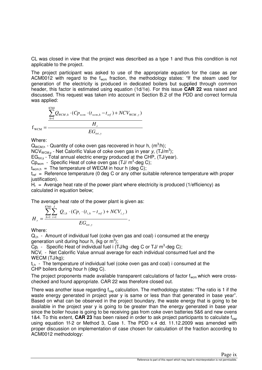CL was closed in view that the project was described as a type 1 and thus this condition is not applicable to the project.

The project participant was asked to use of the appropriate equation for the case as per ACM0012 with regard to the  $f_{\text{wcm}}$  fraction, the methodology states: "If the steam used for generation of the electricity is produced in dedicated boilers but supplied through common header, this factor is estimated using equation (1d/1e). For this issue **CAR 22** was raised and discussed. This request was taken into account in Section B.2 of the PDD and correct formula was applied:

$$
f_{\text{WCM}} = \frac{\sum_{h=1}^{8760} Q_{\text{WCM},h} \cdot (C p_{\text{wcm}} \cdot (t_{\text{wcm},h} - t_{\text{ref}}) + N C V_{\text{WCM},y})}{H_r}
$$

Where:

 $Q_{WCM,h}$  - Quantity of coke oven gas recovered in hour h,  $(m^3/h)$ ;

NCV<sub>WCM,y</sub> - Net Calorific Value of coke oven gas in year y,  $(TJ/m^3)$ ;

 $EG_{tot, v}$  - Total annual electric energy produced at the CHP, (TJ/year).

 $Cp_{\text{wcm}}$  - Specific Heat of coke oven gas (TJ/  $m^3$ -deg C);

 $t_{\text{wcm h}}$  = The temperature of WECM in hour h (deg C);

 $t_{ref}$  = Reference temperature (0 deg C or any other suitable reference temperature with proper justification).

 $H<sub>r</sub>$  = Average heat rate of the power plant where electricity is produced (1/efficiency) as calculated in equation below;

The average heat rate of the power plant is given as:

$$
H_r = \frac{\sum_{h=1}^{8760} \sum_{i=1}^{I} Q_{i,h} \cdot (C p_i \cdot (t_{i,h} - t_{ref}) + N C V_{i,y})}{EG_{tot,y}},
$$

Where:

 $Q<sub>ih</sub>$  - Amount of individual fuel (coke oven gas and coal) i consumed at the energy generation unit during hour h, (kg or  $m^3$ );

 $\overline{C}p_i$  - Specific Heat of individual fuel i (TJ/kg -deg C or TJ/  $m^3$ -deg C);

NCV<sub>i</sub> - Net Calorific Value annual average for each individual consumed fuel and the WECM (TJ/kg);

 $t_{\text{th}}$  - The temperature of individual fuel (coke oven gas and coal) i consumed at the CHP boilers during hour h (deg C).

The project proponents made available transparent calculations of factor  $f_{\text{wcm}}$  which were crosschecked and found appropriate. CAR 22 was therefore closed out.

There was another issue regarding  $f_{cap}$  calculation. The methodology states: "The ratio is 1 if the waste energy generated in project year y is same or less than that generated in base year". Based on what can be observed in the project boundary, the waste energy that is going to be available in the project year y is going to be greater than the energy generated in base year since the boiler house is going to be receiving gas from coke oven batteries 5&6 and new ovens 1&4. To this extent, **CAR 23** has been raised in order to ask project participants to calculate  $f_{cap}$ using equation 1f-2 or Method 3, Case 1. The PDD v.4 dd. 11.12.2009 was amended with proper discussion on implementation of case chosen for calculation of the fraction according to ACM0012 methodology: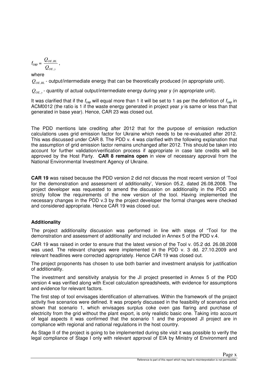$$
f_{cap} = \frac{Q_{OE, BL}}{Q_{OE, y}}\,,
$$

where

 $Q_{OF,RI}$  - output/intermediate energy that can be theoretically produced (in appropriate unit).

 $Q_{_{OE, y}}$  aquantity of actual output/intermediate energy during year y (in appropriate unit).

It was clarified that if the  $f_{cap}$  will equal more than 1 it will be set to 1 as per the definition of  $f_{cap}$  in ACM0012 (the ratio is 1 if the waste energy generated in project year  $\gamma$  is same or less than that generated in base year). Hence, CAR 23 was closed out.

The PDD mentions late crediting after 2012 that for the purpose of emission reduction calculations uses grid emission factor for Ukraine which needs to be re-evaluated after 2012. This was discussed under CAR 8. The PDD v. 4 was clarified with the following explanation that the assumption of grid emission factor remains unchanged after 2012. This should be taken into account for further validation/verification process if appropriate in case late credits will be approved by the Host Party. **CAR 8 remains open** in view of necessary approval from the National Environmental Investment Agency of Ukraine.

**CAR 19** was raised because the PDD version 2 did not discuss the most recent version of 'Tool for the demonstration and assessment of additionality', Version 05.2, dated 26.08.2008. The project developer was requested to amend the discussion on additionality in the PDD and strictly follow the requirements of the new version of the tool. Having implemented the necessary changes in the PDD v.3 by the project developer the formal changes were checked and considered appropriate. Hence CAR 19 was closed out.

#### **Additionality**

The project additionality discussion was performed in line with steps of "Tool for the demonstration and assessment of additionality' and included in Annex 5 of the PDD v.4.

CAR 19 was raised in order to ensure that the latest version of the Tool v. 05.2 dd. 26.08.2008 was used. The relevant changes were implemented in the PDD v. 3 dd. 27.10.2009 and relevant headlines were corrected appropriately. Hence CAR 19 was closed out.

The project proponents has chosen to use both barrier and investment analysis for justification of additionality.

The investment and sensitivity analysis for the JI project presented in Annex 5 of the PDD version 4 was verified along with Excel calculation spreadsheets, with evidence for assumptions and evidence for relevant factors.

The first step of tool envisages identification of alternatives. Within the framework of the project activity five scenarios were defined. It was properly discussed in the feasibility of scenarios and shown that scenario 1, which envisages surplus coke oven gas flaring and purchase of electricity from the grid without the plant export, is only realistic basic one. Taking into account of legal aspects it was confirmed that the scenario 1 and the proposed JI project are in compliance with regional and national regulations in the host country.

As Stage II of the project is going to be implemented during site visit it was possible to verify the legal compliance of Stage I only with relevant approval of EIA by Ministry of Environment and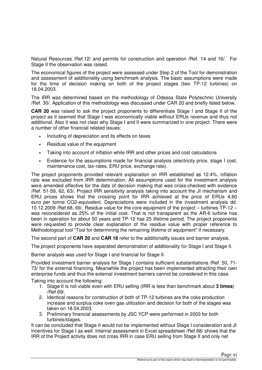Natural Resources /Ref.12/ and permits for construction and operation /Ref. 14 and 16/. For Stage II the observation was raised.

The economical figures of the project were assessed under Step 2 of the Tool for demonstration and assessment of additionality using benchmark analysis. The basic assumptions were made for the time of decision making on both of the project stages (two TP-12 turbines) on 18.04.2003.

The IRR was determined based on the methodology of Odessa State Polytechnic University /Ref. 30/. Application of this methodology was discussed under CAR 20 and briefly listed below.

**CAR 20** was raised to ask the project proponents to differentiate Stage I and Stage II of the project as it seemed that Stage I was economically viable without ERUs revenue and thus not additional. Also it was not clear why Stage I and II were summarized in one project. There were a number of other financial related issues:

- Including of depreciation and its effects on taxes
- Residual value of the equipment
- Taking into account of inflation while IRR and other prices and cost calculations
- Evidence for the assumptions made for financial analysis (electricity price, stage I cost, maintenance cost, tax-rates, ERU price, exchange rate).

The project proponents provided relevant explanation on IRR established as 12.4%, inflation rate was excluded from IRR determination. All assumptions used for the investment analysis were amended effective for the date of decision making that was cross-checked with evidence /Ref. 51-59, 62, 63/. Project IRR sensitivity analysis taking into account the JI mechanism and ERU prices shows that the crossing point for IRR achieved at the price of ERUs 4,60 euro per tonne CO2-equivalent. Depreciations were included in the investment analysis dd. 10.12.2009 /Ref.68, 69/. Residue value for the core equipment of the project – turbines TP-12 – was reconsidered as 25% of the initial cost. That is not transparent as the AR-6 turbine has been in operation for about 50 years and TP-12 has 25 lifetime period. The project proponents were requested to provide clear explanation of the residue value with proper reference to Methodological tool "Tool for determining the remaining lifetime of equipment" if necessary.

The second part of **CAR 20** and **CAR 18** refer to the additionality issues and barrier analysis.

The project proponents have separated demonstration of additionality for Stage I and Stage II.

Barrier analysis was used for Stage I and financial for Stage II.

Provided investment barrier analysis for Stage I contains sufficient substantiations /Ref. 50, 71- 73/ for the external financing. Meanwhile the project has been implemented attracting their own enterprise funds and thus the external investment barriers cannot be considered in this case.

Taking into account the following:

- 1. Stage II is not viable even with ERU selling (IRR is less than benchmark about **3 times**) /Ref.69/.
- 2. Identical reasons for construction of both of TP-12 turbines are the coke production increase and surplus coke oven gas utilization and decision for both of the stages was taken on 18.04.2003.
- 3. Preliminary financial assessments by JSC YCP were performed in 2003 for both turbines/stages.

It can be concluded that Stage II would not be implemented without Stage I consideration and JI incentives for Stage I as well. Internal assessment in Excel spreadsheet /Ref.68/ shows that the IRR of the Project activity does not cross IRR in case ERU selling from Stage II and only net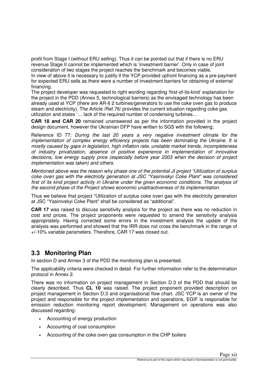profit from Stage I (without ERU selling). Thus it can be pointed out that if there is no ERU revenue Stage II cannot be implemented which is 'investment barrier'. Only in case of joint consideration of two stages the project reaches the benchmark and becomes viable.

In view of above it is necessary to justify if the YCP provided upfront financing as a pre-payment for expected ERU sells as there were a number of investment barriers for obtaining of external financing.

The project developer was requested to right wording regarding 'first-of-its-kind' explanation for the project in the PDD (Annex 5, technological barriers) as the envisaged technology has been already used at YCP (there are AR-6 2 turbines/generators to use the coke oven gas to produce steam and electricity). The Article /Ref.76/ provides the current situation regarding coke gas utilization and states '… lack of the required number of condensing turbines…

**CAR 18 and CAR 20** remained unanswered as per the information provided in the project design document, however the Ukrainian DFP have written to SGS with the following;

Reference ID 77: During the last 20 years a very negative investment climate for the implementation of complex energy efficiency projects has been dominating the Ukraine. It is mostly caused by gaps in legislation, high inflation rate, unstable market trends, incompleteness of industry privatization, absence of positive experience in implementation of innovative decisions, low energy supply price (especially before year 2003 when the decision of project implementation was taken) and others.

Mentioned above was the reason why phase one of the potential JI project "Utilization of surplus coke oven gas with the electricity generation at JSC "Yasinivskyi Coke Plant" was considered first of its kind project activity in Ukraine under the given economic conditions. The analysis of the second phase of the Project shows economic unattractiveness of its implementation.

Thus we believe that project "Utilization of surplus coke oven gas with the electricity generation at JSC "Yasinivskyi Coke Plant" shall be considered as "additional".

**CAR 17** was raised to discuss sensitivity analysis for the project as there was no reduction in cost and prices. The project proponents were requested to amend the sensitivity analysis appropriately. Having corrected some errors in the investment analysis the update of the analysis was performed and showed that the IRR does not cross the benchmark in the range of +/-10% variable parameters. Therefore, CAR 17 was closed out.

## **3.3 Monitoring Plan**

In section D and Annex 3 of the PDD the monitoring plan is presented.

The applicability criteria were checked in detail. For further information refer to the determination protocol in Annex 2.

There was no information on project management in Section D.3 of the PDD that should be clearly described. Thus **CL 10** was raised. The project proponent provided description on project management in Section D.3 and organisational flow chart. JSC YCP is an owner of the project and responsible for the project implementation and operations. EGIF is responsible for emission reduction monitoring report development. Management on operations was also discussed regarding:

- Accounting of energy production
- Accounting of coal consumption
- Accounting of the coke oven gas consumption in the CHP boilers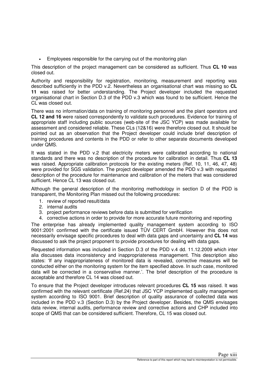• Employees responsible for the carrying out of the monitoring plan

This description of the project management can be considered as sufficient. Thus **CL 10** was closed out.

Authority and responsibility for registration, monitoring, measurement and reporting was described sufficiently in the PDD v.2. Nevertheless an organisational chart was missing so **CL 11** was raised for better understanding. The Project developer included the requested organisational chart in Section D.3 of the PDD v.3 which was found to be sufficient. Hence the CL was closed out.

There was no information/data on training of monitoring personnel and the plant operators and **CL 12 and 16** were raised correspondently to validate such procedures. Evidence for training of appropriate staff including public sources (web-site of the JSC YCP) was made available for assessment and considered reliable. These CLs (12&16) were therefore closed out. It should be pointed out as an observation that the Project developer could include brief description of training procedures and contents in the PDD or refer to other separate documents developed under QMS.

It was stated in the PDD v.2 that electricity meters were calibrated according to national standards and there was no description of the procedure for calibration in detail. Thus **CL 13** was raised. Appropriate calibration protocols for the existing meters (Ref. 10, 11, 46, 47, 48) were provided for SGS validation. The project developer amended the PDD v.3 with requested description of the procedure for maintenance and calibration of the meters that was considered sufficient. Hence CL 13 was closed out.

Although the general description of the monitoring methodology in section D of the PDD is transparent, the Monitoring Plan missed out the following procedures:

- 1. review of reported result/data
- 2. internal audits
- 3. project performance reviews before data is submitted for verification
- 4. corrective actions in order to provide for more accurate future monitoring and reporting

The enterprise has already implemented quality management system according to ISO 9001:2001 confirmed with the certificate issued TÜV CERT GmbH. However this does not necessarily envisage specific procedures to deal with data gaps and uncertainty and **CL 14** was discussed to ask the project proponent to provide procedures for dealing with data gaps.

Requested information was included in Section D.3 of the PDD v.4 dd. 11.12.2009 which inter alia discusses data inconsistency and inappropriateness management. This description also states: 'If any inappropriateness of monitored data is revealed, corrective measures will be conducted either on the monitoring system for the item specified above. In such case, monitored data will be corrected in a conservative manner.'. The brief description of the procedure is acceptable and therefore CL 14 was closed out.

To ensure that the Project developer introduces relevant procedures **CL 15** was raised. It was confirmed with the relevant certificate (Ref.24) that JSC YCP implemented quality management system according to ISO 9001. Brief description of quality assurance of collected data was included in the PDD v.3 (Section D.3) by the Project developer. Besides, the QMS envisages data review, internal audits, performance review and corrective actions and CHP included into scope of QMS that can be considered sufficient. Therefore, CL 15 was closed out.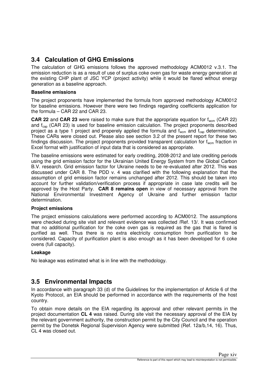## **3.4 Calculation of GHG Emissions**

The calculation of GHG emissions follows the approved methodology ACM0012 v.3.1. The emission reduction is as a result of use of surplus coke oven gas for waste energy generation at the existing CHP plant of JSC YCP (project activity) while it would be flared without energy generation as a baseline approach.

#### **Baseline emissions**

The project proponents have implemented the formula from approved methodology ACM0012 for baseline emissions. However there were two findings regarding coefficients application for the formula – CAR 22 and CAR 23.

**CAR 22** and **CAR 23** were raised to make sure that the appropriate equation for f<sub>wcm</sub> (CAR 22) and  $f_{cap}$  (CAR 23) is used for baseline emission calculation. The project proponents described project as a type 1 project and properely applied the formula and  $f_{wcm}$  and  $f_{cap}$  determination. These CARs were closed out. Please also see section 3.2 of the present report for these two findings discussion. The project proponents provided transparent calculation for  $f_{\text{wcm}}$  fraction in Excel format with justification of input data that is considered as appropriate.

The baseline emissions were estimated for early crediting, 2008-2012 and late crediting periods using the grid emission factor for the Ukrainian United Energy System from the Global Carbon B.V. research. Grid emission factor for Ukraine needs to be re-evaluated after 2012. This was discussed under CAR 8. The PDD v. 4 was clarified with the following explanation that the assumption of grid emission factor remains unchanged after 2012. This should be taken into account for further validation/verification process if appropriate in case late credits will be approved by the Host Party. **CAR 8 remains open** in view of necessary approval from the National Environmental Investment Agency of Ukraine and further emission factor determination.

#### **Project emissions**

The project emissions calculations were performed according to ACM0012. The assumptions were checked during site visit and relevant evidence was collected /Ref. 13/. It was confirmed that no additional purification for the coke oven gas is required as the gas that is flared is purified as well. Thus there is no extra electricity consumption from purification to be considered. Capacity of purification plant is also enough as it has been developed for 6 coke ovens (full capacity).

#### **Leakage**

No leakage was estimated what is in line with the methodology.

### **3.5 Environmental Impacts**

In accordance with paragraph 33 (d) of the Guidelines for the implementation of Article 6 of the Kyoto Protocol, an EIA should be performed in accordance with the requirements of the host country.

To obtain more details on the EIA regarding its approval and other relevant permits in the project documentation **CL 4** was raised. During site visit the necessary approval of the EIA by the relevant government authority, the construction permit by the City Council and the operation permit by the Donetsk Regional Supervision Agency were submitted (Ref. 12a/b,14, 16). Thus, CL 4 was closed out.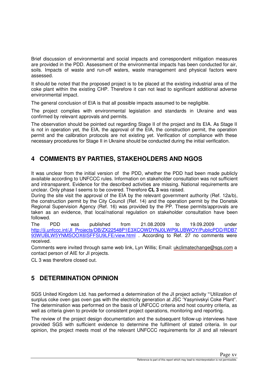Brief discussion of environmental and social impacts and correspondent mitigation measures are provided in the PDD. Assessment of the environmental impacts has been conducted for air, soils. Impacts of waste and run-off waters, waste management and physical factors were assessed.

It should be noted that the proposed project is to be placed at the existing industrial area of the coke plant within the existing CHP. Therefore it can not lead to significant additional adverse environmental impact.

The general conclusion of EIA is that all possible impacts assumed to be negligible.

The project complies with environmental legislation and standards in Ukraine and was confirmed by relevant approvals and permits.

The observation should be pointed out regarding Stage II of the project and its EIA. As Stage II is not in operation yet, the EIA, the approval of the EIA, the construction permit, the operation permit and the calibration protocols are not existing yet. Verification of compliance with these necessary procedures for Stage II in Ukraine should be conducted during the initial verification.

## **4 COMMENTS BY PARTIES, STAKEHOLDERS AND NGOS**

It was unclear from the initial version of the PDD, whether the PDD had been made publicly available according to UNFCCC rules. Information on stakeholder consultation was not sufficient and intransparent. Evidence for the described activities are missing. National requirements are unclear. Only phase I seems to be covered. Therefore **CL 3** was raised.

During the site visit the approval of the EIA by the relevant government authority (Ref. 12a/b), the construction permit by the City Council (Ref. 14) and the operation permit by the Donetsk Regional Supervision Agency (Ref. 16) was provided by the PP. These permits/approvals are taken as an evidence, that local/national regulation on stakeholder consultation have been followed.

The PDD was published from 21.08.2009 to 19.09.2009 under http://ji.unfccc.int/JI\_Projects/DB/ZX22548P1E3XCOWDYNJ0LWP9LUBWOY/PublicPDD/RDB7 93WUBLW5YNMSOOX6ISFFSU9LFE/view.html . According to Ref. 27 no comments were received.

Comments were invited through same web link, Lyn Willis; Email: ukclimatechange@sgs.com a contact person of AIE for JI projects.

CL 3 was therefore closed out.

## **5 DETERMINATION OPINION**

SGS United Kingdom Ltd. has performed a determination of the JI project activity "'Utilization of surplus coke oven gas oven gas with the electricity generation at JSC 'Yasynivskyi Coke Plant". The determination was performed on the basis of UNFCCC criteria and host country criteria, as well as criteria given to provide for consistent project operations, monitoring and reporting.

The review of the project design documentation and the subsequent follow-up interviews have provided SGS with sufficient evidence to determine the fulfilment of stated criteria. In our opinion, the project meets most of the relevant UNFCCC requirements for JI and all relevant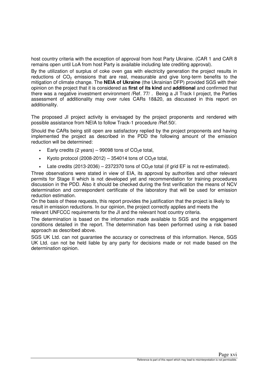host country criteria with the exception of approval from host Party Ukraine. (CAR 1 and CAR 8 remains open until LoA from host Party is available including late crediting approval).

By the utilization of surplus of coke oven gas with electricity generation the project results in reductions of  $CO<sub>2</sub>$  emissions that are real, measurable and give long-term benefits to the mitigation of climate change. The **NEIA of Ukraine** (the Ukrainian DFP) provided SGS with their opinion on the project that it is considered as **first of its kind** and **additional** and confirmed that there was a negative investment environment /Ref. 77/ . Being a JI Track I project, the Parties assessment of additionality may over rules CARs 18&20, as discussed in this report on additionality.

The proposed JI project activity is envisaged by the project proponents and rendered with possible assistance from NEIA to follow Track-1 procedure /Ref.50/.

Should the CARs being still open are satisfactory replied by the project proponents and having implemented the project as described in the PDD the following amount of the emission reduction will be determined:

- Early credits (2 years) 99098 tons of  $CO<sub>2</sub>e$  total,
- Kyoto protocol (2008-2012) 354014 tons of  $CO<sub>2</sub>e$  total,
- Late credits (2013-2036) 2372370 tons of  $CO<sub>2</sub>e$  total (if grid EF is not re-estimated).

Three observations were stated in view of EIA, its approval by authorities and other relevant permits for Stage II which is not developed yet and recommendation for training procedures discussion in the PDD. Also it should be checked during the first verification the means of NCV determination and correspondent certificate of the laboratory that will be used for emission reduction estimation.

On the basis of these requests, this report provides the justification that the project is likely to result in emission reductions. In our opinion, the project correctly applies and meets the relevant UNFCCC requirements for the JI and the relevant host country criteria.

The determination is based on the information made available to SGS and the engagement conditions detailed in the report. The determination has been performed using a risk based approach as described above.

SGS UK Ltd. can not guarantee the accuracy or correctness of this information. Hence, SGS UK Ltd. can not be held liable by any party for decisions made or not made based on the determination opinion.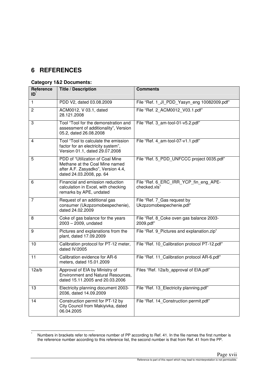## **6 REFERENCES**

-\*

#### **Category 1&2 Documents:**

| Reference<br>ID | <b>Title / Description</b>                                                                                                           | <b>Comments</b>                                         |
|-----------------|--------------------------------------------------------------------------------------------------------------------------------------|---------------------------------------------------------|
| $\mathbf{1}$    | PDD V2, dated 03.08.2009                                                                                                             | File "Ref. 1_JI_PDD_Yasyn_eng 10082009.pdf"             |
| $\overline{2}$  | ACM0012, V 03.1, dated<br>28.121.2008                                                                                                | File "Ref. 2 ACM0012 V03.1.pdf"                         |
| 3               | Tool "Tool for the demonstration and<br>assessment of additionality", Version<br>05.2, dated 26.08.2008                              | File "Ref. 3 am-tool-01-v5.2.pdf"                       |
| 4               | Tool "Tool to calculate the emission<br>factor for an electricity system",<br>Version 01.1, dated 29.07.2008                         | File "Ref. 4 am-tool-07-v1.1.pdf"                       |
| 5               | PDD of "Utilization of Coal Mine<br>Methane at the Coal Mine named<br>after A.F. Zasyadko", Version 4.4,<br>dated 24.03.2008, pp. 64 | File "Ref. 5 PDD UNFCCC project 0035.pdf"               |
| 6               | Financial and emission reduction<br>calculation in Excel, with checking<br>remarks by APE, undated                                   | File "Ref. 6 ERC IRR YCP fin eng APE-<br>checked.xls"   |
| 7               | Request of an additional gas<br>consumer (Ukzpzomobespechenie),<br>dated 24,02,2009                                                  | File "Ref. 7_Gas request by<br>Ukzpzomobespechenie.pdf" |
| 8               | Coke of gas balance for the years<br>$2003 - 2009$ , undated                                                                         | File "Ref. 8_Coke oven gas balance 2003-<br>2009.pdf"   |
| 9               | Pictures and explanations from the<br>plant, dated 17.09.2009                                                                        | File "Ref. 9_Pictures and explanation.zip"              |
| 10              | Calibration protocol for PT-12 meter,<br>dated IV/2005                                                                               | File "Ref. 10_Calibration protocol PT-12.pdf"           |
| 11              | Calibration evidence for AR-6<br>meters, dated 15.01.2009                                                                            | File "Ref. 11 Calibration protocol AR-6.pdf"            |
| 12a/b           | Approval of EIA by Ministry of<br><b>Environment and Natural Resources,</b><br>dated 15.11.2005 and 20.03.2006                       | Files "Ref. 12a/b_approval of EIA.pdf"                  |
| 13              | Electricity planning document 2003-<br>2036, dated 14.09.2009                                                                        | File "Ref. 13 Electricity planning.pdf"                 |
| 14              | Construction permit for PT-12 by<br>City Council from Makiyivka, dated<br>06.04.2005                                                 | File "Ref. 14_Construction permit.pdf"                  |

Numbers in brackets refer to reference number of PP according to Ref. 41. In the file names the first number is the reference number according to this reference list, the second number is that from Ref. 41 from the PP.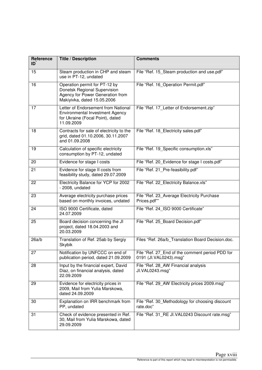| Reference<br>ID | <b>Title / Description</b>                                                                                                       | <b>Comments</b>                                                           |
|-----------------|----------------------------------------------------------------------------------------------------------------------------------|---------------------------------------------------------------------------|
| 15              | Steam production in CHP and steam<br>use in PT-12, undated                                                                       | File "Ref. 15_Steam production and use.pdf"                               |
| 16              | Operation permit for PT-12 by<br>Donetsk Regional Supervision<br>Agency for Power Generation from<br>Makiyivka, dated 15.05.2006 | File "Ref. 16_Operation Permit.pdf"                                       |
| 17              | Letter of Endorsement from National<br><b>Environmental Investment Agency</b><br>for Ukraine (Focal Point), dated<br>11.09.2009  | File "Ref. 17_Letter of Endorsement.zip"                                  |
| 18              | Contracts for sale of electricity to the<br>grid, dated 01.10.2006, 30.11.2007<br>and 01.09.2008                                 | File "Ref. 18_Electricity sales.pdf"                                      |
| 19              | Calculation of specific electricity<br>consumption by PT-12, undated                                                             | File "Ref. 19_Specific consumption.xls"                                   |
| 20              | Evidence for stage I costs                                                                                                       | File "Ref. 20_Evidence for stage I costs.pdf"                             |
| 21              | Evidence for stage II costs from<br>feasibility study, dated 29.07.2009                                                          | File "Ref. 21_Pre-feasibility.pdf"                                        |
| 22              | Electricity Balance for YCP for 2002<br>- 2008, undated                                                                          | File "Ref. 22_Electricity Balance.xls"                                    |
| 23              | Average electricity purchase prices<br>based on monthly invoices, undated                                                        | File "Ref. 23_Average Electricity Purchase<br>Prices.pdf""                |
| 24              | ISO 9000 Certificate, dated<br>24.07.2009                                                                                        | File "Ref. 24_ISO 9000 Certificate"                                       |
| 25              | Board decision concerning the JI<br>project, dated 18.04.2003 and<br>20.03.2009                                                  | File "Ref. 25_Board Decision.pdf"                                         |
| 26a/b           | Translation of Ref. 25ab by Sergiy<br><b>Skybik</b>                                                                              | Files "Ref. 26a/b_Translation Board Decision.doc.                         |
| 27              | Notification by UNFCCC on end of<br>publication period, dated 21.09.2009                                                         | File "Ref. 27_End of the comment period PDD for<br>0191 (JI.VAL0243).msg" |
| 28              | Input by the financial expert, David<br>Diaz, on financial analysis, dated<br>22.09.2009                                         | File "Ref. 28_AW Financial analysis<br>JI.VAL0243.msg"                    |
| 29              | Evidence for electricity prices in<br>2009, Mail from Yulia Marskowa,<br>dated 24.09.2009                                        | File "Ref. 29_AW Electricity prices 2009.msg"                             |
| 30              | Explanation on IRR benchmark from<br>PP, undated                                                                                 | File "Ref. 30_Methodology for choosing discount<br>rate.doc"              |
| 31              | Check of evidence presented in Ref.<br>30, Mail from Yulia Marskowa, dated<br>29.09.2009                                         | File "Ref. 31_RE JI.VAL0243 Discount rate.msg"                            |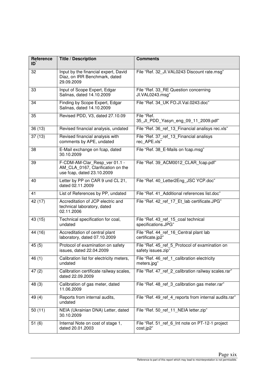| Reference<br>ID | <b>Title / Description</b>                                                                       | <b>Comments</b>                                                      |
|-----------------|--------------------------------------------------------------------------------------------------|----------------------------------------------------------------------|
| 32              | Input by the financial expert, David<br>Diaz, on IRR Benchmark, dated<br>29.09.2009              | File "Ref. 32 JI.VAL0243 Discount rate.msg"                          |
| 33              | Input of Scope Expert, Edgar<br>Salinas, dated 14.10.2009                                        | File "Ref. 33_RE Question concerning<br>JI.VAL0243.msg"              |
| 34              | Finding by Scope Expert, Edgar<br>Salinas, dated 14.10.2009                                      | File "Ref. 34 UK FO.JI.Val.0243.doc"                                 |
| 35              | Revised PDD, V3, dated 27.10.09                                                                  | File "Ref.<br>35_JI_PDD_Yasyn_eng_09_11_2009.pdf"                    |
| 36(13)          | Revised financial analysis, undated                                                              | File "Ref. 36 ref 13 Financial analisys rec.xls"                     |
| 37(13)          | Revised financial analysis with<br>comments by APE, undated                                      | File "Ref. 37_ref_13_Financial analisys<br>rec APE.xls"              |
| 38              | E-Mail exchange on fcap, dated<br>30.10.2009                                                     | File "Ref. 38_E-Mails on fcap.msg"                                   |
| 39              | F-CDM-AM-Clar_Resp_ver 01.1 -<br>AM_CLA_0167, Clarification on the<br>use fcap, dated 23.10.2009 | File "Ref. 39 ACM0012 CLAR fcap.pdf"                                 |
| 40              | Letter by PP on CAR 9 und CL 21,<br>dated 02.11.2009                                             | File "Ref. 40 Letter2Eng JSC YCP.doc"                                |
| 41              | List of References by PP, undated                                                                | File "Ref. 41 Additional references list.doc"                        |
| 42 (17)         | Accreditation of JCP electric and<br>technical laboratory, dated<br>02.11.2006                   | File "Ref. 42 ref 17 Et lab certificate.JPG"                         |
| 43 (15)         | Technical specification for coal,<br>undated                                                     | File "Ref. 43_ref_15_coal technical<br>specifications.JPG"           |
| 44(16)          | Accreditation of central plant<br>laboratory, dated 07.10.2009                                   | File "Ref. 44_ref_16_Central plant lab<br>certificate.jp2"           |
| 45(5)           | Protocol of examination on safety<br>issues, dated 22.04.2009                                    | File "Ref. 45_ref_5_Protocol of examination on<br>safety issues.zip" |
| 46(1)           | Calibration list for electricity meters,<br>undated                                              | File "Ref. 46 ref 1 calibration electricity<br>meters.jpg"           |
| 47(2)           | Calibration certificate railway scales,<br>dated 22.09.2009                                      | File "Ref. 47_ref_2_calibration railway scales.rar"                  |
| 48 (3)          | Calibration of gas meter, dated<br>11.06.2009                                                    | File "Ref. 48_ref_3_calibration gas meter.rar"                       |
| 49(4)           | Reports from internal audits,<br>undated                                                         | File "Ref. 49 ref 4 reports from internal audits.rar"                |
| 50(11)          | NEIA (Ukrainian DNA) Letter, dated<br>30.10.2009                                                 | File "Ref. 50_ref_11_NEIA letter.zip"                                |
| 51(6)           | Internal Note on cost of stage 1,<br>dated 20.01.2003                                            | File "Ref. 51_ref_6_Int note on PT-12-1 project<br>cost.jp2"         |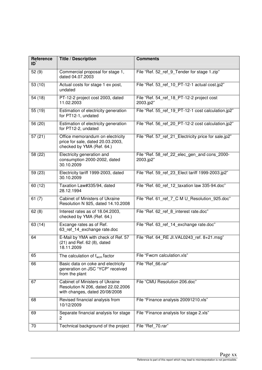| Reference<br>ID | <b>Title / Description</b>                                                                              | <b>Comments</b>                                           |
|-----------------|---------------------------------------------------------------------------------------------------------|-----------------------------------------------------------|
| 52(9)           | Commercial proposal for stage 1,<br>dated 04.07.2003                                                    | File "Ref. 52_ref_9_Tender for stage 1.zip"               |
| 53 (10)         | Actual costs for stage 1 ex post,<br>undated                                                            | File "Ref. 53_ref_10_PT-12-1 actual cost.jp2"             |
| 54 (18)         | PT-12-2 project cost 2003, dated<br>11.02.2003                                                          | File "Ref. 54_ref_18_PT-12-2 project cost<br>2003.jp2"    |
| 55 (19)         | Estimation of electricity generation<br>for PT12-1, undated                                             | File "Ref. 55_ref_19_PT-12-1 cost calculation.jp2"        |
| 56 (20)         | Estimation of electricity generation<br>for PT12-2, undated                                             | File "Ref. 56_ref_20_PT-12-2 cost calculation.jp2"        |
| 57(21)          | Office memorandum on electricity<br>price for sale, dated 20.03.2003,<br>checked by YMA (Ref. 64.)      | File "Ref. 57_ref_21_Electricity price for sale.jp2"      |
| 58 (22)         | Electricity generation and<br>consumption 2000-2002, dated<br>30.10.2009                                | File "Ref. 58 ref 22 elec gen and cons 2000-<br>2003.jp2" |
| 59 (23)         | Electricity tariff 1999-2003, dated<br>30.10.2009                                                       | File "Ref. 59 ref 23 Elect tariff 1999-2003.jp2"          |
| 60 (12)         | Taxation Law#335/94, dated<br>28.12.1994                                                                | File "Ref. 60 ref 12 taxation law 335-94.doc"             |
| 61 $(7)$        | Cabinet of Ministers of Ukraine<br>Resolution N 925, dated 14.10.2008                                   | File "Ref. 61_ref_7_C M U_Resolution_925.doc"             |
| 62(8)           | Interest rates as of 18.04.2003,<br>checked by YMA (Ref. 64.)                                           | File "Ref. 62_ref_8_interest rate.doc"                    |
| 63 (14)         | Excange rates as of Ref.<br>63 ref 14 exchange rate.doc                                                 | File "Ref. 63_ref_14_exchange rate.doc"                   |
| 64              | E-Mail by YMA with check of Ref. 57<br>(21) and Ref. 62 (8), dated<br>18.11.2009                        | File "Ref. 64_RE JI.VAL0243_ref. 8+21.msg"                |
| 65              | The calculation of $f_{\text{wcm}}$ factor                                                              | File "Fwcm calculation.xls"                               |
| 66              | Basic data on coke and electricity<br>generation on JSC "YCP" received<br>from the plant                | File "Ref_66.rar"                                         |
| 67              | Cabinet of Ministers of Ukraine<br>Resolution N 206, dated 22.02.2006<br>with changes, dated 20/08/2008 | File "CMU Resolution 206.doc"                             |
| 68              | Revised financial analysis from<br>10/12/2009                                                           | File "Finance analysis 20091210.xls"                      |
| 69              | Separate financial analysis for stage<br>2                                                              | File "Finance analysis for stage 2.xls"                   |
| 70              | Technical background of the project                                                                     | File "Ref 70.rar"                                         |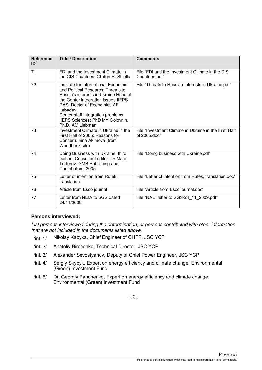| Reference<br>ID | <b>Title / Description</b>                                                                                                                                                                                                                                                                                | <b>Comments</b>                                                       |
|-----------------|-----------------------------------------------------------------------------------------------------------------------------------------------------------------------------------------------------------------------------------------------------------------------------------------------------------|-----------------------------------------------------------------------|
| 71              | FDI and the Investment Climate in<br>the CIS Countries, Clinton R. Shiells                                                                                                                                                                                                                                | File "FDI and the Investment Climate in the CIS<br>Countries.pdf"     |
| 72              | Institute for International Economic<br>and Political Research: Threats to<br>Russia's interests in Ukraine Head of<br>the Center integration issues IIEPS<br><b>RAS: Doctor of Economics AE</b><br>Lebedev.<br>Center staff integration problems<br>IIEPS Sciences: PhD MY Golovnin,<br>Ph.D. AM Liebman | File "Threats to Russian Interests in Ukraine.pdf"                    |
| 73              | Investment Climate in Ukraine in the<br>First Half of 2005: Reasons for<br>Concern. Irina Akimova (from<br>Worldbank site)                                                                                                                                                                                | File "Investment Climate in Ukraine in the First Half<br>of 2005.doc" |
| 74              | Doing Business with Ukraine, third<br>edition, Consultant editor: Dr Marat<br>Terterov. GMB Publishing and<br>Contributors, 2005                                                                                                                                                                          | File "Doing business with Ukraine.pdf"                                |
| 75              | Letter of intention from Rutek,<br>translation.                                                                                                                                                                                                                                                           | File "Letter of intention from Rutek, translation.doc"                |
| 76              | Article from Esco journal                                                                                                                                                                                                                                                                                 | File "Article from Esco journal.doc"                                  |
| 77              | Letter from NEIA to SGS dated<br>24/11/2009.                                                                                                                                                                                                                                                              | File "NAEI letter to SGS-24_11_2009.pdf"                              |

#### **Persons interviewed:**

List persons interviewed during the determination, or persons contributed with other information that are not included in the documents listed above.

- /int. 1/ Nikolay Kabyka, Chief Engineer of CHPP, JSC YCP
- /int. 2/ Anatoliy Birchenko, Technical Director, JSC YCP
- /int. 3/ Alexander Sevostyanov, Deputy of Chief Power Engineer, JSC YCP
- /int. 4/ Sergiy Skybyk, Expert on energy efficiency and climate change, Environmental (Green) Investment Fund
- /int. 5/ Dr. Georgiy Panchenko, Expert on energy efficiency and climate change, Environmental (Green) Investment Fund

- o0o -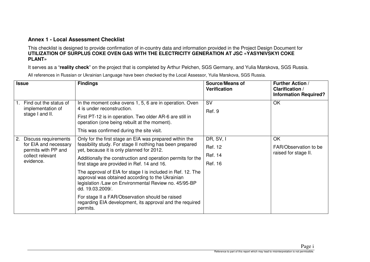#### **Annex 1 - Local Assessment Checklist**

This checklist is designed to provide confirmation of in-country data and information provided in the Project Design Document for<br>UTILIZATION OF SURPLUS COKE OVEN GAS WITH THE ELECTRICITY GENERATION AT JSC «YASYNIVSKYI COK **PLANT»**

It serves as a "**reality check**" on the project that is completed by Arthur Pelchen, SGS Germany, and Yulia Marskova, SGS Russia.

|    | <b>Issue</b>                                                         | <b>Findings</b>                                                                                                                                                                              | <b>Source/Means of</b><br><b>Verification</b> | <b>Further Action /</b><br><b>Clarification /</b><br><b>Information Required?</b> |
|----|----------------------------------------------------------------------|----------------------------------------------------------------------------------------------------------------------------------------------------------------------------------------------|-----------------------------------------------|-----------------------------------------------------------------------------------|
|    | Find out the status of<br>implementation of                          | In the moment coke ovens 1, 5, 6 are in operation. Oven<br>4 is under reconstruction.                                                                                                        | <b>SV</b><br>Ref. 9                           | OK                                                                                |
|    | stage I and II.                                                      | First PT-12 is in operation. Two older AR-6 are still in<br>operation (one being rebuilt at the moment).                                                                                     |                                               |                                                                                   |
|    |                                                                      | This was confirmed during the site visit.                                                                                                                                                    |                                               |                                                                                   |
| 2. | Discuss requirements<br>for EIA and necessary<br>permits with PP and | Only for the first stage an EIA was prepared within the                                                                                                                                      | DR, SV, I                                     | OK                                                                                |
|    |                                                                      | feasibility study. For stage II nothing has been prepared<br>yet, because it is only planned for 2012.                                                                                       | Ref. 12                                       | FAR/Observation to be                                                             |
|    | collect relevant                                                     | Additionally the construction and operation permits for the                                                                                                                                  | Ref. 14                                       | raised for stage II.                                                              |
|    | evidence.                                                            | first stage are provided in Ref. 14 and 16.                                                                                                                                                  | Ref. 16                                       |                                                                                   |
|    |                                                                      | The approval of EIA for stage I is included in Ref. 12. The<br>approval was obtained according to the Ukrainian<br>legislation /Law on Environmental Review no. 45/95-BP<br>dd. 19.03.2009/. |                                               |                                                                                   |
|    |                                                                      | For stage II a FAR/Observation should be raised<br>regarding EIA development, its approval and the required<br>permits.                                                                      |                                               |                                                                                   |

All references in Russian or Ukrainian Language have been checked by the Local Assessor, Yulia Marskova, SGS Russia.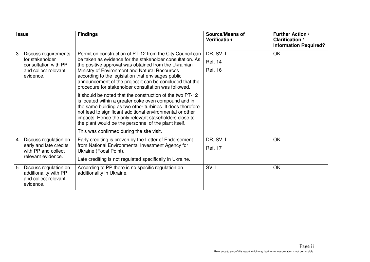| <b>Issue</b>                                                                              | <b>Findings</b>                                                                                                                                                                                                                                                                                                                                                  | <b>Source/Means of</b><br>Verification | <b>Further Action /</b><br><b>Clarification /</b><br><b>Information Required?</b> |
|-------------------------------------------------------------------------------------------|------------------------------------------------------------------------------------------------------------------------------------------------------------------------------------------------------------------------------------------------------------------------------------------------------------------------------------------------------------------|----------------------------------------|-----------------------------------------------------------------------------------|
| 3.<br>Discuss requirements                                                                | Permit on construction of PT-12 from the City Council can                                                                                                                                                                                                                                                                                                        | DR, SV, I                              | OK                                                                                |
| for stakeholder<br>consultation with PP                                                   | be taken as evidence for the stakeholder consultation. As<br>the positive approval was obtained from the Ukrainian                                                                                                                                                                                                                                               | Ref. 14                                |                                                                                   |
| and collect relevant<br>evidence.                                                         | Ministry of Environment and Natural Resources<br>according to the legislation that envisages public<br>announcement of the project it can be concluded that the<br>procedure for stakeholder consultation was followed.                                                                                                                                          | Ref. 16                                |                                                                                   |
|                                                                                           | It should be noted that the construction of the two PT-12<br>is located within a greater coke oven compound and in<br>the same building as two other turbines. It does therefore<br>not lead to significant additional environmental or other<br>impacts. Hence the only relevant stakeholders close to<br>the plant would be the personnel of the plant itself. |                                        |                                                                                   |
|                                                                                           | This was confirmed during the site visit.                                                                                                                                                                                                                                                                                                                        |                                        |                                                                                   |
| Discuss regulation on<br>4.                                                               | Early crediting is proven by the Letter of Endorsement                                                                                                                                                                                                                                                                                                           | DR, SV, I                              | OK                                                                                |
| early and late credits<br>with PP and collect                                             | from National Environmental Investment Agency for<br>Ukraine (Focal Point).                                                                                                                                                                                                                                                                                      | Ref. 17                                |                                                                                   |
| relevant evidence.                                                                        | Late crediting is not regulated specifically in Ukraine.                                                                                                                                                                                                                                                                                                         |                                        |                                                                                   |
| Discuss regulation on<br>5.<br>additionality with PP<br>and collect relevant<br>evidence. | According to PP there is no specific regulation on<br>additionality in Ukraine.                                                                                                                                                                                                                                                                                  | SV, I                                  | OK                                                                                |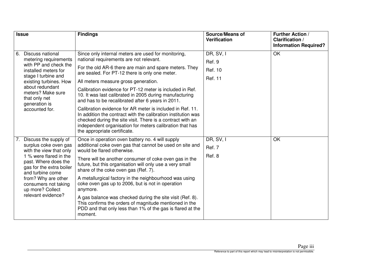| <b>Issue</b> |                                                                                                                                                                                                                                         | <b>Findings</b>                                                                                                                                                                                                                                                                                                                                                                                                                                                                             | <b>Source/Means of</b><br><b>Verification</b> | <b>Further Action /</b><br><b>Clarification /</b> |
|--------------|-----------------------------------------------------------------------------------------------------------------------------------------------------------------------------------------------------------------------------------------|---------------------------------------------------------------------------------------------------------------------------------------------------------------------------------------------------------------------------------------------------------------------------------------------------------------------------------------------------------------------------------------------------------------------------------------------------------------------------------------------|-----------------------------------------------|---------------------------------------------------|
|              |                                                                                                                                                                                                                                         |                                                                                                                                                                                                                                                                                                                                                                                                                                                                                             |                                               | <b>Information Required?</b>                      |
| 6.           | Discuss national<br>metering requirements<br>with PP and check the<br>installed meters for<br>stage I turbine and<br>existing turbines. How<br>about redundant<br>meters? Make sure<br>that only net<br>generation is<br>accounted for. | Since only internal meters are used for monitoring,<br>national requirements are not relevant.<br>For the old AR-6 there are main and spare meters. They<br>are sealed. For PT-12 there is only one meter.<br>All meters measure gross generation.<br>Calibration evidence for PT-12 meter is included in Ref.<br>10. It was last calibrated in 2005 during manufacturing<br>and has to be recalibrated after 6 years in 2011.<br>Calibration evidence for AR meter is included in Ref. 11. | DR, SV, I<br>Ref. 9<br>Ref. 10<br>Ref. 11     | OK                                                |
|              |                                                                                                                                                                                                                                         | In addition the contract with the calibration institution was<br>checked during the site visit. There is a contract with an<br>independent organisation for meters calibration that has<br>the appropriate certificate.                                                                                                                                                                                                                                                                     |                                               |                                                   |
| 7.           | Discuss the supply of<br>surplus coke oven gas<br>with the view that only                                                                                                                                                               | Once in operation oven battery no. 4 will supply<br>additional coke oven gas that cannot be used on site and<br>would be flared otherwise.                                                                                                                                                                                                                                                                                                                                                  | DR, SV, I<br>Ref. 7                           | OK                                                |
|              | 1 % were flared in the<br>past. Where does the<br>gas for the extra boiler<br>and turbine come<br>from? Why are other<br>consumers not taking<br>up more? Collect                                                                       | There will be another consumer of coke oven gas in the<br>future, but this organisation will only use a very small<br>share of the coke oven gas (Ref. 7).                                                                                                                                                                                                                                                                                                                                  | Ref. 8                                        |                                                   |
|              |                                                                                                                                                                                                                                         | A metallurgical factory in the neighbourhood was using<br>coke oven gas up to 2006, but is not in operation<br>anymore.                                                                                                                                                                                                                                                                                                                                                                     |                                               |                                                   |
|              | relevant evidence?                                                                                                                                                                                                                      | A gas balance was checked during the site visit (Ref. 8).<br>This confirms the orders of magnitude mentioned in the<br>PDD and that only less than 1% of the gas is flared at the<br>moment.                                                                                                                                                                                                                                                                                                |                                               |                                                   |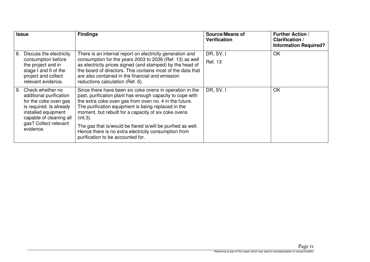| <b>Issue</b>                                                                                                                                                                                  | <b>Findings</b>                                                                                                                                                                                                                                                                                                                                                                                                                                                         | <b>Source/Means of</b><br><b>Verification</b> | <b>Further Action</b> /<br><b>Clarification /</b><br><b>Information Required?</b> |
|-----------------------------------------------------------------------------------------------------------------------------------------------------------------------------------------------|-------------------------------------------------------------------------------------------------------------------------------------------------------------------------------------------------------------------------------------------------------------------------------------------------------------------------------------------------------------------------------------------------------------------------------------------------------------------------|-----------------------------------------------|-----------------------------------------------------------------------------------|
| Discuss the electricity<br>8.<br>consumption before<br>the project and in<br>stage I and II of the<br>project and collect<br>relevant evidence.                                               | There is an internal report on electricity generation and<br>consumption for the years 2003 to 2036 (Ref. 13) as well<br>as electricity prices signed (and stamped) by the head of<br>the board of directors. This contains most of the data that<br>are also contained in the financial and emission<br>reductions calculation (Ref. 6).                                                                                                                               | DR, SV, I<br>Ref. 13                          | OK                                                                                |
| Check whether no<br>9.<br>additional purification<br>for the coke oven gas<br>is required. Is already<br>installed equipment<br>capable of cleaning all<br>gas? Collect relevant<br>evidence. | Since there have been six coke ovens in operation in the<br>past, purification plant has enough capacity to cope with<br>the extra coke oven gas from oven no. 4 in the future.<br>The purification equipment is being replaced in the<br>moment, but rebuilt for a capacity of six coke ovens<br>(int.3).<br>The gas that is/would be flared is/will be purified as well.<br>Hence there is no extra electricity consumption from<br>purification to be accounted for. | DR, SV, I                                     | OK                                                                                |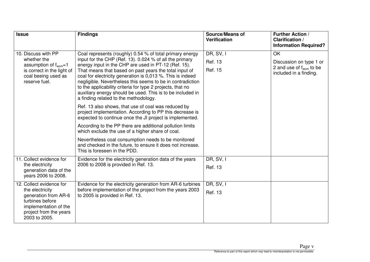| <b>Issue</b>                                                                                                                                 | <b>Findings</b>                                                                                                                                                                                                                                                                                                                                                                                                                                                                                                                                                                                                                                                                                                                                                                                                                        | <b>Source/Means of</b><br><b>Verification</b> | <b>Further Action /</b><br><b>Clarification /</b><br><b>Information Required?</b>                     |
|----------------------------------------------------------------------------------------------------------------------------------------------|----------------------------------------------------------------------------------------------------------------------------------------------------------------------------------------------------------------------------------------------------------------------------------------------------------------------------------------------------------------------------------------------------------------------------------------------------------------------------------------------------------------------------------------------------------------------------------------------------------------------------------------------------------------------------------------------------------------------------------------------------------------------------------------------------------------------------------------|-----------------------------------------------|-------------------------------------------------------------------------------------------------------|
| 10. Discuss with PP<br>whether the<br>assumption of $f_{\text{wcm}}=1$<br>is correct in the light of<br>coal beeing used as<br>reserve fuel. | Coal represents (roughly) 0.54 % of total primary energy<br>input for the CHP (Ref. 13). 0.024 % of all the primary<br>energy input in the CHP are used in PT-12 (Ref. 15).<br>That means that based on past years the total input of<br>coal for electricity generation is 0,013 %. This is indeed<br>negligible. Nevertheless this seems to be in contradiction<br>to the applicability criteria for type 2 projects, that no<br>auxiliary energy should be used. This is to be included in<br>a finding related to the methodology.<br>Ref. 13 also shows, that use of coal was reduced by<br>project implementation. According to PP this decrease is<br>expected to continue once the JI project is implemented.<br>According to the PP there are additional pollution limits<br>which exclude the use of a higher share of coal. | DR, SV, I<br>Ref. 13<br>Ref. 15               | <b>OK</b><br>Discussion on type 1 or<br>2 and use of $f_{\text{wcm}}$ to be<br>included in a finding. |
|                                                                                                                                              | Nevertheless coal consumption needs to be monitored<br>and checked in the future, to ensure it does not increase.<br>This is foreseen in the PDD.                                                                                                                                                                                                                                                                                                                                                                                                                                                                                                                                                                                                                                                                                      |                                               |                                                                                                       |
| 11. Collect evidence for<br>the electricity                                                                                                  | Evidence for the electricity generation data of the years<br>2006 to 2008 is provided in Ref. 13.                                                                                                                                                                                                                                                                                                                                                                                                                                                                                                                                                                                                                                                                                                                                      | DR, SV, I                                     |                                                                                                       |
| generation data of the<br>years 2006 to 2008.                                                                                                |                                                                                                                                                                                                                                                                                                                                                                                                                                                                                                                                                                                                                                                                                                                                                                                                                                        | Ref. 13                                       |                                                                                                       |
| 12. Collect evidence for<br>the electricity                                                                                                  | Evidence for the electricity generation from AR-6 turbines<br>before implementation of the project from the years 2003                                                                                                                                                                                                                                                                                                                                                                                                                                                                                                                                                                                                                                                                                                                 | DR, SV, I<br>Ref. 13                          |                                                                                                       |
| generation from AR-6<br>turbines before<br>implementation of the<br>project from the years<br>2003 to 2005.                                  | to 2005 is provided in Ref. 13.                                                                                                                                                                                                                                                                                                                                                                                                                                                                                                                                                                                                                                                                                                                                                                                                        |                                               |                                                                                                       |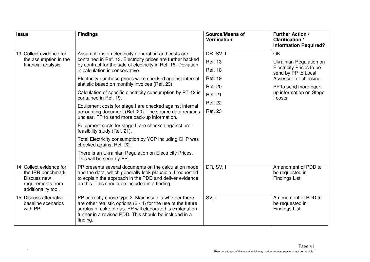| <b>Issue</b>                                                                                              | <b>Findings</b>                                                                                                                                                                                                                                              | <b>Source/Means of</b><br><b>Verification</b> | <b>Further Action /</b><br><b>Clarification /</b><br><b>Information Required?</b> |  |  |
|-----------------------------------------------------------------------------------------------------------|--------------------------------------------------------------------------------------------------------------------------------------------------------------------------------------------------------------------------------------------------------------|-----------------------------------------------|-----------------------------------------------------------------------------------|--|--|
| 13. Collect evidence for                                                                                  | Assumptions on electricity generation and costs are                                                                                                                                                                                                          | DR, SV, I                                     | OK                                                                                |  |  |
| the assumption in the<br>financial analysis.                                                              | contained in Ref. 13. Electricity prices are further backed<br>by contract for the sale of electricity in Ref. 18. Deviation                                                                                                                                 | <b>Ref. 13</b>                                | Ukrainian Regulation on                                                           |  |  |
|                                                                                                           | in calculation is conservative.                                                                                                                                                                                                                              | <b>Ref. 18</b>                                | <b>Electricity Prices to be</b><br>send by PP to Local                            |  |  |
|                                                                                                           | Electricity purchase prices were checked against internal                                                                                                                                                                                                    | Ref. 19                                       | Assessor for checking.                                                            |  |  |
|                                                                                                           | statistic based on monthly invoices (Ref. 23).                                                                                                                                                                                                               | Ref. 20                                       | PP to send more back-                                                             |  |  |
|                                                                                                           | Calculation of specific electricity consumption by PT-12 is<br>contained in Ref. 19.                                                                                                                                                                         | <b>Ref. 21</b>                                | up information on Stage                                                           |  |  |
|                                                                                                           |                                                                                                                                                                                                                                                              | <b>Ref. 22</b>                                | I costs.                                                                          |  |  |
|                                                                                                           | Equipment costs for stage I are checked against internal<br>accounting document (Ref. 20). The source data remains<br>unclear. PP to send more back-up information.                                                                                          | <b>Ref. 23</b>                                |                                                                                   |  |  |
|                                                                                                           | Equipment costs for stage II are checked against pre-<br>feasibility study (Ref. 21).                                                                                                                                                                        |                                               |                                                                                   |  |  |
|                                                                                                           | Total Electricity consumption by YCP including CHP was<br>checked against Ref. 22.                                                                                                                                                                           |                                               |                                                                                   |  |  |
|                                                                                                           | There is an Ukrainian Regulation on Electricity Prices.<br>This will be send by PP.                                                                                                                                                                          |                                               |                                                                                   |  |  |
| 14. Collect evidence for<br>the IRR benchmark.<br>Discuss new<br>requirements from<br>additionality tool. | PP presents several documents on the calculation mode<br>and the data, which generally look plausible. I requested<br>to explain the approach in the PDD and deliver evidence<br>on this. This should be included in a finding.                              | DR, SV, I                                     | Amendment of PDD to<br>be requested in<br>Findings List.                          |  |  |
| 15. Discuss alternative<br>baseline scenarios<br>with PP.                                                 | PP correctly chose type 2. Main issue is whether there<br>are other realistic options $(2 - 4)$ for the use of the future<br>surplus of coke of gas. PP will elaborate his explanation<br>further in a revised PDD. This should be included in a<br>finding. | SV, I                                         | Amendment of PDD to<br>be requested in<br>Findings List.                          |  |  |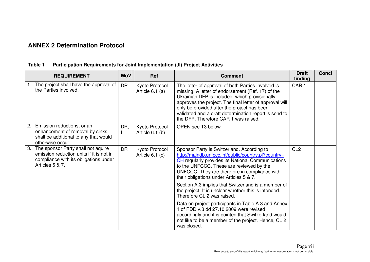## **ANNEX 2 Determination Protocol**

#### **REQUIREMENT MoV Ref Comment Draft finding Concl**  1. The project shall have the approval of The project shall have the approval of  $\vert$  DR  $\vert$  Kyoto Protocol  $\vert$  The letter of approval of both Parties involved is the Parties involved. Ukrainian DFP is included, which provisionally approves the project. The final letter of approval will only be provided after the project has been validated and a draft determination report is send tothe DFP. Therefore CAR 1 was raised. CAR 1 2. Emission reductions, or an enhancement of removal by sinks, shall be additional to any that would otherwise occur. 3. The sponsor Party shall not aquire DR, I Kyoto Protocol Article 6.1 (b) OPEN see T3 below emission reduction units if it is not in compliance with its obligations under Articles 5 & 7. DR | Kyoto Protocol Article 6.1 (c) Sponsor Party is Switzerland. According to http://maindb.unfccc.int/public/country.pl?country=**CH** regularly provides its National Communications to the UNFCCC. These are reviewed by the UNFCCC. They are therefore in compliance with their obligations under Articles 5 & 7. Section A.3 implies that Switzerland is a member of the project. It is unclear whether this is intended. Therefore CL 2 was raised. Data on project participants in Table A.3 and Annex 1 of PDD v.3 dd 27.10.2009 were revised accordingly and it is pointed that Switzerland would not like to be a member of the project. Hence, CL 2 was closed.  $GL2$

#### **Table 1 Participation Requirements for Joint Implementation (JI) Project Activities**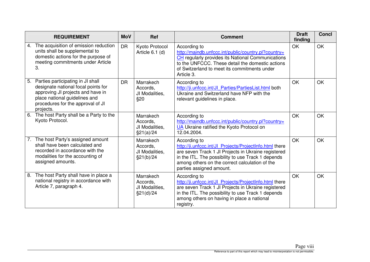|    | <b>REQUIREMENT</b>                                                                                                                                                                               | <b>MoV</b> | <b>Ref</b>                                            | <b>Comment</b>                                                                                                                                                                                                                                                     | <b>Draft</b><br>finding | <b>Concl</b> |
|----|--------------------------------------------------------------------------------------------------------------------------------------------------------------------------------------------------|------------|-------------------------------------------------------|--------------------------------------------------------------------------------------------------------------------------------------------------------------------------------------------------------------------------------------------------------------------|-------------------------|--------------|
| 4. | The acquisition of emission reduction<br>units shall be supplemental to<br>domestic actions for the purpose of<br>meeting commitments under Article<br>3.                                        | <b>DR</b>  | Kyoto Protocol<br>Article 6.1 (d)                     | According to<br>http://maindb.unfccc.int/public/country.pl?country=<br>CH regularly provides its National Communications<br>to the UNFCCC. These detail the domestic actions<br>of Switzerland to meet its commitments under<br>Article 3.                         | OK                      | <b>OK</b>    |
| 5. | Parties participating in JI shall<br>designate national focal points for<br>approving JI projects and have in<br>place national guidelines and<br>procedures for the approval of JI<br>projects. | <b>DR</b>  | Marrakech<br>Accords.<br>JI Modalities,<br>\$20       | According to<br>http://ji.unfccc.int/Jl Parties/PartiesList.html both<br>Ukraine and Switzerland have NFP with the<br>relevant guidelines in place.                                                                                                                | OK                      | OK           |
| 6. | The host Party shall be a Party to the<br>Kyoto Protocol.                                                                                                                                        |            | Marrakech<br>Accords,<br>JI Modalities,<br>\$21(a)/24 | According to<br>http://maindb.unfccc.int/public/country.pl?country=<br><b>UA</b> Ukraine ratified the Kyoto Protocol on<br>12.04.2004.                                                                                                                             | OK                      | OK           |
|    | 7. The host Party's assigned amount<br>shall have been calculated and<br>recorded in accordance with the<br>modalities for the accounting of<br>assigned amounts.                                |            | Marrakech<br>Accords,<br>JI Modalities,<br>\$21(b)/24 | According to<br>http://ji.unfccc.int/JI Projects/ProjectInfo.html there<br>are seven Track 1 Jl Projects in Ukraine registered<br>in the ITL. The possibility to use Track 1 depends<br>among others on the correct calculation of the<br>parties assigned amount. | OK                      | <b>OK</b>    |
| 8. | The host Party shall have in place a<br>national registry in accordance with<br>Article 7, paragraph 4.                                                                                          |            | Marrakech<br>Accords,<br>JI Modalities,<br>\$21(d)/24 | According to<br>http://ji.unfccc.int/Jl_Projects/ProjectInfo.html there<br>are seven Track 1 Jl Projects in Ukraine registered<br>in the ITL. The possibility to use Track 1 depends<br>among others on having in place a national<br>registry.                    | OK                      | OK           |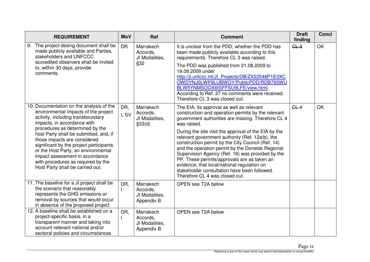| <b>REQUIREMENT</b>                                                                                                                                                                                                                                                                                                                                                                                                                                               | <b>MoV</b>   | <b>Ref</b>                                            | <b>Comment</b>                                                                                                                                                                                                                                                                                                                                                                                                                                                                                                                                                                                                               | <b>Draft</b><br>finding | <b>Concl</b> |
|------------------------------------------------------------------------------------------------------------------------------------------------------------------------------------------------------------------------------------------------------------------------------------------------------------------------------------------------------------------------------------------------------------------------------------------------------------------|--------------|-------------------------------------------------------|------------------------------------------------------------------------------------------------------------------------------------------------------------------------------------------------------------------------------------------------------------------------------------------------------------------------------------------------------------------------------------------------------------------------------------------------------------------------------------------------------------------------------------------------------------------------------------------------------------------------------|-------------------------|--------------|
| The project desing document shall be<br>9.<br>made publicly available and Parties,<br>stakeholders and UNFCCC<br>accredited observers shall be invited<br>to, within 30 days, provide<br>comments.                                                                                                                                                                                                                                                               | <b>DR</b>    | Marrakech<br>Accords,<br>JI Modalities,<br>§32        | It is unclear from the PDD, whether the PDD has<br>been made publicly available according to this<br>requirements. Therefore CL 3 was raised.<br>The PDD was published from 21.08.2009 to<br>19.09.2009 under<br>http://ji.unfccc.int/Jl Projects/DB/ZX22548P1E3XC<br>OWDYNJ0LWP9LUBWOY/PublicPDD/RDB793WU<br>BLW5YNMSOOX6ISFFSU9LFE/view.html<br>According to Ref. 27 no comments were received.<br>Therefore CL 3 was closed out.                                                                                                                                                                                          | GL3                     | OK           |
| 10. Documentation on the analysis of the<br>environmental impacts of the project<br>activity, including transboundary<br>impacts, in accordance with<br>procedures as determined by the<br>host Party shall be submitted, and, if<br>those impacts are considered<br>significant by the project participants<br>or the Host Party, an environmental<br>impact assessment in accordance<br>with procedures as required by the<br>Host Party shall be carried out. | DR,<br>I, SV | Marrakech<br>Accords,<br>JI Modalities,<br>\$33(d)    | The EIA, its approval as well as relevant<br>construction and operation permits by the relevant<br>government authorities are missing. Therefore CL 4<br>was raised.<br>During the site visit the approval of the EIA by the<br>relevant government authority (Ref. 12a/b), the<br>construction permit by the City Council (Ref. 14)<br>and the operation permit by the Donetsk Regional<br>Supervision Agency (Ref. 16) was provided by the<br>PP. These permits/approvals are as taken an<br>evidence, that local/national regulation on<br>stakeholder consultation have been followed.<br>Therefore CL 4 was closed out. | GL4                     | <b>OK</b>    |
| 11. The baseline for a JI project shall be<br>the scenario that reasonably<br>represents the GHG emissions or<br>removal by sources that would occur<br>in absence of the proposed project                                                                                                                                                                                                                                                                       | DR,          | Marrakech<br>Accords,<br>JI Modalities,<br>Appendix B | OPEN see T2A below                                                                                                                                                                                                                                                                                                                                                                                                                                                                                                                                                                                                           |                         |              |
| 12. A baseline shall be established on a<br>project-specific basis, in a<br>transparent manner and taking into<br>account relevant national and/or<br>sectoral policies and circumstances                                                                                                                                                                                                                                                                        | DR,          | Marrakech<br>Accords,<br>JI Modalities,<br>Appendix B | OPEN see T2A below                                                                                                                                                                                                                                                                                                                                                                                                                                                                                                                                                                                                           |                         |              |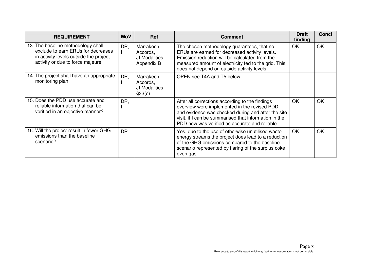| <b>REQUIREMENT</b>                                                                                                                                     | <b>MoV</b> | <b>Ref</b>                                           | <b>Comment</b>                                                                                                                                                                                                                                                   | <b>Draft</b><br>finding | <b>Concl</b> |
|--------------------------------------------------------------------------------------------------------------------------------------------------------|------------|------------------------------------------------------|------------------------------------------------------------------------------------------------------------------------------------------------------------------------------------------------------------------------------------------------------------------|-------------------------|--------------|
| 13. The baseline methodology shall<br>exclude to earn ERUs for decreases<br>in activity levels outside the project<br>activity or due to force majeure | DR,        | Marrakech<br>Accords,<br>JI Modalities<br>Appendix B | The chosen methodology guarantees, that no<br>ERUs are earned for decreased activity levels.<br>Emission reduction will be calculated from the<br>measured amount of electricity fed to the grid. This<br>does not depend on outside activity levels.            | OK                      | <b>OK</b>    |
| 14. The project shall have an appropriate<br>monitoring plan                                                                                           | DR,        | Marrakech<br>Accords,<br>JI Modalities,<br>§33(c)    | OPEN see T4A and T5 below                                                                                                                                                                                                                                        |                         |              |
| 15. Does the PDD use accurate and<br>reliable information that can be<br>verified in an objective manner?                                              | DR,        |                                                      | After all corrections according to the findings<br>overview were implemented in the revised PDD<br>and evidence was checked during and after the site<br>visit, it I can be summarised that information in the<br>PDD now was verified as accurate and reliable. | OK                      | OK           |
| 16. Will the project result in fewer GHG<br>emissions than the baseline<br>scenario?                                                                   | <b>DR</b>  |                                                      | Yes, due to the use of otherwise unutilised waste<br>energy streams the project does lead to a reduction<br>of the GHG emissions compared to the baseline<br>scenario represented by flaring of the surplus coke<br>oven gas.                                    | <b>OK</b>               | OK           |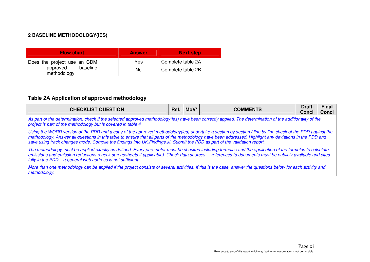# **2 BASELINE METHODOLOGY(IES)**

| <b>Flow chart</b>                                                  | <b>Answer</b> | <b>Next step</b>  |
|--------------------------------------------------------------------|---------------|-------------------|
| Does the project use an CDM<br>approved<br>baseline<br>methodology | Yes           | Complete table 2A |
|                                                                    | No            | Complete table 2B |

# **Table 2A Application of approved methodology**

| <b>CHECKLIST QUESTION</b>                                                                                                                                                                                                                                                                                                                                                                                                                           | Ref. | $M o V^*$ | <b>COMMENTS</b> | <b>Draft</b><br>Concl | <b>Final</b><br><b>Concl</b> |  |  |
|-----------------------------------------------------------------------------------------------------------------------------------------------------------------------------------------------------------------------------------------------------------------------------------------------------------------------------------------------------------------------------------------------------------------------------------------------------|------|-----------|-----------------|-----------------------|------------------------------|--|--|
| As part of the determination, check if the selected approved methodology(ies) have been correctly applied. The determination of the additionality of the<br>project is part of the methodology but is covered in table 4                                                                                                                                                                                                                            |      |           |                 |                       |                              |  |  |
| Using the WORD version of the PDD and a copy of the approved methodology(ies) undertake a section by section / line by line check of the PDD against the<br>methodology. Answer all questions in this table to ensure that all parts of the methodology have been addressed. Highlight any deviations in the PDD and<br>save using track changes mode. Compile the findings into UK. Findings. JI. Submit the PDD as part of the validation report. |      |           |                 |                       |                              |  |  |
| The methodology must be applied exactly as defined. Every parameter must be checked including formulas and the application of the formulas to calculate<br>emissions and emission reductions (check spreadsheets if applicable). Check data sources - references to documents must be publicly available and cited<br>fully in the PDD - a general web address is not sufficient                                                                    |      |           |                 |                       |                              |  |  |
| More than one methodology can be applied if the project consists of several activities. If this is the case, answer the questions below for each activity and<br>methodology.                                                                                                                                                                                                                                                                       |      |           |                 |                       |                              |  |  |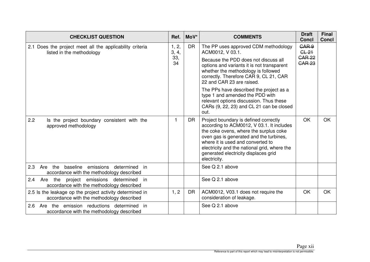| <b>CHECKLIST QUESTION</b>                                                                             | Ref.           | MoV*      | <b>COMMENTS</b>                                                                                                                                                                                                                                                                                                      | <b>Draft</b><br><b>Concl</b>         | Final<br><b>Concl</b> |
|-------------------------------------------------------------------------------------------------------|----------------|-----------|----------------------------------------------------------------------------------------------------------------------------------------------------------------------------------------------------------------------------------------------------------------------------------------------------------------------|--------------------------------------|-----------------------|
| 2.1 Does the project meet all the applicability criteria<br>listed in the methodology                 | 1, 2,<br>3, 4, | <b>DR</b> | The PP uses approved CDM methodology<br>ACM0012, V 03.1.                                                                                                                                                                                                                                                             | CAR <sub>9</sub><br>GL <sub>21</sub> |                       |
|                                                                                                       | 33,<br>34      |           | Because the PDD does not discuss all<br>options and variants it is not transparent<br>whether the methodology is followed<br>correctly. Therefore CAR 9, CL 21, CAR<br>22 and CAR 23 are raised.                                                                                                                     | <b>CAR 22</b><br><b>CAR 23</b>       |                       |
|                                                                                                       |                |           | The PPs have described the project as a<br>type 1 and amended the PDD with<br>relevant options discussion. Thus these<br>CARs (9, 22, 23) and CL 21 can be closed<br>out.                                                                                                                                            |                                      |                       |
| 2.2<br>Is the project boundary consistent with the<br>approved methodology                            |                | <b>DR</b> | Project boundary is defined correctly<br>according to ACM0012, V 03.1. It includes<br>the coke ovens, where the surplus coke<br>oven gas is generated and the turbines,<br>where it is used and converted to<br>electricity and the national grid, where the<br>generated electricity displaces grid<br>electricity. | <b>OK</b>                            | <b>OK</b>             |
| 2.3<br>Are the baseline emissions determined in<br>accordance with the methodology described          |                |           | See Q 2.1 above                                                                                                                                                                                                                                                                                                      |                                      |                       |
| Are the project emissions<br>2.4<br>determined<br>in<br>accordance with the methodology described     |                |           | See Q 2.1 above                                                                                                                                                                                                                                                                                                      |                                      |                       |
| 2.5 Is the leakage op the project activity determined in<br>accordance with the methodology described | 1, 2           | <b>DR</b> | ACM0012, V03.1 does not require the<br>consideration of leakage.                                                                                                                                                                                                                                                     | OK                                   | <b>OK</b>             |
| Are the emission reductions determined in<br>2.6<br>accordance with the methodology described         |                |           | See Q 2.1 above                                                                                                                                                                                                                                                                                                      |                                      |                       |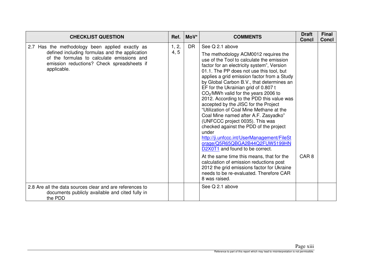| <b>CHECKLIST QUESTION</b>                                                                                                                                                                                    | Ref.          | MoV*      | <b>COMMENTS</b>                                                                                                                                                                                                                                                                                                                                                                                                                                                                                                                                                                                                                                                                                                                                                                                                                                                                                                                                                            | <b>Draft</b><br><b>Concl</b> | <b>Final</b><br><b>Concl</b> |
|--------------------------------------------------------------------------------------------------------------------------------------------------------------------------------------------------------------|---------------|-----------|----------------------------------------------------------------------------------------------------------------------------------------------------------------------------------------------------------------------------------------------------------------------------------------------------------------------------------------------------------------------------------------------------------------------------------------------------------------------------------------------------------------------------------------------------------------------------------------------------------------------------------------------------------------------------------------------------------------------------------------------------------------------------------------------------------------------------------------------------------------------------------------------------------------------------------------------------------------------------|------------------------------|------------------------------|
| 2.7 Has the methodology been applied exactly as<br>defined including formulas and the application<br>of the formulas to calculate emissions and<br>emission reductions? Check spreadsheets if<br>applicable. | 1, 2,<br>4, 5 | <b>DR</b> | See Q 2.1 above<br>The methodology ACM0012 requires the<br>use of the Tool to calculate the emission<br>factor for an electricity system", Version<br>01.1. The PP does not use this tool, but<br>applies a grid emission factor from a Study<br>by Global Carbon B.V., that determines an<br>EF for the Ukrainian grid of 0.807 t<br>CO <sub>2</sub> /MWh valid for the years 2006 to<br>2012. According to the PDD this value was<br>accepted by the JISC for the Project<br>"Utilization of Coal Mine Methane at the<br>Coal Mine named after A.F. Zasyadko"<br>(UNFCCC project 0035). This was<br>checked against the PDD of the project<br>under<br>http://ji.unfccc.int/UserManagement/FileSt<br>orage/Q5R65QBGA2B44Q2FUW5199HN<br>D2X0T1 and found to be correct.<br>At the same time this means, that for the<br>calculation of emission reductions post<br>2012 the grid emissions factor for Ukraine<br>needs to be re-evaluated. Therefore CAR<br>8 was raised. | CAR <sub>8</sub>             |                              |
| 2.8 Are all the data sources clear and are references to<br>documents publicly available and cited fully in<br>the PDD                                                                                       |               |           | See Q 2.1 above                                                                                                                                                                                                                                                                                                                                                                                                                                                                                                                                                                                                                                                                                                                                                                                                                                                                                                                                                            |                              |                              |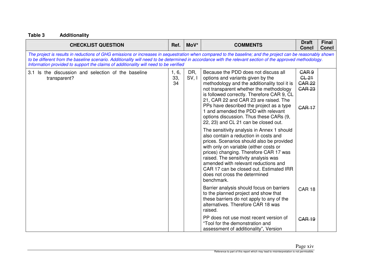| <b>CHECKLIST QUESTION</b>                                                                                                                                                                                                                                                                                                                                                                                       | Ref.               | MoV*         | <b>COMMENTS</b>                                                                                                                                                                                                                                                                                                                                                                                                                                                                                                                                                                                                                                                                                                                                                                      | <b>Draft</b><br><b>Concl</b>                                                   | <b>Final</b><br><b>Concl</b> |
|-----------------------------------------------------------------------------------------------------------------------------------------------------------------------------------------------------------------------------------------------------------------------------------------------------------------------------------------------------------------------------------------------------------------|--------------------|--------------|--------------------------------------------------------------------------------------------------------------------------------------------------------------------------------------------------------------------------------------------------------------------------------------------------------------------------------------------------------------------------------------------------------------------------------------------------------------------------------------------------------------------------------------------------------------------------------------------------------------------------------------------------------------------------------------------------------------------------------------------------------------------------------------|--------------------------------------------------------------------------------|------------------------------|
| The project is results in reductions of GHG emissions or increases in sequestration when compared to the baseline; and the project can be reasonably shown<br>to be different from the baseline scenario. Additionality will need to be determined in accordance with the relevant section of the approved methodology.<br>Information provided to support the claims of additionality will need to be verified |                    |              |                                                                                                                                                                                                                                                                                                                                                                                                                                                                                                                                                                                                                                                                                                                                                                                      |                                                                                |                              |
| 3.1 Is the discussion and selection of the baseline<br>transparent?                                                                                                                                                                                                                                                                                                                                             | 1, 6,<br>33,<br>34 | DR,<br>SV, I | Because the PDD does not discuss all<br>options and variants given by the<br>methodology and the additionality tool it is<br>not transparent whether the methodology<br>is followed correctly. Therefore CAR 9, CL<br>21, CAR 22 and CAR 23 are raised. The<br>PPs have described the project as a type<br>1 and amended the PDD with relevant<br>options discussion. Thus these CARs (9,<br>22, 23) and CL 21 can be closed out.<br>The sensitivity analysis in Annex 1 should<br>also contain a reduction in costs and<br>prices. Scenarios should also be provided<br>with only on variable (either costs or<br>prices) changing. Therefore CAR 17 was<br>raised. The sensitivity analysis was<br>amended with relevant reductions and<br>CAR 17 can be closed out. Estimated IRR | GAR <sub>9</sub><br>$CL-21$<br><b>CAR 22</b><br><b>CAR 23</b><br><b>CAR 17</b> |                              |
|                                                                                                                                                                                                                                                                                                                                                                                                                 |                    |              | does not cross the determined<br>benchmark.<br>Barrier analysis should focus on barriers<br>to the planned project and show that<br>these barriers do not apply to any of the<br>alternatives. Therefore CAR 18 was<br>raised.<br>PP does not use most recent version of<br>"Tool for the demonstration and<br>assessment of additionality", Version                                                                                                                                                                                                                                                                                                                                                                                                                                 | <b>CAR 18</b><br><b>CAR 19</b>                                                 |                              |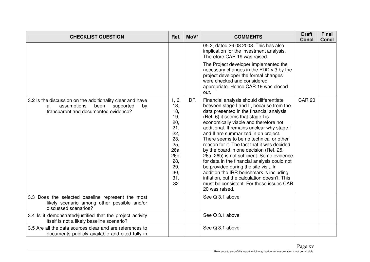| <b>CHECKLIST QUESTION</b>                                                                                                                          | Ref.                                                                                                            | MoV*      | <b>COMMENTS</b>                                                                                                                                                                                                                                                                                                                                                                                                                                                                                                                                                                                                                                                                                                                         | <b>Draft</b><br><b>Concl</b> | Final<br><b>Concl</b> |
|----------------------------------------------------------------------------------------------------------------------------------------------------|-----------------------------------------------------------------------------------------------------------------|-----------|-----------------------------------------------------------------------------------------------------------------------------------------------------------------------------------------------------------------------------------------------------------------------------------------------------------------------------------------------------------------------------------------------------------------------------------------------------------------------------------------------------------------------------------------------------------------------------------------------------------------------------------------------------------------------------------------------------------------------------------------|------------------------------|-----------------------|
|                                                                                                                                                    |                                                                                                                 |           | 05.2, dated 26.08.2008. This has also<br>implication for the investment analysis.<br>Therefore CAR 19 was raised.                                                                                                                                                                                                                                                                                                                                                                                                                                                                                                                                                                                                                       |                              |                       |
|                                                                                                                                                    |                                                                                                                 |           | The Project developer implemented the<br>necessary changes in the PDD v.3 by the<br>project developer the formal changes<br>were checked and considered<br>appropriate. Hence CAR 19 was closed<br>out.                                                                                                                                                                                                                                                                                                                                                                                                                                                                                                                                 |                              |                       |
| 3.2 Is the discussion on the additionality clear and have<br>assumptions<br>been<br>supported<br>all<br>by<br>transparent and documented evidence? | 1, 6,<br>13,<br>18,<br>19,<br>20,<br>21,<br>22,<br>23,<br>25,<br>26a,<br>26b,<br>28,<br>29,<br>30,<br>31,<br>32 | <b>DR</b> | Financial analysis should differentiate<br>between stage I and II, because from the<br>data presented in the financial analysis<br>(Ref. 6) it seems that stage I is<br>economically viable and therefore not<br>additional. It remains unclear why stage I<br>and II are summarized in on project.<br>There seems to be no technical or other<br>reason for it. The fact that it was decided<br>by the board in one decision (Ref. 25,<br>26a, 26b) is not sufficient. Some evidence<br>for data in the financial analysis could not<br>be provided during the site visit. In<br>addition the IRR benchmark is including<br>inflation, but the calculation doesn't. This<br>must be consistent. For these issues CAR<br>20 was raised. | <b>CAR 20</b>                |                       |
| 3.3 Does the selected baseline represent the most<br>likely scenario among other possible and/or<br>discussed scenarios?                           |                                                                                                                 |           | See Q 3.1 above                                                                                                                                                                                                                                                                                                                                                                                                                                                                                                                                                                                                                                                                                                                         |                              |                       |
| 3.4 Is it demonstrated/justified that the project activity<br>itself is not a likely baseline scenario?                                            |                                                                                                                 |           | See Q 3.1 above                                                                                                                                                                                                                                                                                                                                                                                                                                                                                                                                                                                                                                                                                                                         |                              |                       |
| 3.5 Are all the data sources clear and are references to<br>documents publicly available and cited fully in                                        |                                                                                                                 |           | See Q 3.1 above                                                                                                                                                                                                                                                                                                                                                                                                                                                                                                                                                                                                                                                                                                                         |                              |                       |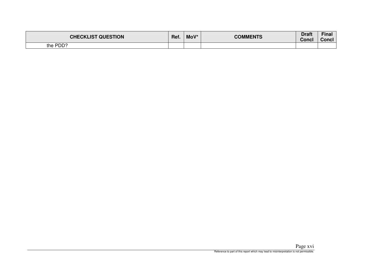| <b>CHECKLIST QUESTION</b> | Ref. | MoV* | <b>COMMENTS</b> | Draft<br>Concl | Fina.<br>Concl |
|---------------------------|------|------|-----------------|----------------|----------------|
| the PDD?                  |      |      |                 |                |                |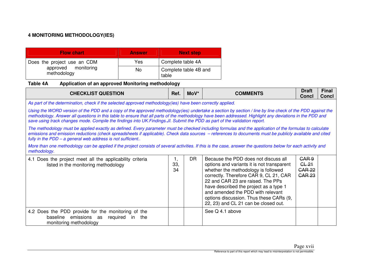# **4 MONITORING METHODOLOGY(IES)**

| <b>Flow chart</b>                                                 | <b>Answer</b> | <b>Next step</b>               |
|-------------------------------------------------------------------|---------------|--------------------------------|
| Does the project use an CDM<br>approved monitoring<br>methodology | Yes           | Complete table 4A              |
|                                                                   | No.           | Complete table 4B and<br>table |

## **Table 4A Application of an approved Monitoring methodology**

| <b>CHECKLIST QUESTION</b>                                                                                                                                                                                                                                                                                                                                                                                                                         | Ref.                                                                                                       | $Mov^*$   | <b>COMMENTS</b>                                                                                                                                                                                                                                                                                                                                                            | <b>Draft</b><br><b>Concl</b>                                           | <b>Final</b><br><b>Concl</b> |  |  |  |  |  |
|---------------------------------------------------------------------------------------------------------------------------------------------------------------------------------------------------------------------------------------------------------------------------------------------------------------------------------------------------------------------------------------------------------------------------------------------------|------------------------------------------------------------------------------------------------------------|-----------|----------------------------------------------------------------------------------------------------------------------------------------------------------------------------------------------------------------------------------------------------------------------------------------------------------------------------------------------------------------------------|------------------------------------------------------------------------|------------------------------|--|--|--|--|--|
|                                                                                                                                                                                                                                                                                                                                                                                                                                                   | As part of the determination, check if the selected approved methodology(ies) have been correctly applied. |           |                                                                                                                                                                                                                                                                                                                                                                            |                                                                        |                              |  |  |  |  |  |
| Using the WORD version of the PDD and a copy of the approved methodology(ies) undertake a section by section / line by line check of the PDD against the<br>methodology. Answer all questions in this table to ensure that all parts of the methodology have been addressed. Highlight any deviations in the PDD and<br>save using track changes mode. Compile the findings into UK.Findings.JI. Submit the PDD as part of the validation report. |                                                                                                            |           |                                                                                                                                                                                                                                                                                                                                                                            |                                                                        |                              |  |  |  |  |  |
| The methodology must be applied exactly as defined. Every parameter must be checked including formulas and the application of the formulas to calculate<br>emissions and emission reductions (check spreadsheets if applicable). Check data sources - references to documents must be publicly available and cited<br>fully in the PDD - a general web address is not sufficient                                                                  |                                                                                                            |           |                                                                                                                                                                                                                                                                                                                                                                            |                                                                        |                              |  |  |  |  |  |
| More than one methodology can be applied if the project consists of several activities. If this is the case, answer the questions below for each activity and<br>methodology.                                                                                                                                                                                                                                                                     |                                                                                                            |           |                                                                                                                                                                                                                                                                                                                                                                            |                                                                        |                              |  |  |  |  |  |
| 4.1 Does the project meet all the applicability criteria<br>listed in the monitoring methodology                                                                                                                                                                                                                                                                                                                                                  | ι.<br>33,<br>34                                                                                            | <b>DR</b> | Because the PDD does not discuss all<br>options and variants it is not transparent<br>whether the methodology is followed<br>correctly. Therefore CAR 9, CL 21, CAR<br>22 and CAR 23 are raised. The PPs<br>have described the project as a type 1<br>and amended the PDD with relevant<br>options discussion. Thus these CARs (9,<br>22, 23) and CL 21 can be closed out. | CAR <sub>9</sub><br>GL <sub>21</sub><br><b>CAR 22</b><br><b>CAR 23</b> |                              |  |  |  |  |  |
| 4.2 Does the PDD provide for the monitoring of the<br>baseline emissions as<br>required<br>in<br>the<br>monitoring methodology                                                                                                                                                                                                                                                                                                                    |                                                                                                            |           | See Q 4.1 above                                                                                                                                                                                                                                                                                                                                                            |                                                                        |                              |  |  |  |  |  |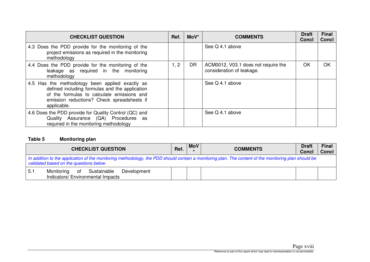| <b>CHECKLIST QUESTION</b>                                                                                                                                                                                    | Ref. | $Mov^*$ | <b>COMMENTS</b>                                                  | <b>Draft</b><br>Concl | <b>Final</b><br><b>Concl</b> |
|--------------------------------------------------------------------------------------------------------------------------------------------------------------------------------------------------------------|------|---------|------------------------------------------------------------------|-----------------------|------------------------------|
| 4.3 Does the PDD provide for the monitoring of the<br>project emissions as required in the monitoring<br>methodology                                                                                         |      |         | See Q 4.1 above                                                  |                       |                              |
| 4.4 Does the PDD provide for the monitoring of the<br>leakage as required in the monitoring<br>methodology                                                                                                   | 1, 2 | DR      | ACM0012, V03.1 does not require the<br>consideration of leakage. | OK                    | OK                           |
| 4.5 Has the methodology been applied exactly as<br>defined including formulas and the application<br>of the formulas to calculate emissions and<br>emission reductions? Check spreadsheets if<br>applicable. |      |         | See Q 4.1 above                                                  |                       |                              |
| 4.6 Does the PDD provide for Quality Control (QC) and<br>Quality Assurance (QA) Procedures as<br>required in the monitoring methodology                                                                      |      |         | See Q 4.1 above                                                  |                       |                              |

### **Table 5 Monitoring plan**

| <b>CHECKLIST QUESTION</b>                                                                                                                                                                      |  | <b>MoV</b> | <b>COMMENTS</b> | <b>Draft</b><br><b>Concl</b> | <b>Final</b><br><b>Concl</b> |  |
|------------------------------------------------------------------------------------------------------------------------------------------------------------------------------------------------|--|------------|-----------------|------------------------------|------------------------------|--|
| In addition to the application of the monitoring methodology, the PDD should contain a monitoring plan. The content of the monitoring plan should be<br>validated based on the questions below |  |            |                 |                              |                              |  |
| Sustainable<br>5.1<br>Monitoring<br>Development<br>ot<br>Indicators/ Environmental Impacts                                                                                                     |  |            |                 |                              |                              |  |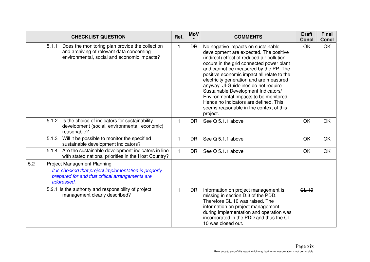|     |       | <b>CHECKLIST QUESTION</b>                                                                                                                                    | Ref. | <b>MoV</b> | <b>COMMENTS</b>                                                                                                                                                                                                                                                                                                                                                                                                                                                                                                                   | <b>Draft</b><br><b>Concl</b> | <b>Final</b><br><b>Concl</b> |
|-----|-------|--------------------------------------------------------------------------------------------------------------------------------------------------------------|------|------------|-----------------------------------------------------------------------------------------------------------------------------------------------------------------------------------------------------------------------------------------------------------------------------------------------------------------------------------------------------------------------------------------------------------------------------------------------------------------------------------------------------------------------------------|------------------------------|------------------------------|
|     | 5.1.1 | Does the monitoring plan provide the collection<br>and archiving of relevant data concerning<br>environmental, social and economic impacts?                  | 1    | <b>DR</b>  | No negative impacts on sustainable<br>development are expected. The positive<br>(indirect) effect of reduced air pollution<br>occurs in the grid connected power plant<br>and cannot be measured by the PP. The<br>positive economic impact all relate to the<br>electricity generation and are measured<br>anyway. JI-Guidelines do not require<br>Sustainable Development Indicators/<br>Environmental Impacts to be monitored.<br>Hence no indicators are defined. This<br>seems reasonable in the context of this<br>project. | OK                           | <b>OK</b>                    |
|     | 5.1.2 | Is the choice of indicators for sustainability<br>development (social, environmental, economic)<br>reasonable?                                               | 1.   | <b>DR</b>  | See Q 5.1.1 above                                                                                                                                                                                                                                                                                                                                                                                                                                                                                                                 | OK                           | <b>OK</b>                    |
|     | 5.1.3 | Will it be possible to monitor the specified<br>sustainable development indicators?                                                                          |      | <b>DR</b>  | See Q 5.1.1 above                                                                                                                                                                                                                                                                                                                                                                                                                                                                                                                 | OK                           | OK                           |
|     | 5.1.4 | Are the sustainable development indicators in line<br>with stated national priorities in the Host Country?                                                   | 1.   | <b>DR</b>  | See Q 5.1.1 above                                                                                                                                                                                                                                                                                                                                                                                                                                                                                                                 | OK                           | OK                           |
| 5.2 |       | <b>Project Management Planning</b><br>It is checked that project implementation is properly<br>prepared for and that critical arrangements are<br>addressed. |      |            |                                                                                                                                                                                                                                                                                                                                                                                                                                                                                                                                   |                              |                              |
|     |       | 5.2.1 Is the authority and responsibility of project<br>management clearly described?                                                                        | 1    | <b>DR</b>  | Information on project management is<br>missing in section D.3 of the PDD.<br>Therefore CL 10 was raised. The<br>information on project management<br>during implementation and operation was<br>incorporated in the PDD and thus the CL<br>10 was closed out.                                                                                                                                                                                                                                                                    | $GL-10$                      |                              |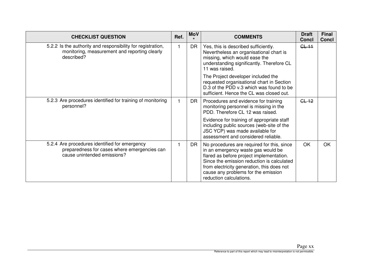| <b>CHECKLIST QUESTION</b>                                                                                                    | Ref. | <b>MoV</b> | <b>COMMENTS</b>                                                                                                                                                                                                                                                                            | <b>Draft</b><br><b>Concl</b> | <b>Final</b><br><b>Concl</b> |
|------------------------------------------------------------------------------------------------------------------------------|------|------------|--------------------------------------------------------------------------------------------------------------------------------------------------------------------------------------------------------------------------------------------------------------------------------------------|------------------------------|------------------------------|
| 5.2.2 Is the authority and responsibility for registration,<br>monitoring, measurement and reporting clearly<br>described?   |      | <b>DR</b>  | Yes, this is described sufficiently.<br>Nevertheless an organisational chart is<br>missing, which would ease the<br>understanding significantly. Therefore CL<br>11 was raised.                                                                                                            | GL <sub>11</sub>             |                              |
|                                                                                                                              |      |            | The Project developer included the<br>requested organisational chart in Section<br>D.3 of the PDD v.3 which was found to be<br>sufficient. Hence the CL was closed out.                                                                                                                    |                              |                              |
| 5.2.3 Are procedures identified for training of monitoring<br>personnel?                                                     |      | DR.        | Procedures and evidence for training<br>monitoring personnel is missing in the<br>PDD. Therefore CL 12 was raised.                                                                                                                                                                         | GL <sub>12</sub>             |                              |
|                                                                                                                              |      |            | Evidence for training of appropriate staff<br>including public sources (web-site of the<br>JSC YCP) was made available for<br>assessment and considered reliable.                                                                                                                          |                              |                              |
| 5.2.4 Are procedures identified for emergency<br>preparedness for cases where emergencies can<br>cause unintended emissions? |      | <b>DR</b>  | No procedures are required for this, since<br>in an emergency waste gas would be<br>flared as before project implementation.<br>Since the emission reduction is calculated<br>from electricity generation, this does not<br>cause any problems for the emission<br>reduction calculations. | <b>OK</b>                    | <b>OK</b>                    |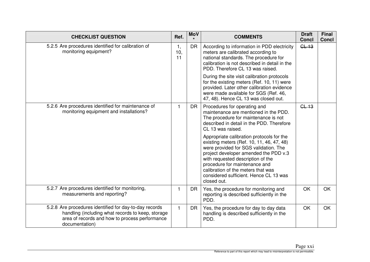| <b>CHECKLIST QUESTION</b>                                                                                                                                                       | Ref.            | <b>MoV</b> | <b>COMMENTS</b>                                                                                                                                                                                                                                                                                                                               | <b>Draft</b><br><b>Concl</b> | <b>Final</b><br><b>Concl</b> |
|---------------------------------------------------------------------------------------------------------------------------------------------------------------------------------|-----------------|------------|-----------------------------------------------------------------------------------------------------------------------------------------------------------------------------------------------------------------------------------------------------------------------------------------------------------------------------------------------|------------------------------|------------------------------|
| 5.2.5 Are procedures identified for calibration of<br>monitoring equipment?                                                                                                     | 1,<br>10,<br>11 | <b>DR</b>  | According to information in PDD electricity<br>meters are calibrated according to<br>national standards. The procedure for<br>calibration is not described in detail in the<br>PDD. Therefore CL 13 was raised.                                                                                                                               | GL <sub>13</sub>             |                              |
|                                                                                                                                                                                 |                 |            | During the site visit calibration protocols<br>for the existing meters (Ref. 10, 11) were<br>provided. Later other calibration evidence<br>were made available for SGS (Ref. 46,<br>47, 48). Hence CL 13 was closed out.                                                                                                                      |                              |                              |
| 5.2.6 Are procedures identified for maintenance of<br>monitoring equipment and installations?                                                                                   |                 | <b>DR</b>  | Procedures for operating and<br>maintenance are mentioned in the PDD.<br>The procedure for maintenance is not<br>described in detail in the PDD. Therefore<br>CL 13 was raised.                                                                                                                                                               | GL <sub>13</sub>             |                              |
|                                                                                                                                                                                 |                 |            | Appropriate calibration protocols for the<br>existing meters (Ref. 10, 11, 46, 47, 48)<br>were provided for SGS validation. The<br>project developer amended the PDD v.3<br>with requested description of the<br>procedure for maintenance and<br>calibration of the meters that was<br>considered sufficient. Hence CL 13 was<br>closed out. |                              |                              |
| 5.2.7 Are procedures identified for monitoring,<br>measurements and reporting?                                                                                                  |                 | <b>DR</b>  | Yes, the procedure for monitoring and<br>reporting is described sufficiently in the<br>PDD.                                                                                                                                                                                                                                                   | OK                           | OK                           |
| 5.2.8 Are procedures identified for day-to-day records<br>handling (including what records to keep, storage<br>area of records and how to process performance<br>documentation) | $\mathbf{1}$    | <b>DR</b>  | Yes, the procedure for day to day data<br>handling is described sufficiently in the<br>PDD.                                                                                                                                                                                                                                                   | OK                           | <b>OK</b>                    |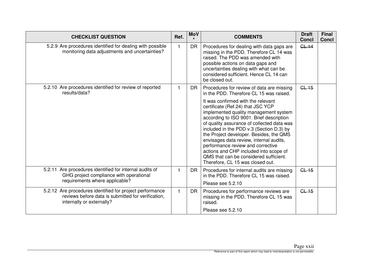| <b>CHECKLIST QUESTION</b>                                                                                                                   | Ref. | <b>MoV</b> | <b>COMMENTS</b>                                                                                                                                                                                                                                                                                                                                                                                                                                                                                           | <b>Draft</b><br><b>Concl</b> | <b>Final</b><br><b>Concl</b> |
|---------------------------------------------------------------------------------------------------------------------------------------------|------|------------|-----------------------------------------------------------------------------------------------------------------------------------------------------------------------------------------------------------------------------------------------------------------------------------------------------------------------------------------------------------------------------------------------------------------------------------------------------------------------------------------------------------|------------------------------|------------------------------|
| 5.2.9 Are procedures identified for dealing with possible<br>monitoring data adjustments and uncertainties?                                 |      | <b>DR</b>  | Procedures for dealing with data gaps are<br>missing in the PDD. Therefore CL 14 was<br>raised. The PDD was amended with<br>possible actions on data gaps and<br>uncertainties dealing with what can be<br>considered sufficient. Hence CL 14 can<br>be closed out.                                                                                                                                                                                                                                       | $GL-14$                      |                              |
| 5.2.10 Are procedures identified for review of reported<br>results/data?                                                                    |      | <b>DR</b>  | Procedures for review of data are missing<br>in the PDD. Therefore CL 15 was raised.                                                                                                                                                                                                                                                                                                                                                                                                                      | CL15                         |                              |
|                                                                                                                                             |      |            | It was confirmed with the relevant<br>certificate (Ref.24) that JSC YCP<br>implemented quality management system<br>according to ISO 9001. Brief description<br>of quality assurance of collected data was<br>included in the PDD v.3 (Section D.3) by<br>the Project developer. Besides, the QMS<br>envisages data review, internal audits,<br>performance review and corrective<br>actions and CHP included into scope of<br>QMS that can be considered sufficient.<br>Therefore, CL 15 was closed out. |                              |                              |
| 5.2.11 Are procedures identified for internal audits of<br>GHG project compliance with operational<br>requirements where applicable?        |      | <b>DR</b>  | Procedures for internal audits are missing<br>in the PDD. Therefore CL 15 was raised.                                                                                                                                                                                                                                                                                                                                                                                                                     | GL <sub>15</sub>             |                              |
|                                                                                                                                             |      |            | Please see 5.2.10                                                                                                                                                                                                                                                                                                                                                                                                                                                                                         |                              |                              |
| 5.2.12 Are procedures identified for project performance<br>reviews before data is submitted for verification,<br>internally or externally? |      | <b>DR</b>  | Procedures for performance reviews are<br>missing in the PDD. Therefore CL 15 was<br>raised.                                                                                                                                                                                                                                                                                                                                                                                                              | GL <sub>15</sub>             |                              |
|                                                                                                                                             |      |            | Please see 5.2.10                                                                                                                                                                                                                                                                                                                                                                                                                                                                                         |                              |                              |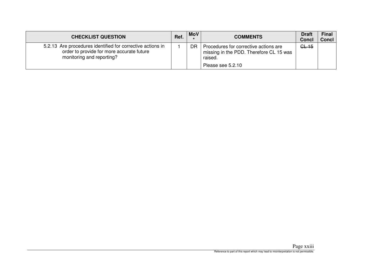| <b>CHECKLIST QUESTION</b>                                                                                                            | Ref. | <b>MoV</b> | <b>COMMENTS</b>                                                                                                  | <b>Draft</b><br><b>Concl</b> | <b>Final</b><br><b>Concl</b> |
|--------------------------------------------------------------------------------------------------------------------------------------|------|------------|------------------------------------------------------------------------------------------------------------------|------------------------------|------------------------------|
| 5.2.13 Are procedures identified for corrective actions in<br>order to provide for more accurate future<br>monitoring and reporting? |      | DR         | Procedures for corrective actions are<br>missing in the PDD. Therefore CL 15 was<br>raised.<br>Please see 5.2.10 | GL <sub>15</sub>             |                              |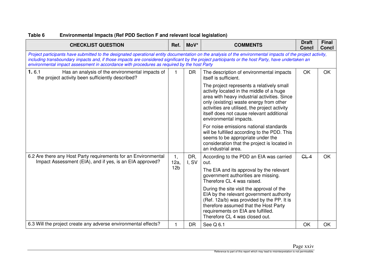| <b>CHECKLIST QUESTION</b>                                                                                                                                                                                                                                                                                                                                                                                         | Ref.            | MoV*         | <b>COMMENTS</b>                                                                                                                                                                                                                                       | <b>Draft</b><br><b>Concl</b> | <b>Final</b><br><b>Concl</b> |
|-------------------------------------------------------------------------------------------------------------------------------------------------------------------------------------------------------------------------------------------------------------------------------------------------------------------------------------------------------------------------------------------------------------------|-----------------|--------------|-------------------------------------------------------------------------------------------------------------------------------------------------------------------------------------------------------------------------------------------------------|------------------------------|------------------------------|
| Project participants have submitted to the designated operational entity documentation on the analysis of the environmental impacts of the project activity,<br>including transboundary impacts and, if those impacts are considered significant by the project participants or the host Party, have undertaken an<br>environmental impact assessment in accordance with procedures as required by the host Party |                 |              |                                                                                                                                                                                                                                                       |                              |                              |
| 1.6.1<br>Has an analysis of the environmental impacts of<br>the project activity been sufficiently described?                                                                                                                                                                                                                                                                                                     | 1.              | <b>DR</b>    | The description of environmental impacts<br>itself is sufficient.<br>The project represents a relatively small<br>activity located in the middle of a huge<br>area with heavy industrial activities. Since<br>only (existing) waste energy from other | OK                           | <b>OK</b>                    |
|                                                                                                                                                                                                                                                                                                                                                                                                                   |                 |              | activities are utilised, the project activity<br>itself does not cause relevant additional<br>environmental impacts.                                                                                                                                  |                              |                              |
|                                                                                                                                                                                                                                                                                                                                                                                                                   |                 |              | For noise emissions national standards<br>will be fulfilled according to the PDD. This<br>seems to be appropriate under the<br>consideration that the project is located in<br>an industrial area.                                                    |                              |                              |
| 6.2 Are there any Host Party requirements for an Environmental<br>Impact Assessment (EIA), and if yes, is an EIA approved?                                                                                                                                                                                                                                                                                        | 1,<br>12a,      | DR,<br>I, SV | According to the PDD an EIA was carried<br>out.                                                                                                                                                                                                       | GL4                          | <b>OK</b>                    |
|                                                                                                                                                                                                                                                                                                                                                                                                                   | 12 <sub>b</sub> |              | The EIA and its approval by the relevant<br>government authorities are missing.<br>Therefore CL 4 was raised.                                                                                                                                         |                              |                              |
|                                                                                                                                                                                                                                                                                                                                                                                                                   |                 |              | During the site visit the approval of the<br>EIA by the relevant government authority<br>(Ref. 12a/b) was provided by the PP. It is<br>therefore assumed that the Host Party<br>requirements on EIA are fulfilled.<br>Therefore CL 4 was closed out.  |                              |                              |
| 6.3 Will the project create any adverse environmental effects?                                                                                                                                                                                                                                                                                                                                                    | 1               | <b>DR</b>    | See $Q$ 6.1                                                                                                                                                                                                                                           | OK                           | OK                           |

# **Table 6 Environmental Impacts (Ref PDD Section F and relevant local legislation)**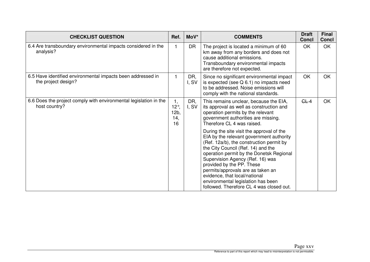| <b>CHECKLIST QUESTION</b>                                                          | Ref.                                  | MoV*         | <b>COMMENTS</b>                                                                                                                                                                                                                                                                                                                                                                                                                              | <b>Draft</b><br><b>Concl</b> | <b>Final</b><br><b>Concl</b> |
|------------------------------------------------------------------------------------|---------------------------------------|--------------|----------------------------------------------------------------------------------------------------------------------------------------------------------------------------------------------------------------------------------------------------------------------------------------------------------------------------------------------------------------------------------------------------------------------------------------------|------------------------------|------------------------------|
| 6.4 Are transboundary environmental impacts considered in the<br>analysis?         |                                       | DR           | The project is located a minimum of 60<br>km away from any borders and does not<br>cause additional emissions.<br>Transboundary environmental impacts<br>are therefore not expected.                                                                                                                                                                                                                                                         | OK                           | OK                           |
| 6.5 Have identified environmental impacts been addressed in<br>the project design? | 1                                     | DR,<br>I, SV | Since no significant environmental impact<br>is expected (see Q 6.1) no impacts need<br>to be addressed. Noise emissions will<br>comply with the national standards.                                                                                                                                                                                                                                                                         | <b>OK</b>                    | <b>OK</b>                    |
| 6.6 Does the project comply with environmental legislation in the<br>host country? | 1,<br>$12^\circ$<br>12b,<br>14,<br>16 | DR,<br>I, SV | This remains unclear, because the EIA,<br>its approval as well as construction and<br>operation permits by the relevant<br>government authorities are missing.<br>Therefore CL 4 was raised.                                                                                                                                                                                                                                                 | GL4                          | OK                           |
|                                                                                    |                                       |              | During the site visit the approval of the<br>EIA by the relevant government authority<br>(Ref. 12a/b), the construction permit by<br>the City Council (Ref. 14) and the<br>operation permit by the Donetsk Regional<br>Supervision Agency (Ref. 16) was<br>provided by the PP. These<br>permits/approvals are as taken an<br>evidence, that local/national<br>environmental legislation has been<br>followed. Therefore CL 4 was closed out. |                              |                              |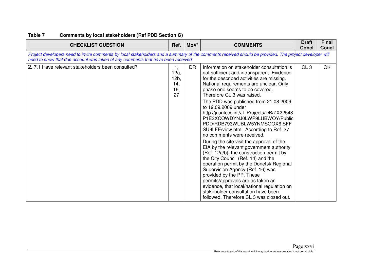| <b>CHECKLIST QUESTION</b>                                                                                                                                                                                                                 | Ref.                                   | MoV*      | <b>COMMENTS</b>                                                                                                                                                                                                                                                                                                                                                                                                                                                                                                                                                                                                                                                                                                                                                                                                                                                                                                                                                         | <b>Draft</b><br><b>Concl</b> | <b>Final</b><br><b>Concl</b> |
|-------------------------------------------------------------------------------------------------------------------------------------------------------------------------------------------------------------------------------------------|----------------------------------------|-----------|-------------------------------------------------------------------------------------------------------------------------------------------------------------------------------------------------------------------------------------------------------------------------------------------------------------------------------------------------------------------------------------------------------------------------------------------------------------------------------------------------------------------------------------------------------------------------------------------------------------------------------------------------------------------------------------------------------------------------------------------------------------------------------------------------------------------------------------------------------------------------------------------------------------------------------------------------------------------------|------------------------------|------------------------------|
| Project developers need to invite comments by local stakeholders and a summary of the comments received should be provided. The project developer will<br>need to show that due account was taken of any comments that have been received |                                        |           |                                                                                                                                                                                                                                                                                                                                                                                                                                                                                                                                                                                                                                                                                                                                                                                                                                                                                                                                                                         |                              |                              |
| 2.7.1 Have relevant stakeholders been consulted?                                                                                                                                                                                          | 1,<br>12a,<br>12b,<br>14,<br>16,<br>27 | <b>DR</b> | Information on stakeholder consultation is<br>not sufficient and intransparent. Evidence<br>for the described activities are missing.<br>National requirements are unclear. Only<br>phase one seems to be covered.<br>Therefore CL 3 was raised.<br>The PDD was published from 21.08.2009<br>to 19.09.2009 under<br>http://ji.unfccc.int/Jl_Projects/DB/ZX22548<br>P1E3XCOWDYNJ0LWP9LUBWOY/Public<br>PDD/RDB793WUBLW5YNMSOOX6ISFF<br>SU9LFE/view.html. According to Ref. 27<br>no comments were received.<br>During the site visit the approval of the<br>EIA by the relevant government authority<br>(Ref. 12a/b), the construction permit by<br>the City Council (Ref. 14) and the<br>operation permit by the Donetsk Regional<br>Supervision Agency (Ref. 16) was<br>provided by the PP. These<br>permits/approvals are as taken an<br>evidence, that local/national regulation on<br>stakeholder consultation have been<br>followed. Therefore CL 3 was closed out. | GL <sub>3</sub>              | <b>OK</b>                    |

# **Table 7 Comments by local stakeholders (Ref PDD Section G)**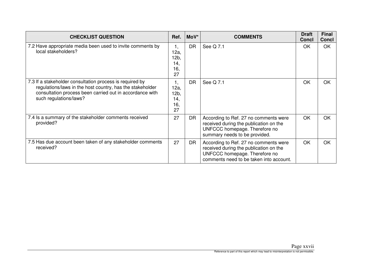| <b>CHECKLIST QUESTION</b>                                                                                                                                                                                   | Ref.                                   | $MoV^*$   | <b>COMMENTS</b>                                                                                                                                             | <b>Draft</b><br><b>Concl</b> | <b>Final</b><br><b>Concl</b> |
|-------------------------------------------------------------------------------------------------------------------------------------------------------------------------------------------------------------|----------------------------------------|-----------|-------------------------------------------------------------------------------------------------------------------------------------------------------------|------------------------------|------------------------------|
| 7.2 Have appropriate media been used to invite comments by<br>local stakeholders?                                                                                                                           | 1,<br>12a,<br>12b,<br>14,<br>16,<br>27 | <b>DR</b> | See Q 7.1                                                                                                                                                   | OK                           | <b>OK</b>                    |
| 7.3 If a stakeholder consultation process is required by<br>regulations/laws in the host country, has the stakeholder<br>consultation process been carried out in accordance with<br>such regulations/laws? | 1,<br>12a,<br>12b,<br>14,<br>16,<br>27 | <b>DR</b> | See Q 7.1                                                                                                                                                   | OK                           | <b>OK</b>                    |
| 7.4 Is a summary of the stakeholder comments received<br>provided?                                                                                                                                          | 27                                     | DR        | According to Ref. 27 no comments were<br>received during the publication on the<br>UNFCCC homepage. Therefore no<br>summary needs to be provided.           | OK                           | <b>OK</b>                    |
| 7.5 Has due account been taken of any stakeholder comments<br>received?                                                                                                                                     | 27                                     | <b>DR</b> | According to Ref. 27 no comments were<br>received during the publication on the<br>UNFCCC homepage. Therefore no<br>comments need to be taken into account. | OK                           | <b>OK</b>                    |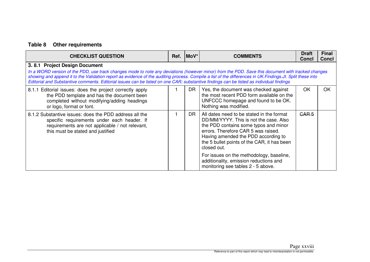# **Table 8 Other requirements**

| <b>CHECKLIST QUESTION</b>                                                                                                                                                                                                                                                                                                                                                                                                                                                                     | Ref. | $Mov^*$   | <b>COMMENTS</b>                                                                                                                                                                                                                                                          | <b>Draft</b><br><b>Concl</b> | <b>Final</b><br><b>Concl</b> |  |
|-----------------------------------------------------------------------------------------------------------------------------------------------------------------------------------------------------------------------------------------------------------------------------------------------------------------------------------------------------------------------------------------------------------------------------------------------------------------------------------------------|------|-----------|--------------------------------------------------------------------------------------------------------------------------------------------------------------------------------------------------------------------------------------------------------------------------|------------------------------|------------------------------|--|
| 3.8.1 Project Design Document<br>In a WORD version of the PDD, use track changes mode to note any deviations (however minor) from the PDD. Save this document with tracked changes<br>showing and append it to the Validation report as evidence of the auditing process. Compile a list of the differences in UK. Findings. Jl. Split these into<br>Editorial and Substantive comments. Editorial issues can be listed on one CAR; substantive findings can be listed as individual findings |      |           |                                                                                                                                                                                                                                                                          |                              |                              |  |
| 8.1.1 Editorial issues: does the project correctly apply<br>the PDD template and has the document been<br>completed without modifying/adding headings<br>or logo, format or font.                                                                                                                                                                                                                                                                                                             |      | <b>DR</b> | Yes, the document was checked against<br>the most recent PDD form available on the<br>UNFCCC homepage and found to be OK.<br>Nothing was modified.                                                                                                                       | OK                           | <b>OK</b>                    |  |
| 8.1.2 Substantive issues: does the PDD address all the<br>specific requirements under each header. If<br>requirements are not applicable / not relevant,<br>this must be stated and justified                                                                                                                                                                                                                                                                                                 |      | <b>DR</b> | All dates need to be stated in the format<br>DD/MM/YYYY. This is not the case. Also<br>the PDD contains some typos and minor<br>errors. Therefore CAR 5 was raised.<br>Having amended the PDD according to<br>the 5 bullet points of the CAR, it has been<br>closed out. | CAR <sub>5</sub>             |                              |  |
|                                                                                                                                                                                                                                                                                                                                                                                                                                                                                               |      |           | For issues on the methodology, baseline,<br>additionality, emission reductions and<br>monitoring see tables 2 - 5 above.                                                                                                                                                 |                              |                              |  |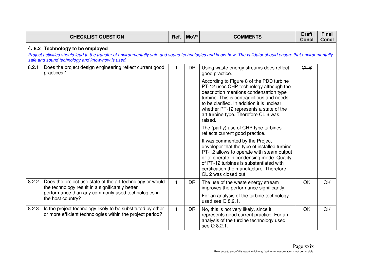|       | <b>CHECKLIST QUESTION</b>                                                                                                                                                                                                                          | Ref.         | MoV*      | <b>COMMENTS</b>                                                                                                                                                                                                                                                                                                       | <b>Draft</b><br><b>Concl</b> | <b>Final</b><br><b>Concl</b> |
|-------|----------------------------------------------------------------------------------------------------------------------------------------------------------------------------------------------------------------------------------------------------|--------------|-----------|-----------------------------------------------------------------------------------------------------------------------------------------------------------------------------------------------------------------------------------------------------------------------------------------------------------------------|------------------------------|------------------------------|
|       | 4.8.2 Technology to be employed<br>Project activities should lead to the transfer of environmentally safe and sound technologies and know-how. The validator should ensure that environmentally<br>safe and sound technology and know-how is used. |              |           |                                                                                                                                                                                                                                                                                                                       |                              |                              |
| 8.2.1 | Does the project design engineering reflect current good<br>practices?                                                                                                                                                                             |              | <b>DR</b> | Using waste energy streams does reflect<br>good practice.                                                                                                                                                                                                                                                             | GL6                          |                              |
|       |                                                                                                                                                                                                                                                    |              |           | According to Figure 8 of the PDD turbine<br>PT-12 uses CHP technology although the<br>description mentions condensation type<br>turbine. This is contradictious and needs<br>to be clarified. In addition it is unclear<br>whether PT-12 represents a state of the<br>art turbine type. Therefore CL 6 was<br>raised. |                              |                              |
|       |                                                                                                                                                                                                                                                    |              |           | The (partly) use of CHP type turbines<br>reflects current good practice.                                                                                                                                                                                                                                              |                              |                              |
|       |                                                                                                                                                                                                                                                    |              |           | It was commented by the Project<br>developer that the type of installed turbine<br>PT-12 allows to operate with steam output<br>or to operate in condensing mode. Quality<br>of PT-12 turbines is substantiated with<br>certification the manufacture. Therefore<br>CL 2 was closed out.                              |                              |                              |
| 8.2.2 | Does the project use state of the art technology or would<br>the technology result in a significantly better                                                                                                                                       | $\mathbf{1}$ | <b>DR</b> | The use of the waste energy stream<br>improves the performance significantly.                                                                                                                                                                                                                                         | OK                           | <b>OK</b>                    |
|       | performance than any commonly used technologies in<br>the host country?                                                                                                                                                                            |              |           | For an analysis of the turbine technology<br>used see $Q$ 8.2.1.                                                                                                                                                                                                                                                      |                              |                              |
| 8.2.3 | Is the project technology likely to be substituted by other<br>or more efficient technologies within the project period?                                                                                                                           | $\mathbf{1}$ | <b>DR</b> | No, this is not very likely, since it<br>represents good current practice. For an<br>analysis of the turbine technology used<br>see Q 8.2.1.                                                                                                                                                                          | <b>OK</b>                    | <b>OK</b>                    |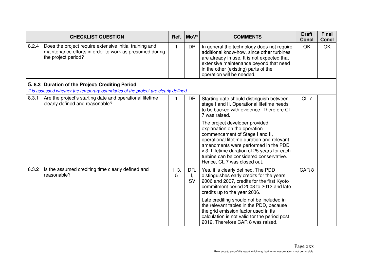|       | <b>CHECKLIST QUESTION</b>                                                                                                                 | Ref.         | MoV*                   | <b>COMMENTS</b>                                                                                                                                                                                                                                                                                                  | <b>Draft</b><br><b>Concl</b> | <b>Final</b><br><b>Concl</b> |
|-------|-------------------------------------------------------------------------------------------------------------------------------------------|--------------|------------------------|------------------------------------------------------------------------------------------------------------------------------------------------------------------------------------------------------------------------------------------------------------------------------------------------------------------|------------------------------|------------------------------|
| 8.2.4 | Does the project require extensive initial training and<br>maintenance efforts in order to work as presumed during<br>the project period? | $\mathbf{1}$ | <b>DR</b>              | In general the technology does not require<br>additional know-how, since other turbines<br>are already in use. It is not expected that<br>extensive maintenance beyond that need<br>in the other (existing) parts of the<br>operation will be needed.                                                            | OK                           | OK                           |
|       | 5.8.3 Duration of the Project/ Crediting Period                                                                                           |              |                        |                                                                                                                                                                                                                                                                                                                  |                              |                              |
|       | It is assessed whether the temporary boundaries of the project are clearly defined.                                                       |              |                        |                                                                                                                                                                                                                                                                                                                  |                              |                              |
| 8.3.1 | Are the project's starting date and operational lifetime<br>clearly defined and reasonable?                                               | 1            | <b>DR</b>              | Starting date should distinguish between<br>stage I and II. Operational lifetime needs<br>to be backed with evidence. Therefore CL<br>7 was raised.                                                                                                                                                              | $GL-7$                       |                              |
|       |                                                                                                                                           |              |                        | The project developer provided<br>explanation on the operation<br>commencement of Stage I and II,<br>operational lifetime duration and relevant<br>amendments were performed in the PDD<br>v.3. Lifetime duration of 25 years for each<br>turbine can be considered conservative.<br>Hence, CL 7 was closed out. |                              |                              |
| 8.3.2 | Is the assumed crediting time clearly defined and<br>reasonable?                                                                          | 1, 3,<br>5   | DR,<br>Ι,<br><b>SV</b> | Yes, it is clearly defined. The PDD<br>distinguishes early credits for the years<br>2006 and 2007, credits for the first Kyoto<br>commitment period 2008 to 2012 and late<br>credits up to the year 2036.                                                                                                        | CAR <sub>8</sub>             |                              |
|       |                                                                                                                                           |              |                        | Late crediting should not be included in<br>the relevant tables in the PDD, because<br>the grid emission factor used in its<br>calculation is not valid for the period post<br>2012. Therefore CAR 8 was raised.                                                                                                 |                              |                              |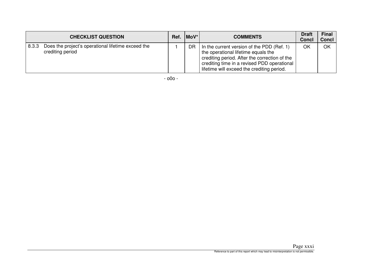|       | <b>CHECKLIST QUESTION</b>                                              | Ref. | $ $ MoV $* $ | <b>COMMENTS</b>                                                                                                                                                                                                                 | <b>Draft</b><br><b>Concl</b> | <b>Final</b><br><b>Concl</b> |
|-------|------------------------------------------------------------------------|------|--------------|---------------------------------------------------------------------------------------------------------------------------------------------------------------------------------------------------------------------------------|------------------------------|------------------------------|
| 8.3.3 | Does the project's operational lifetime exceed the<br>crediting period |      | <b>DR</b>    | In the current version of the PDD (Ref. 1)<br>the operational lifetime equals the<br>crediting period. After the correction of the<br>crediting time in a revised PDD operational<br>lifetime will exceed the crediting period. | OK                           | OK                           |

- o0o -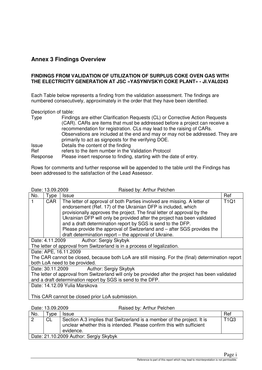# **Annex 3 Findings Overview**

#### **FINDINGS FROM VALIDATION OF UTILIZATION OF SURPLUS COKE OVEN GAS WITH THE ELECTRICITY GENERATION AT JSC «YASYNIVSKYI COKE PLANT» - JI.VAL0243**

Each Table below represents a finding from the validation assessment. The findings are numbered consecutively, approximately in the order that they have been identified.

Description of table:

| <b>Type</b>  | Findings are either Clarification Requests (CL) or Corrective Action Requests<br>(CAR). CARs are items that must be addressed before a project can receive a<br>recommendation for registration. CLs may lead to the raising of CARs.<br>Observations are included at the end and may or may not be addressed. They are<br>primarily to act as signposts for the verifying DOE. |
|--------------|---------------------------------------------------------------------------------------------------------------------------------------------------------------------------------------------------------------------------------------------------------------------------------------------------------------------------------------------------------------------------------|
| <b>Issue</b> | Details the content of the finding                                                                                                                                                                                                                                                                                                                                              |
| Ref          | refers to the item number in the Validation Protocol                                                                                                                                                                                                                                                                                                                            |
| Response     | Please insert response to finding, starting with the date of entry.                                                                                                                                                                                                                                                                                                             |

Rows for comments and further response will be appended to the table until the Findings has been addressed to the satisfaction of the Lead Assessor.

|                                                             | Date: 13.09.2009                                | Raised by: Arthur Pelchen                                                                          |             |  |  |
|-------------------------------------------------------------|-------------------------------------------------|----------------------------------------------------------------------------------------------------|-------------|--|--|
| No.                                                         | Type                                            | <b>Issue</b>                                                                                       | Ref         |  |  |
| 1                                                           | <b>CAR</b>                                      | The letter of approval of both Parties involved are missing. A letter of                           | <b>T1Q1</b> |  |  |
|                                                             |                                                 | endorsement (Ref. 17) of the Ukrainian DFP is included, which                                      |             |  |  |
|                                                             |                                                 | provisionally approves the project. The final letter of approval by the                            |             |  |  |
|                                                             |                                                 | Ukrainian DFP will only be provided after the project has been validated                           |             |  |  |
|                                                             |                                                 | and a draft determination report by SGS is send to the DFP.                                        |             |  |  |
|                                                             |                                                 | Please provide the approval of Switzerland and – after SGS provides the                            |             |  |  |
|                                                             |                                                 | draft determination report – the approval of Ukraine.                                              |             |  |  |
|                                                             | Date: 4.11.2009                                 | <b>Author: Sergiy Skybyk</b>                                                                       |             |  |  |
|                                                             |                                                 | The letter of approval from Switzerland is in a process of legalization.                           |             |  |  |
|                                                             |                                                 | Date: APE, 16.11.2009                                                                              |             |  |  |
|                                                             |                                                 | The CAR cannot be closed, because both LoA are still missing. For the (final) determination report |             |  |  |
|                                                             |                                                 | both LoA need to be provided.                                                                      |             |  |  |
|                                                             |                                                 | Date: 30.11.2009<br>Author: Sergiy Skybyk                                                          |             |  |  |
|                                                             |                                                 | The letter of approval from Switzerland will only be provided after the project has been validated |             |  |  |
| and a draft determination report by SGS is send to the DFP. |                                                 |                                                                                                    |             |  |  |
|                                                             | Date: 14.12.09 Yulia Marskova                   |                                                                                                    |             |  |  |
|                                                             |                                                 |                                                                                                    |             |  |  |
|                                                             | This CAR cannot be closed prior LoA submission. |                                                                                                    |             |  |  |

#### Date: 13.09.2009 Raised by: Arthur Pelchen

| No. | vpe                                    | Issue                                                                                                                                                        | Ref                           |  |
|-----|----------------------------------------|--------------------------------------------------------------------------------------------------------------------------------------------------------------|-------------------------------|--|
|     | <b>CL</b>                              | Section A.3 implies that Switzerland is a member of the project. It is<br>unclear whether this is intended. Please confirm this with sufficient<br>evidence. | T <sub>1</sub> Q <sub>3</sub> |  |
|     | Date: 21.10.2009 Author: Sergiy Skybyk |                                                                                                                                                              |                               |  |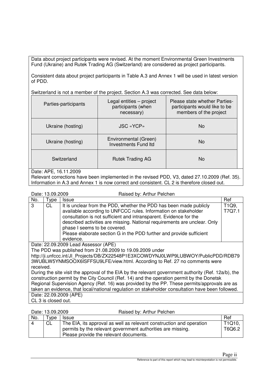Data about project participants were revised. At the moment Environmental Green Investments Fund (Ukraine) and Rutek Trading AG (Switzerland) are considered as project participants.

Consistent data about project participants in Table A.3 and Annex 1 will be used in latest version of PDD.

Switzerland is not a member of the project. Section A.3 was corrected. See data below:

| Parties-participants | Legal entities – project<br>participants (when<br>necessary) | Please state whether Parties-<br>participants would like to be<br>members of the project |
|----------------------|--------------------------------------------------------------|------------------------------------------------------------------------------------------|
| Ukraine (hosting)    | <b>JSC «YCP»</b>                                             | <b>No</b>                                                                                |
| Ukraine (hosting)    | Environmental (Green)<br><b>Investments Fund Itd</b>         | N <sub>o</sub>                                                                           |
| Switzerland          | <b>Rutek Trading AG</b>                                      | No.                                                                                      |

## Date: APE, 16.11.2009

Relevant corrections have been implemented in the revised PDD, V3, dated 27.10.2009 (Ref. 35). Information in A.3 and Annex 1 is now correct and consistent. CL 2 is therefore closed out.

Date: 13.09.2009 Raised by: Arthur Pelchen

| No.       | Type                                                                                              | Issue                                                                                                | Ref    |  |  |
|-----------|---------------------------------------------------------------------------------------------------|------------------------------------------------------------------------------------------------------|--------|--|--|
| 3         | <b>CL</b>                                                                                         | It is unclear from the PDD, whether the PDD has been made publicly                                   | T1Q9,  |  |  |
|           |                                                                                                   | available according to UNFCCC rules. Information on stakeholder                                      | T7Q7.1 |  |  |
|           |                                                                                                   | consultation is not sufficient and intransparent. Evidence for the                                   |        |  |  |
|           |                                                                                                   | described activities are missing. National requirements are unclear. Only                            |        |  |  |
|           |                                                                                                   | phase I seems to be covered.                                                                         |        |  |  |
|           |                                                                                                   | Please elaborate section G in the PDD further and provide sufficient                                 |        |  |  |
|           |                                                                                                   | evidence.                                                                                            |        |  |  |
|           |                                                                                                   | Date: 22.09.2009 Lead Assessor (APE)                                                                 |        |  |  |
|           |                                                                                                   | The PDD was published from 21.08.2009 to 19.09.2009 under                                            |        |  |  |
|           | http://ji.unfccc.int/Jl Projects/DB/ZX22548P1E3XCOWDYNJ0LWP9LUBWOY/PublicPDD/RDB79                |                                                                                                      |        |  |  |
|           |                                                                                                   | 3WUBLW5YNMSOOX6ISFFSU9LFE/view.html. According to Ref. 27 no comments were                           |        |  |  |
| received. |                                                                                                   |                                                                                                      |        |  |  |
|           |                                                                                                   | During the site visit the approval of the EIA by the relevant government authority (Ref. 12a/b), the |        |  |  |
|           |                                                                                                   | construction permit by the City Council (Ref. 14) and the operation permit by the Donetsk            |        |  |  |
|           | Regional Supervision Agency (Ref. 16) was provided by the PP. These permits/approvals are as      |                                                                                                      |        |  |  |
|           | taken an evidence, that local/national regulation on stakeholder consultation have been followed. |                                                                                                      |        |  |  |
|           |                                                                                                   | Date: 22.09.2009 (APE)                                                                               |        |  |  |
|           | CL 3 is closed out.                                                                               |                                                                                                      |        |  |  |

#### Date: 13.09.2009 Raised by: Arthur Pelchen

| No. | $^{\mathsf{T}}$ ype | <b>Issue</b>                                                         | Ref    |
|-----|---------------------|----------------------------------------------------------------------|--------|
|     | <b>CL</b>           | The EIA, its approval as well as relevant construction and operation | T1Q10. |
|     |                     | permits by the relevant government authorities are missing.          | T6Q6.2 |
|     |                     | Please provide the relevant documents.                               |        |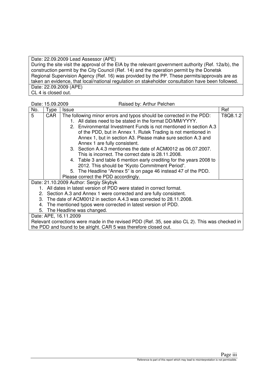Date: 22.09.2009 Lead Assessor (APE) During the site visit the approval of the EIA by the relevant government authority (Ref. 12a/b), the construction permit by the City Council (Ref. 14) and the operation permit by the Donetsk Regional Supervision Agency (Ref. 16) was provided by the PP. These permits/approvals are as taken an evidence, that local/national regulation on stakeholder consultation have been followed. Date: 22.09.2009 (APE) CL 4 is closed out.

|     | Date: 15.09.2009 |                       | Raised by: Arthur Pelchen                                                                       |          |
|-----|------------------|-----------------------|-------------------------------------------------------------------------------------------------|----------|
| No. | Type             | <b>Issue</b>          |                                                                                                 | Ref      |
| 5   | <b>CAR</b>       |                       | The following minor errors and typos should be corrected in the PDD:                            | T8Q8.1.2 |
|     |                  |                       | 1. All dates need to be stated in the format DD/MM/YYYY.                                        |          |
|     |                  |                       | 2. Environmental Investment Funds is not mentioned in section A.3                               |          |
|     |                  |                       | of the PDD, but in Annex 1. Rutek Trading is not mentioned in                                   |          |
|     |                  |                       | Annex 1, but in section A3. Please make sure section A.3 and                                    |          |
|     |                  |                       | Annex 1 are fully consistent.                                                                   |          |
|     |                  |                       | 3. Section A.4.3 mentiones the date of ACM0012 as 06.07.2007.                                   |          |
|     |                  |                       | This is incorrect. The correct date is 28.11.2008.                                              |          |
|     |                  |                       | 4. Table 3 and table 6 mention early crediting for the years 2008 to                            |          |
|     |                  |                       | 2012. This should be "Kyoto Commitment Period".                                                 |          |
|     |                  |                       | 5. The Headline "Annex 5" is on page 46 instead 47 of the PDD.                                  |          |
|     |                  |                       | Please correct the PDD accordingly.                                                             |          |
|     |                  |                       | Date: 21.10.2009 Author: Sergiy Skybyk                                                          |          |
|     |                  |                       | 1. All dates in latest version of PDD were stated in correct format.                            |          |
|     |                  |                       | 2. Section A.3 and Annex 1 were corrected and are fully consistent.                             |          |
|     |                  |                       | 3. The date of ACM0012 in section A.4.3 was corrected to 28.11.2008.                            |          |
| 4.  |                  |                       | The mentioned typos were corrected in latest version of PDD.                                    |          |
|     |                  |                       | 5. The Headline was changed.                                                                    |          |
|     |                  | Date: APE, 16.11.2009 |                                                                                                 |          |
|     |                  |                       | Relevant corrections were made in the revised PDD (Ref. 35, see also CL 2). This was checked in |          |
|     |                  |                       | the PDD and found to be alright. CAR 5 was therefore closed out.                                |          |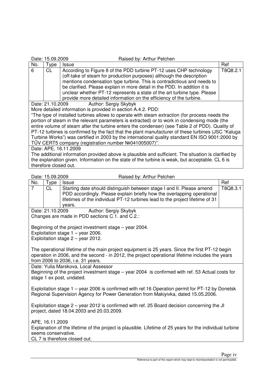|     | Date: 15.09.2009                                                                                | Raised by: Arthur Pelchen                                                                            |          |  |  |
|-----|-------------------------------------------------------------------------------------------------|------------------------------------------------------------------------------------------------------|----------|--|--|
| No. | Type                                                                                            | Issue                                                                                                | Ref      |  |  |
| 6   | <b>CL</b>                                                                                       | According to Figure 8 of the PDD turbine PT-12 uses CHP technology                                   | T8Q8.2.1 |  |  |
|     |                                                                                                 | (off-take of steam for production purposes) although the description                                 |          |  |  |
|     |                                                                                                 | mentions condensation type turbine. This is contradictious and needs to                              |          |  |  |
|     |                                                                                                 | be clarified. Please explain in more detail in the PDD. In addition it is                            |          |  |  |
|     |                                                                                                 | unclear whether PT-12 represents a state of the art turbine type. Please                             |          |  |  |
|     |                                                                                                 | provide more detailed information on the efficiency of the turbine.                                  |          |  |  |
|     | Date: 21.10.2009                                                                                | Author: Sergiy Skybyk                                                                                |          |  |  |
|     |                                                                                                 | More detailed information is provided in section A.4.2. PDD:                                         |          |  |  |
|     |                                                                                                 | "The type of installed turbines allows to operate with steam extraction (for process needs the       |          |  |  |
|     |                                                                                                 | portion of steam in the relevant parameters is extracted) or to work in condensing mode (the         |          |  |  |
|     |                                                                                                 | entire volume of steam after the turbine enters the condenser) (see Table 2 of PDD). Quality of      |          |  |  |
|     |                                                                                                 | PT-12 turbines is confirmed by the fact that the plant manufacturer of these turbines (JSC "Kaluga   |          |  |  |
|     |                                                                                                 | Turbine Works") was certified in 2003 by the international quality standard EN ISO 9001:2000 by      |          |  |  |
|     |                                                                                                 | TŰV CERT5 company (registration number №041005007)".                                                 |          |  |  |
|     |                                                                                                 | Date: APE, 16.11.2009                                                                                |          |  |  |
|     |                                                                                                 | The additional information provided above is plausible and sufficient. The situation is clarified by |          |  |  |
|     | the explanation given. Information on the state of the turbine is weak, but acceptable. CL 6 is |                                                                                                      |          |  |  |
|     | therefore closed out.                                                                           |                                                                                                      |          |  |  |
|     |                                                                                                 |                                                                                                      |          |  |  |
|     | D <sub>ata:</sub> 15 00 2000                                                                    | Dojeod but Arthur Dolohon                                                                            |          |  |  |

| Date: 15.09.2009 |  |
|------------------|--|
|                  |  |

Raised by: Arthur Pelchen

|                |                     | <b>Halbod by:</b> A littleff to brioth                                                                                                                                                              |          |
|----------------|---------------------|-----------------------------------------------------------------------------------------------------------------------------------------------------------------------------------------------------|----------|
| No.            | Type                | <b>Issue</b>                                                                                                                                                                                        | Ref      |
| $\overline{7}$ | CL                  | Starting date should distinguish between stage I and II. Please amend                                                                                                                               | T8Q8.3.1 |
|                |                     | PDD accordingly. Please explain briefly how the overlapping operational                                                                                                                             |          |
|                |                     | lifetimes of the individual PT-12 turbines lead to the project lifetime of 31                                                                                                                       |          |
|                |                     | vears.                                                                                                                                                                                              |          |
|                | Date: 21.10.2009    | Author: Sergiy Skybyk                                                                                                                                                                               |          |
|                |                     | Changes are made in PDD sections C.1. and C.2.:                                                                                                                                                     |          |
|                |                     |                                                                                                                                                                                                     |          |
|                |                     | Beginning of the project investment stage – year 2004.                                                                                                                                              |          |
|                |                     | Exploitation stage $1 -$ year 2006.                                                                                                                                                                 |          |
|                |                     | Exploitation stage $2 -$ year 2012.                                                                                                                                                                 |          |
|                |                     |                                                                                                                                                                                                     |          |
|                |                     | The operational lifetime of the main project equipment is 25 years. Since the first PT-12 begin<br>operation in 2006, and the second - in 2012, the project operational lifetime includes the years |          |
|                |                     | from 2006 to 2036, i.e. 31 years.                                                                                                                                                                   |          |
|                |                     | Date: Yulia Marskova, Local Assessor                                                                                                                                                                |          |
|                |                     | Beginning of the project investment stage – year 2004 is confirmed with ref. 53 Actual costs for                                                                                                    |          |
|                |                     | stage 1 ex post, undated.                                                                                                                                                                           |          |
|                |                     |                                                                                                                                                                                                     |          |
|                |                     | Exploitation stage 1 – year 2006 is confirmed with ref. 16 Operation permit for PT-12 by Donetsk                                                                                                    |          |
|                |                     | Regional Supervision Agency for Power Generation from Makiyivka, dated 15.05.2006.                                                                                                                  |          |
|                |                     |                                                                                                                                                                                                     |          |
|                |                     | Exploitation stage 2 – year 2012 is confirmed with ref. 25 Board decision concerning the JI                                                                                                         |          |
|                |                     | project, dated 18.04.2003 and 20.03.2009.                                                                                                                                                           |          |
|                |                     |                                                                                                                                                                                                     |          |
|                | APE, 16.11.2009     |                                                                                                                                                                                                     |          |
|                |                     | Explanation of the lifetime of the project is plausible. Lifetime of 25 years for the individual turbine                                                                                            |          |
|                | seems conservative. |                                                                                                                                                                                                     |          |
|                |                     | CL 7 is therefore closed out.                                                                                                                                                                       |          |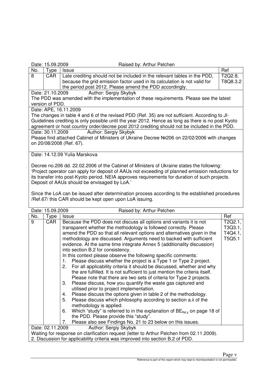#### Date: 15.09.2009 Raised by: Arthur Pelchen

| No.                                                                                                | Type                                                                                          | <b>Issue</b>                                                                                   | Ref      |  |  |
|----------------------------------------------------------------------------------------------------|-----------------------------------------------------------------------------------------------|------------------------------------------------------------------------------------------------|----------|--|--|
| 8                                                                                                  | CAR                                                                                           | Late crediting should not be included in the relevant tables in the PDD,                       | T2Q2.8,  |  |  |
|                                                                                                    |                                                                                               | because the grid emission factor used in its calculation is not valid for                      | T8Q8.3.2 |  |  |
|                                                                                                    |                                                                                               | the period post 2012. Please amend the PDD accordingly.                                        |          |  |  |
|                                                                                                    |                                                                                               | <b>Author: Sergiy Skybyk</b><br>Date: 21.10.2009                                               |          |  |  |
|                                                                                                    |                                                                                               | The PDD was amended with the implementation of these requirements. Please see the latest       |          |  |  |
|                                                                                                    | version of PDD.                                                                               |                                                                                                |          |  |  |
|                                                                                                    |                                                                                               | Date: APE, 16.11.2009                                                                          |          |  |  |
|                                                                                                    |                                                                                               | The changes in table 4 and 6 of the revised PDD (Ref. 35) are not sufficient. According to JI- |          |  |  |
| Guidelines crediting is only possible until the year 2012. Hence as long as there is no post Kyoto |                                                                                               |                                                                                                |          |  |  |
|                                                                                                    | agreement or host country order/decree post 2012 crediting should not be included in the PDD. |                                                                                                |          |  |  |
|                                                                                                    | Author: Sergiy Skybyk<br>Date: 30.11.2009                                                     |                                                                                                |          |  |  |
|                                                                                                    |                                                                                               | Please find attached Cabinet of Ministers of Ukraine Decree №206 on 22/02/2006 with changes    |          |  |  |
|                                                                                                    | on 20/08/2008 (Ref. 67).                                                                      |                                                                                                |          |  |  |
|                                                                                                    |                                                                                               |                                                                                                |          |  |  |
|                                                                                                    |                                                                                               | Date: 14.12.09 Yulia Marskova                                                                  |          |  |  |

Decree no.206 dd. 22.02.2006 of the Cabinet of Ministers of Ukraine states the following: 'Project operator can apply for deposit of AAUs not exceeding of planned emission reductions for its transfer into post-Kyoto period. NEIA approves requirements for duration of such projects. Deposit of AAUs should be envisaged by LoA.'

Since the LoA can be issued after determination process according to the established procedures /Ref.67/ this CAR should be kept open upon LoA issuing.

| Date: 15.09.2009<br>Raised by: Arthur Pelchen |                                                                                |                                                                                           |         |
|-----------------------------------------------|--------------------------------------------------------------------------------|-------------------------------------------------------------------------------------------|---------|
| No.                                           | Type                                                                           | Issue                                                                                     | Ref     |
| 9                                             | CAR                                                                            | Because the PDD does not discuss all options and variants it is not                       | T2Q2.1, |
|                                               |                                                                                | transparent whether the methodology is followed correctly. Please                         | T3Q3.1, |
|                                               |                                                                                | amend the PDD so that all relevant options and alternatives given in the                  | T4Q4.1, |
|                                               |                                                                                | methodology are discussed. Arguments need to backed with sufficient                       | T5Q5.1  |
|                                               |                                                                                | evidence. At the same time integrate Annex 5 (additionality discussion)                   |         |
|                                               |                                                                                | into section B.2 for consistency.                                                         |         |
|                                               |                                                                                | In this context please observe the following specific comments:                           |         |
|                                               |                                                                                | Please discuss whether the project is a Type 1 or Type 2 project.<br>1.                   |         |
|                                               |                                                                                | For all applicability criteria it should be discussed, whether and why<br>2.              |         |
|                                               |                                                                                | the are fulfilled. It is not sufficient to just mention the criteria itself.              |         |
|                                               |                                                                                | Please note that there are two sets of criteria for Type 2 projects.                      |         |
|                                               |                                                                                | Please discuss, how you quantify the waste gas captured and<br>3.                         |         |
|                                               |                                                                                | utilised prior to project implementation.                                                 |         |
|                                               |                                                                                | Please discuss the options given in table 2 of the methodology.<br>4.                     |         |
|                                               |                                                                                | Please discuss which philosophy according to section a.ii of the<br>5.                    |         |
|                                               |                                                                                | methodology is applied.                                                                   |         |
|                                               |                                                                                | Which "study" is referred to in the explanation of $BE_{\text{flat}}$ on page 18 of<br>6. |         |
|                                               |                                                                                | the PDD. Please provide this "study".                                                     |         |
|                                               |                                                                                | Please also see Findings No. 21 to 23 below on this issues.<br>7.                         |         |
|                                               | Date: 02.11.2009                                                               | Author: Sergiy Skybyk                                                                     |         |
|                                               |                                                                                | Waiting for response on clarification request (letter to Arthur Pelchen from 02.11.2009). |         |
|                                               | 2. Discussion for applicability criteria was improved into section B.2 of PDD. |                                                                                           |         |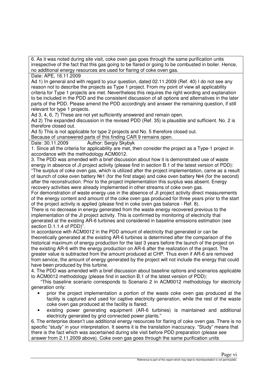6. As it was noted during site visit, coke oven gas goes through the same purification units irrespective of the fact that this gas going to be flared or going to be combusted in boiler. Hence, no additional energy resources are used for flaring of coke oven gas.

Date: APE, 16.11.2009

Ad 1) In general and with regard to your question, dated 02.11.2009 (Ref. 40) I do not see any reason not to describe the projects as Type 1 project. From my point of view all applicability criteria for Type 1 projects are met. Nevertheless this requires the right wording and explanation to be included in the PDD and the consistent discussion of all options and alternatives in the later parts of the PDD. Please amend the PDD accordingly and answer the remaining question, if still relevant for type 1 projects.

Ad 3, 4, 6, 7) These are not yet sufficiently answered and remain open.

Ad 2) The expanded discussion in the revised PDD (Ref. 35) is plausible and sufficient. No. 2 is therefore closed out.

Ad 5) This is not applicable for type 2 projects and No. 5 therefore closed out.

Because of unanswered parts of this finding CAR 9 remains open.

Date: 30.11.2009 Author: Sergiy Skybyk

1. Since all the criteria for applicability are met, then consider the project as a Type-1 project in accordance with the methodology ACM0012.

3. The PDD was amended with a brief discussion about how it is demonstrated use of waste energy in absence of JI project activity (please find in section B.1 of the latest version of PDD): "The surplus of coke oven gas, which is utilized after the project implementation, came as a result of launch of coke oven battery №1 (for the first stage) and coke oven battery №4 (for the second) after the reconstruction. Prior to the project implementation this surplus was absent. Energy recovery activities were already implemented in other streams of coke oven gas.

For demonstration of waste energy use in the absence of JI project activity direct measurements of the energy content and amount of the coke oven gas produced for three years prior to the start of the project activity is applied (please find in coke oven gas balance - Ref. 8).

There is no decrease in energy generated from the waste energy recovered previous to the implementation of the JI project activity. This is confirmed by monitoring of electricity that generated at the existing AR-6 turbines and considered in baseline emissions estimation (see section D.1.1.4 of PDD)".

In accordance with ACM0012 in the PDD amount of electricity that generated or can be theoretically generated at the existing AR-6 turbines is determined after the comparison of the historical maximum of energy production for the last 3 years before the launch of the project on the existing AR-6 with the energy production on AR-6 after the realization of the project. The greater value is subtracted from the amount produced at CHP. Thus even if AR-6 are removed from service, the amount of energy generated by the project will not include the energy that could have been produced by this turbine.

4. The PDD was amended with a brief discussion about baseline options and scenarios applicable to ACM0012 methodology (please find in section B.1 of the latest version of PDD):

"This baseline scenario corresponds to Scenario 2 in ACM0012 methodology for electricity generation only:

- prior the project implementation a portion of the waste coke oven gas produced at the facility is captured and used for captive electricity generation, while the rest of the waste coke oven gas produced at the facility is flared;
- existing power generating equipment (AR-6 turbines) is maintained and additional electricity generated by grid connected power plants."

6. The enterprise doesn't use additional energy resources for flaring of coke oven gas. There is no specific "study" in your interpretation. It seems it is the translation inaccuracy. "Study" means that there is the fact which was ascertained during site visit before PDD preparation (please see answer from 2.11.2009 above). Coke oven gas goes through the same purification units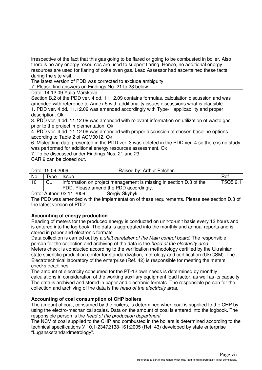irrespective of the fact that this gas going to be flared or going to be combusted in boiler. Also there is no any energy resources are used to support flaring. Hence, no additional energy resources are used for flaring of coke oven gas. Lead Assessor had ascertained these facts during the site visit.

The latest version of PDD was corrected to exclude ambiguity

7. Please find answers on Findings No. 21 to 23 below.

Date: 14.12.09 Yulia Marskova

Section B.2 of the PDD ver. 4 dd. 11.12.09 contains formulas, calculation discussion and was amended with reference to Annex 5 with additionality issues discussions what is plausible.

1. PDD ver. 4 dd. 11.12.09 was amended accordingly with Type-1 applicability and proper description. Ok

3. PDD ver. 4 dd. 11.12.09 was amended with relevant information on utilization of waste gas prior to the project implementation. Ok

4. PDD ver. 4 dd. 11.12.09 was amended with proper discussion of chosen baseline options according to Table 2 of ACM0012. Ok

6. Misleading data presented in the PDD ver. 3 was deleted in the PDD ver. 4 so there is no study was performed for additional energy resources assessment. Ok

7. To be discussed under Findings Nos. 21 and 23.

CAR 9 can be closed out.

Date: 15.09.2009 Raised by: Arthur Pelchen

|     |         | PDD. Please amend the PDD accordingly.                             |          |
|-----|---------|--------------------------------------------------------------------|----------|
| 10  |         | Information on project management is missing in section D.3 of the | T5Q5.2.1 |
| No. | $T$ ype | l Issue                                                            | Ret      |

Date: Author: 02.11.2009 Sergiy Skybyk The PDD was amended with the implementation of these requirements. Please see section D.3 of the latest version of PDD:

# **Accounting of energy production**

Reading of meters for the produced energy is conducted on unit-to-unit basis every 12 hours and is entered into the log book. The data is aggregated into the monthly and annual reports and is stored in paper and electronic formats.

Data collection is carried out by a *shift caretaker of the Main control board*. The responsible person for the collection and archiving of the data is the head of the electricity area. Meters check is conducted according to the verification methodology certified by the Ukrainian state scientific-production center for standardization, metrology and certification (UkrCSM). The Electrotechnical laboratory of the enterprise (Ref. 42) is responsible for meeting the meters checks deadlines.

The amount of electricity consumed for the PT-12 own needs is determined by monthly calculations in consideration of the working auxiliary equipment load factor, as well as its capacity. The data is archived and stored in paper and electronic formats. The responsible person for the collection and archiving of the data is the head of the electricity area.

# **Accounting of coal consumption of CHP boilers**

The amount of coal, consumed by the boilers, is determined when coal is supplied to the CHP by using the electro-mechanical scales. Data on the amount of coal is entered into the logbook. The responsible person is the head of the production department.

The NCV of coal supplied to the CHP and combusted in the boilers is determined according to the technical specifications У 10.1-23472138-161:2005 (Ref. 43) developed by state enterprise "Luganskstandardmetrology".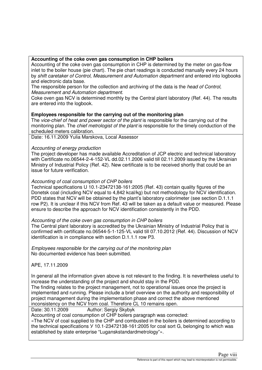# **Accounting of the coke oven gas consumption in CHP boilers**

Accounting of the coke oven gas consumption in CHP is determined by the meter on gas-flow inlet to the boiler house (pie chart). The pie chart readings is conducted manually every 24 hours by shift caretaker of Control, Measurement and Automation department and entered into logbooks and electronic data base.

The responsible person for the collection and archiving of the data is the *head of Control*, Measurement and Automation department.

Coke oven gas NCV is determined monthly by the Central plant laboratory (Ref. 44). The results are entered into the logbook.

# **Employees responsible for the carrying out of the monitoring plan**

The vice-chief of heat and power sector of the plant is responsible for the carrying out of the monitoring plan. The chief metrologist of the plant is responsible for the timely conduction of the scheduled meters calibration.

Date: 16.11.2009 Yulia Marskova, Local Assessor

### Accounting of energy production

The project developer has made available Accreditation of JCP electric and technical laboratory with Certificate no.06544-2-4-152-VL dd.02.11.2006 valid till 02.11.2009 issued by the Ukrainian Ministry of Industrial Policy (Ref. 42). New certificate is to be received shortly that could be an issue for future verification.

#### Accounting of coal consumption of CHP boilers

Technical specifications U 10.1-23472138-161:2005 (Ref. 43) contain quality figures of the Donetsk coal (including NCV equal to 4,842 kcal/kg) but not methodology for NCV identification. PDD states that NCV will be obtained by the plant's laboratory calorimeter (see section D.1.1.1 row P2). It is unclear if this NCV from Ref. 43 will be taken as a default value or measured. Please ensure to describe the approach for NCV identification consistently in the PDD.

#### Accounting of the coke oven gas consumption in CHP boilers

The Central plant laboratory is accredited by the Ukrainian Ministry of Industrial Policy that is confirmed with certificate no.06544-5-1-125-VL valid till 07.10.2012 (Ref. 44). Discussion of NCV identification is in compliance with section D.1.1.1 row P3.

Employees responsible for the carrying out of the monitoring plan No documented evidence has been submitted.

APE, 17.11.2009

In general all the information given above is not relevant to the finding. It is nevertheless useful to increase the understanding of the project and should stay in the PDD.

The finding relates to the project management, not to operational issues once the project is implemented and running. Please include a brief overview on the authority and responsibility of project management during the implementation phase and correct the above mentioned inconsistency on the NCV from coal. Therefore CL 10 remains open.

Date: 30.11.2009 Author: Sergiy Skybyk

Accounting of coal consumption of CHP boilers paragraph was corrected:

«The NCV of coal supplied to the CHP and combusted in the boilers is determined according to the technical specifications У 10.1-23472138-161:2005 for coal sort G, belonging to which was established by state enterprise "Luganskstandardmetrology"».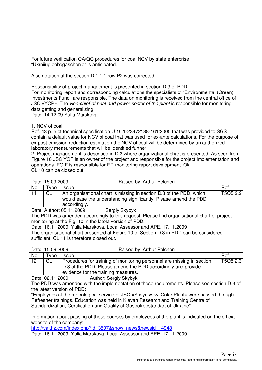For future verification QA/QC procedures for coal NCV by state enterprise "Ukrniiugleobogaschenie" is anticipated.

Also notation at the section D.1.1.1 row P2 was corrected.

Responsibility of project management is presented in section D.3 of PDD.

For monitoring report and corresponding calculations the specialists of "Environmental (Green) Investments Fund" are responsible. The data on monitoring is received from the central office of JSC «YCP». The vice-chief of heat and power sector of the plant is responsible for monitoring data getting and generalizing.

Date: 14.12.09 Yulia Marskova

## 1. NCV of coal:

Ref. 43 p. 5 of technical specification U 10.1-23472138-161:2005 that was provided to SGS contain a default value for NCV of coal that was used for ex-ante calculations. For the purpose of ex-post emission reduction estimation the NCV of coal will be determined by an authorized laboratory measurements that will be identified further.

2. Project management is described in D.3 where organizational chart is presented. As seen from Figure 10 JSC YCP is an owner of the project and responsible for the project implementation and operations. EGIF is responsible for ER monitoring report development. Ok CL 10 can be closed out.

| Date: 15.09.2009 |  |
|------------------|--|
|                  |  |

**Baised by: Arthur Pelchen** 

| No.                                                                                     | Type                                                                                         | <b>Issue</b>                                                                                                                                        | Ref |  |  |
|-----------------------------------------------------------------------------------------|----------------------------------------------------------------------------------------------|-----------------------------------------------------------------------------------------------------------------------------------------------------|-----|--|--|
| 11                                                                                      | <b>CL</b>                                                                                    | An organisational chart is missing in section D.3 of the PDD, which<br>T5Q5.2.2<br>would ease the understanding significantly. Please amend the PDD |     |  |  |
|                                                                                         |                                                                                              | accordingly.                                                                                                                                        |     |  |  |
|                                                                                         | Date: Author: 05.11.2009<br>Sergiy Skybyk                                                    |                                                                                                                                                     |     |  |  |
|                                                                                         | The PDD was amended accordingly to this request. Please find organisational chart of project |                                                                                                                                                     |     |  |  |
|                                                                                         | monitoring at the Fig. 10 in the latest version of PDD.                                      |                                                                                                                                                     |     |  |  |
| Date: 16.11.2009, Yulia Marskova, Local Assessor and APE, 17.11.2009                    |                                                                                              |                                                                                                                                                     |     |  |  |
| The organisational chart presented at Figure 10 of Section D.3 in PDD can be considered |                                                                                              |                                                                                                                                                     |     |  |  |
| sufficient. CL 11 is therefore closed out.                                              |                                                                                              |                                                                                                                                                     |     |  |  |

Date: 15.09.2009 Raised by: Arthur Pelchen

| No.                                                                                               | Type | <b>Issue</b>                                                                                 | Ref      |  |
|---------------------------------------------------------------------------------------------------|------|----------------------------------------------------------------------------------------------|----------|--|
| 12 <sup>2</sup>                                                                                   | CL.  | Procedures for training of monitoring personnel are missing in section                       | T5Q5.2.3 |  |
|                                                                                                   |      | D.3 of the PDD. Please amend the PDD accordingly and provide                                 |          |  |
|                                                                                                   |      | evidence for the training measures.                                                          |          |  |
|                                                                                                   |      | <b>Author: Sergiy Skybyk</b><br>Date: 02.11.2009                                             |          |  |
|                                                                                                   |      | The PDD was amended with the implementation of these requirements. Please see section D.3 of |          |  |
|                                                                                                   |      | the latest version of PDD:                                                                   |          |  |
|                                                                                                   |      | "Employees of the metrological service of JSC «Yasynivskyi Coke Plant» were passed through   |          |  |
|                                                                                                   |      | Refresher trainings. Education was held in Kievan Research and Training Centre of            |          |  |
| Standardization, Certification and Quality of Gospotrebstandart of Ukraine".                      |      |                                                                                              |          |  |
|                                                                                                   |      |                                                                                              |          |  |
| Information about passing of these courses by employees of the plant is indicated on the official |      |                                                                                              |          |  |
| website of the company:                                                                           |      |                                                                                              |          |  |
| http://yakhz.com/index.php?id=3507&show=news&newsid=14948                                         |      |                                                                                              |          |  |
|                                                                                                   |      | Data: 16 11 2009 Vulia Marskova, Local Assossor and ADE, 17 11 2009                          |          |  |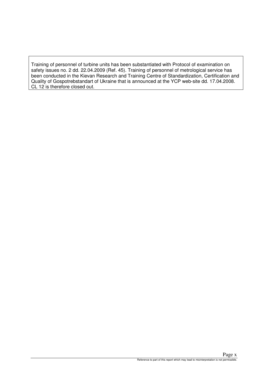Training of personnel of turbine units has been substantiated with Protocol of examination on safety issues no. 2 dd. 22.04.2009 (Ref. 45). Training of personnel of metrological service has been conducted in the Kievan Research and Training Centre of Standardization, Certification and Quality of Gospotrebstandart of Ukraine that is announced at the YCP web-site dd. 17.04.2008. CL 12 is therefore closed out.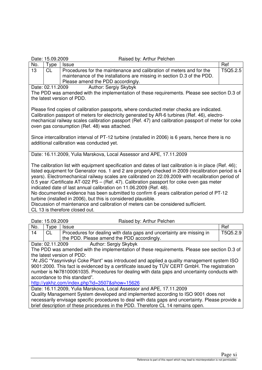|  |  | Date: 15.09.2009 |
|--|--|------------------|
|--|--|------------------|

Raised by: Arthur Pelchen

| No. | ™vpe                                                                 | <b>Issue</b>                                                                                                                                                                         | Ref      |  |  |
|-----|----------------------------------------------------------------------|--------------------------------------------------------------------------------------------------------------------------------------------------------------------------------------|----------|--|--|
| 13  |                                                                      | Procedures for the maintenance and calibration of meters and for the<br>maintenance of the installations are missing in section D.3 of the PDD.<br>Please amend the PDD accordingly. | T5Q5.2.5 |  |  |
|     | المناسبة والمناف والمستحال وسيد والمرداة<br><b>DALA</b> , 00.44,0000 |                                                                                                                                                                                      |          |  |  |

Date: 02.11.2009 Author: Sergiy Skybyk

The PDD was amended with the implementation of these requirements. Please see section D.3 of the latest version of PDD.

Please find copies of calibration passports, where conducted meter checks are indicated. Calibration passport of meters for electricity generated by AR-6 turbines (Ref. 46), electromechanical railway scales calibration passport (Ref. 47) and calibration passport of meter for coke oven gas consumption (Ref. 48) was attached.

Since intercalibration interval of PT-12 turbine (installed in 2006) is 6 years, hence there is no additional calibration was conducted yet.

Date: 16.11.2009, Yulia Marskova, Local Assessor and APE, 17.11.2009

The calibration list with equipment specification and dates of last calibration is in place (Ref. 46); listed equipment for Generator nos. 1 and 2 are properly checked in 2009 (recalibration period is 4 years). Electromechanical railway scales are calibrated on 22.09.2009 with recalibration period of 0.5 year /Certificate AT-022 PS – (Ref. 47). Calibration passport for coke oven gas meter indicated date of last annual calibration on 11.06.2009 (Ref. 48).

No documented evidence has been submitted to confirm 6 years calibration period of PT-12 turbine (installed in 2006), but this is considered plausible.

Discussion of maintenance and calibration of meters can be considered sufficient. CL 13 is therefore closed out.

Date: 15.09.2009 Raised by: Arthur Pelchen No. Type Issue Ref and the Second Second Second Second Second Second Second Second Second Second Second Second S

| IVU.                                                                                         | <b>YDE</b>                                                                                  | issue                                                                                        | nei      |  |  |
|----------------------------------------------------------------------------------------------|---------------------------------------------------------------------------------------------|----------------------------------------------------------------------------------------------|----------|--|--|
| 14                                                                                           | CL                                                                                          | Procedures for dealing with data gaps and uncertainty are missing in                         | T5Q5.2.9 |  |  |
|                                                                                              |                                                                                             | the PDD. Please amend the PDD accordingly.                                                   |          |  |  |
|                                                                                              |                                                                                             | <b>Author: Sergiy Skybyk</b><br>Date: 02.11.2009                                             |          |  |  |
|                                                                                              |                                                                                             | The PDD was amended with the implementation of these requirements. Please see section D.3 of |          |  |  |
|                                                                                              |                                                                                             | the latest version of PDD:                                                                   |          |  |  |
| "At JSC "Yasynivskyi Coke Plant" was introduced and applied a quality management system ISO  |                                                                                             |                                                                                              |          |  |  |
| 9001:2000. This fact is evidenced by a certificate issued by TÜV CERT GmbH. The registration |                                                                                             |                                                                                              |          |  |  |
|                                                                                              | number is №78100061035. Procedures for dealing with data gaps and uncertainty conducts with |                                                                                              |          |  |  |
| accordance to this standard".                                                                |                                                                                             |                                                                                              |          |  |  |

http://yakhz.com/index.php?id=3507&show=15626

Date: 16.11.2009, Yulia Marskova, Local Assessor and APE, 17.11.2009

Quality Management System developed and implemented according to ISO 9001 does not necessarily envisage specific procedures to deal with data gaps and uncertainty. Please provide a brief description of these procedures in the PDD. Therefore CL 14 remains open.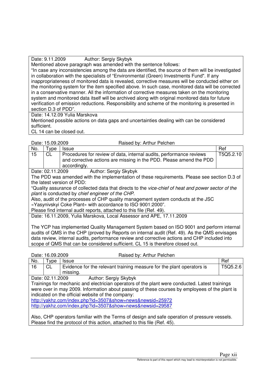Date: 9.11.2009 Author: Sergiy Skybyk

Mentioned above paragraph was amended with the sentence follows:

"In case any inconsistencies among the data are identified, the source of them will be investigated in collaboration with the specialists of "Environmental (Green) Investments Fund". If any inappropriateness of monitored data is revealed, corrective measures will be conducted either on the monitoring system for the item specified above. In such case, monitored data will be corrected in a conservative manner. All the information of corrective measures taken on the monitoring system and monitored data itself will be archived along with original monitored data for future verification of emission reductions. Responsibility and scheme of the monitoring is presented in section D.3 of PDD".

Date: 14.12.09 Yulia Marskova

Mentioned possible actions on data gaps and uncertainties dealing with can be considered sufficient.

CL 14 can be closed out.

Date: 15.09.2009 Raised by: Arthur Pelchen

| No.                                       | vpe       | <b>Issue</b>                                                                                                                                               | Ref       |
|-------------------------------------------|-----------|------------------------------------------------------------------------------------------------------------------------------------------------------------|-----------|
| 15                                        | <b>CL</b> | Procedures for review of data, internal audits, performance reviews<br>and corrective actions are missing in the PDD. Please amend the PDD<br>accordingly. | T5Q5.2.10 |
| Author: Sergiy Skybyk<br>Date: 02.11.2009 |           |                                                                                                                                                            |           |

The PDD was amended with the implementation of these requirements. Please see section D.3 of the latest version of PDD:

"Quality assurance of collected data that directs to the vice-chief of heat and power sector of the plant is conducted by chief engineer of the CHP.

Also, audit of the processes of CHP quality management system conducts at the JSC

«Yasynivskyi Coke Plant» with accordance to ISO 9001:2000".

Please find internal audit reports, attached to this file (Ref. 49).

Date: 16.11.2009, Yulia Marskova, Local Assessor and APE, 17.11.2009

The YCP has implemented Quality Management System based on ISO 9001 and perform internal audits of QMS in the CHP (proved by Reports on internal audit (Ref. 49). As the QMS envisages data review, internal audits, performance review and corrective actions and CHP included into scope of QMS that can be considered sufficient. CL 15 is therefore closed out.

| Date: 16.09.2009                                                                              |                                                           | Raised by: Arthur Pelchen                                                                      |          |  |  |
|-----------------------------------------------------------------------------------------------|-----------------------------------------------------------|------------------------------------------------------------------------------------------------|----------|--|--|
| No.                                                                                           | Type                                                      | <b>Issue</b>                                                                                   | Ref      |  |  |
| 16                                                                                            | <b>CL</b>                                                 | Evidence for the relevant training measure for the plant operators is                          | T5Q5.2.6 |  |  |
|                                                                                               |                                                           | missing.                                                                                       |          |  |  |
|                                                                                               | Date: 02.11.2009                                          | Author: Sergiy Skybyk                                                                          |          |  |  |
|                                                                                               |                                                           | Trainings for mechanic and electrician operators of the plant were conducted. Latest trainings |          |  |  |
|                                                                                               |                                                           | were over in may 2009. Information about passing of these courses by employees of the plant is |          |  |  |
|                                                                                               | indicated on the official website of the company:         |                                                                                                |          |  |  |
|                                                                                               |                                                           | http://yakhz.com/index.php?id=3507&show=news&newsid=25972                                      |          |  |  |
|                                                                                               | http://yakhz.com/index.php?id=3507&show=news&newsid=29587 |                                                                                                |          |  |  |
|                                                                                               |                                                           |                                                                                                |          |  |  |
| Also, CHP operators familiar with the Terms of design and safe operation of pressure vessels. |                                                           |                                                                                                |          |  |  |

Please find the protocol of this action, attached to this file (Ref. 45).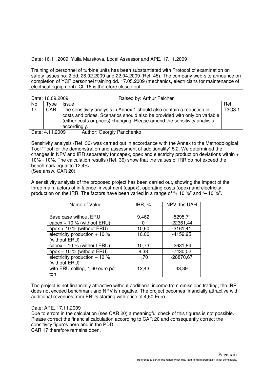Date: 16.11.2009, Yulia Marskova, Local Assessor and APE, 17.11.2009

Training of personnel of turbine units has been substantiated with Protocol of examination on safety issues no. 2 dd. 26.02.2009 and 22.04.2009 (Ref. 45). The company web-site announce on completion of YCP personnel training dd. 17.05.2009 (mechanics, electricians for maintenance of electrical equipment). CL 16 is therefore closed out.

| Date: 16.09.2009                             |     | Raised by: Arthur Pelchen                                                                                                                                                                                                                       |        |
|----------------------------------------------|-----|-------------------------------------------------------------------------------------------------------------------------------------------------------------------------------------------------------------------------------------------------|--------|
| No.                                          | vpe | <b>Issue</b>                                                                                                                                                                                                                                    | Ref    |
| 17                                           | CAR | The sensitivity analysis in Annex 1 should also contain a reduction in<br>costs and prices. Scenarios should also be provided with only on variable<br>(either costs or prices) changing. Please amend the sensitivity analysis<br>accordingly. | T3Q3.1 |
| Author: Georgiy Panchenko<br>Date: 4.11.2009 |     |                                                                                                                                                                                                                                                 |        |

Sensitivity analysis (Ref. 36) was carried out in accordance with the Annex to the Methodological Tool "Tool for the demonstration and assessment of additionality" 5.2. We determined the changes in NPV and IRR separately for capex, opex and electricity production deviations within + 10% - 10%. The calculation results (Ref. 36) show that the values of IRR do not exceed the benchmark equal to 12,4%. (See answ. CAR 20).

A sensitivity analysis of the proposed project has been carried out, showing the impact of the three main factors of influence: investment (capex), operating costs (opex) and electricity production on the IRR. The factors have been varied in a range of "+ 10 %" and "– 10 %".

| Name of Value                                   | IRR, $%$ | NPV, ths UAH |
|-------------------------------------------------|----------|--------------|
| Base case without ERU                           | 9,462    | $-5295,71$   |
| capex $+10$ % (without ERU)                     | 0        | $-22361,44$  |
| opex $+10$ % (without ERU)                      | 10,60    | $-3161,41$   |
| electricity production $+10%$<br>(without ERU)  | 10,06    | $-4159,95$   |
| capex $-10$ % (without ERU)                     | 10,73    | $-2631,84$   |
| opex $-10$ % (without ERU)                      | 8,38     | $-7430,02$   |
| electricity production $-10$ %<br>(without ERU) | 1,70     | -28870,67    |
| with ERU selling, 4,60 euro per<br>ton          | 12,43    | 43,39        |

The project is not financially attractive without additional income from emissions trading, the IRR does not exceed benchmark and NPV is negative. The project becomes financially attractive with additional revenues from ERUs starting with price of 4,60 Euro.

Date: APE, 17.11.2009

Due to errors in the calculation (see CAR 20) a meaningful check of this figures is not possible. Please correct the financial calculation according to CAR 20 and consequently correct the sensitivity figures here and in the PDD.

CAR 17 therefore remains open.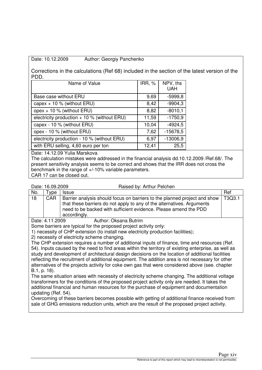#### Date: 10.12.2009 Author: Georgiy Panchenko

Corrections in the calculations (Ref 68) included in the section of the latest version of the PDD.

| Name of Value                                | IRR, $%$ | NPV, ths<br><b>UAH</b> |
|----------------------------------------------|----------|------------------------|
| Base case without ERU                        | 9,69     | $-5999.8$              |
| capex $+10$ % (without ERU)                  | 8,42     | $-9904,3$              |
| opex + 10 % (without ERU)                    | 8,82     | $-8010,1$              |
| electricity production $+10$ % (without ERU) | 11,59    | $-1750,9$              |
| capex - 10 % (without ERU)                   | 10,04    | $-4924,5$              |
| opex - 10 % (without ERU)                    | 7,62     | $-15678,5$             |
| electricity production - 10 % (without ERU)  | 6,97     | $-13006,9$             |
| with ERU selling, 4,60 euro per ton          | 12,41    | 25,5                   |

Date: 14.12.09 Yulia Marskova

The calculation mistakes were addressed in the financial analysis dd.10.12.2009 /Ref.68/. The present sensitivity analysis seems to be correct and shows that the IRR does not cross the benchmark in the range of +/-10% variable parameters. CAR 17 can be closed out.

Date: 16.09.2009 Raised by: Arthur Pelchen

| No.                                                                               | vpe '      | <b>Issue</b>                                                                                                                                        | Ref    |
|-----------------------------------------------------------------------------------|------------|-----------------------------------------------------------------------------------------------------------------------------------------------------|--------|
| 18                                                                                | <b>CAR</b> | Barrier analysis should focus on barriers to the planned project and show<br>that these barriers do not apply to any of the alternatives. Arguments | T3Q3.1 |
|                                                                                   |            | need to be backed with sufficient evidence. Please amend the PDD                                                                                    |        |
|                                                                                   |            | accordingly.                                                                                                                                        |        |
| Author: Oksana Butrim<br>Date: 4.11.2009                                          |            |                                                                                                                                                     |        |
| Some barriers are typical for the proposed project activity only:                 |            |                                                                                                                                                     |        |
| 1) necessity of CHP extension (to install new electricity production facilities); |            |                                                                                                                                                     |        |
| 2) necessity of electricity scheme changing.                                      |            |                                                                                                                                                     |        |

The CHP extension requires a number of additional inputs of finance, time and resources (Ref. 54). Inputs caused by the need to find areas within the territory of existing enterprise, as well as study and development of architectural design decisions on the location of additional facilities reflecting the recruitment of additional equipment. The addition area is not necessary for other alternatives of the projects activity for coke own gas that were considered above (see. chapter В.1, р. 18).

The same situation arises with necessity of electricity scheme changing. The additional voltage transformers for the conditions of the proposed project activity only are needed. It takes the additional financial and human resources for the purchase of equipment and documentation updating (Ref. 54).

Overcoming of these barriers becomes possible with getting of additional finance received from sale of GHG emissions reduction units, which are the result of the proposed project activity.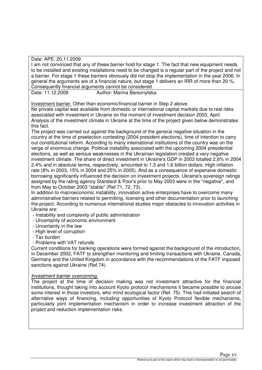Date: APE, 20.11.2009

I am not convinced that any of these barrier hold for stage 1. The fact that new equipment needs to be installed and existing installations need to be changed is a regular part of the project and not a barrier. For stage 1 these barriers obviously did not stop the implementation in the year 2006. In general the arguments are of a financial nature, but stage 1 delivers an IRR of more than 20 %. Consequently financial arguments cannot be considered.

Date: 11.12.2009 Author: Marina Bereznytska

Investment barrier. Other than economic/financial barrier in Step 2 above.

No private capital was available from domestic or international capital markets due to real risks associated with investment in Ukraine on the moment of investment decision 2003, April. Analysis of the investment climate in Ukraine at the time of the project given below demonstrates this fact.

The project was carried out against the background of the general negative situation in the country at the time of preelection contesting (2004 president elections), time of intention to carry out constitutional reform. According to many international institutions of the country was on the verge of enormous change. Political instability associated with the upcoming 2004 presidential elections, as well as serious weaknesses in the Ukrainian legislation created a very negative investment climate. The share of direct investment in Ukraine's GDP in 2003 totalled 2,6% in 2004 2,4% and in absolute terms, respectively, amounted to 1,3 and 1,6 billion dollars High inflation rate (8% in 2003, 15% in 2004 and 25% in 2005). And as a consequence of expensive domestic borrowing significantly influenced the decision on investment projects. Ukraine's sovereign ratings assigned by the rating agency Standard & Poor's prior to May 2003 were in the "negative", and from May to October 2003 "stable" (Ref.71, 72, 73).

In addition to macroeconomic instability, innovation active enterprises have to overcome many administrative barriers related to permitting, licensing and other documentation prior to launching the project. According to numerous international studies major obstacles to innovation activities in Ukraine are:

- Instability and complexity of public administration
- Uncertainty of economic environment
- Uncertainty in the law
- High level of corruption
- Tax burden
- Problems with VAT refunds

Current conditions for banking operations were formed against the background of the introduction, in December 2002, FATF to strengthen monitoring and limiting transactions with Ukraine. Canada, Germany and the United Kingdom in accordance with the recommendations of the FATF imposed sanctions against Ukraine (Ref.74).

### Investment barrier overcoming.

The project at the time of decision making was not investment attractive for the financial institutions, thought taking into account Kyoto protocol mechanisms it became possible to arouse some interest in those investors, who mind ecological factor (Ref. 75). This had initiated search of alternative ways of financing, including opportunities of Kyoto Protocol flexible mechanisms, particularly joint implementation mechanism in order to increase investment attraction of the project and reduction implementation risks.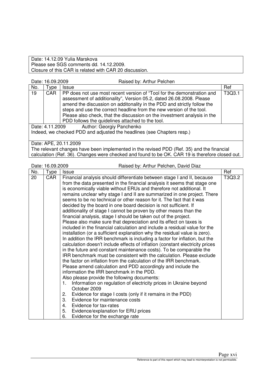Date: 14.12.09 Yulia Marskova Please see SGS comments dd. 14.12.2009. Closure of this CAR is related with CAR 20 discussion.

|  | Date: 16.09.2009 |
|--|------------------|
|--|------------------|

Raised by: Arthur Pelchen

| No.                                                                    | Type       | <b>Issue</b>                                                                                                                                                                                                                                                                                                                                                                                                                      | Ref    |
|------------------------------------------------------------------------|------------|-----------------------------------------------------------------------------------------------------------------------------------------------------------------------------------------------------------------------------------------------------------------------------------------------------------------------------------------------------------------------------------------------------------------------------------|--------|
| 19                                                                     | <b>CAR</b> | PP does not use most recent version of "Tool for the demonstration and<br>assessment of additionality", Version 05.2, dated 26.08.2008. Please<br>amend the discussion on additonality in the PDD and strictly follow the<br>steps and use the correct headline from the new version of the tool.<br>Please also check, that the discussion on the investment analysis in the<br>PDD follows the quidelines attached to the tool. | T3Q3.1 |
| Author: Georgiy Panchenko<br>Date: 4.11.2009                           |            |                                                                                                                                                                                                                                                                                                                                                                                                                                   |        |
| Indeed, we checked PDD and adjusted the headlines (see Chapters resp.) |            |                                                                                                                                                                                                                                                                                                                                                                                                                                   |        |
|                                                                        |            | Date: APE, 20.11.2009                                                                                                                                                                                                                                                                                                                                                                                                             |        |

The relevant changes have been implemented in the revised PDD (Ref. 35) and the financial calculation (Ref. 36). Changes were checked and found to be OK. CAR 19 is therefore closed out.

|     | Raised by: Arthur Pelchen, David Diaz<br>Date: 16.09.2009 |                                                                                                                                                                                                                                                                                                                                                                                                                                                                                                                                                                                                                                                                                                                                                                                                                                                                                                                                                                                                                                                                                                                                                                                                                                                                                                                                                                                                                                                                                                                                                                                                                                                                                                              |        |
|-----|-----------------------------------------------------------|--------------------------------------------------------------------------------------------------------------------------------------------------------------------------------------------------------------------------------------------------------------------------------------------------------------------------------------------------------------------------------------------------------------------------------------------------------------------------------------------------------------------------------------------------------------------------------------------------------------------------------------------------------------------------------------------------------------------------------------------------------------------------------------------------------------------------------------------------------------------------------------------------------------------------------------------------------------------------------------------------------------------------------------------------------------------------------------------------------------------------------------------------------------------------------------------------------------------------------------------------------------------------------------------------------------------------------------------------------------------------------------------------------------------------------------------------------------------------------------------------------------------------------------------------------------------------------------------------------------------------------------------------------------------------------------------------------------|--------|
| No. | Type                                                      | <b>Issue</b>                                                                                                                                                                                                                                                                                                                                                                                                                                                                                                                                                                                                                                                                                                                                                                                                                                                                                                                                                                                                                                                                                                                                                                                                                                                                                                                                                                                                                                                                                                                                                                                                                                                                                                 | Ref    |
| 20  | <b>CAR</b>                                                | Financial analysis should differentiate between stage I and II, because<br>from the data presented in the financial analysis it seems that stage one<br>is economically viable without ERUs and therefore not additional. It<br>remains unclear why stage I and II are summarized in one project. There<br>seems to be no technical or other reason for it. The fact that it was<br>decided by the board in one board decision is not sufficient. If<br>additionality of stage I cannot be proven by other means than the<br>financial analysis, stage I should be taken out of the project.<br>Please also make sure that depreciation and its effect on taxes is<br>included in the financial calculation and include a residual value for the<br>installation (or a sufficient explanation why the residual value is zero).<br>In addition the IRR benchmark is including a factor for inflation, but the<br>calculation doesn't include effects of inflation (constant electricity prices<br>in the future and constant maintenance costs). To be comparable the<br>IRR benchmark must be consistent with the calculation. Please exclude<br>the factor on inflation from the calculation of the IRR benchmark.<br>Please amend calculation and PDD accordingly and include the<br>information the IRR benchmark in the PDD.<br>Also please provide the following documents:<br>Information on regulation of electricity prices in Ukraine beyond<br>1.<br>October 2009<br>Evidence for stage I costs (only if it remains in the PDD)<br>2.<br>3.<br>Evidence for maintenance costs<br>Evidence for tax-rates<br>4.<br>Evidence/explanation for ERU prices<br>5.<br>Evidence for the exchange rate<br>6. | T3Q3.2 |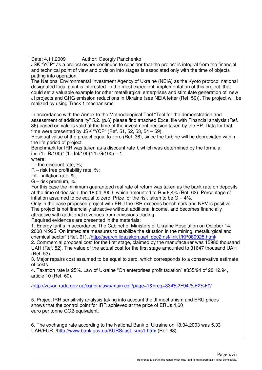Date: 4.11.2009 Author: Georgiy Panchenko

JSK "YCP" as a project owner continues to consider that the project is integral from the financial and technical point of view and division into stages is associated only with the time of objects putting into operation.

The National Environmental Investment Agency of Ukraine (NEIA) as the Kyoto protocol national designated focal point is interested in the most expedient implementation of this project, that could set a valuable example for other metallurgical enterprises and stimulate generation of new JI projects and GHG emission reductions in Ukraine (see NEIA letter (Ref. 50)). The project will be realized by using Track 1 mechanisms.

In accordance with the Annex to the Methodological Tool "Tool for the demonstration and assessment of additionality" 5.2. (p.6) please find attached Excel file with Financial analysis (Ref. 36) based on values valid at the time of the investment decision taken by the PP. Data for that time were presented by JSK "YCP" (Ref. 51, 52, 53, 54 – 59).

Residual value of the project equal to zero (Ref. 36), since the turbine will be depreciated within the life period of project.

Benchmark for IRR was taken as a discount rate I, which was determined by the formula:  $i = (1 + R/100)^* (1 + lnf/100)^* (1 + G/100) - 1$ 

where:

 $I$  – the discount rate, %;

R – risk free profitability rate, %;

Inf – inflation rate, %;

G – risk premium, %.

For this case the minimum guaranteed real rate of return was taken as the bank rate on deposits at the time of decision, the 18.04.2003, which amounted to  $R = 8,4%$  (Ref. 62). Percentage of inflation assumed to be equal to zero. Prize for the risk taken to be  $G = 4\%$ .

Only in the case proposed project with ERU the IRR exceeds benchmark and NPV is positive. The project is not financially attractive without additional income, and becomes financially attractive with additional revenues from emissions trading.

Required evidences are presented in the materials:

1. Energy tariffs in accordance The Cabinet of Ministers of Ukraine Resolution on October 14, 2008 N 925 "On immediate measures to stabilize the situation in the mining, metallurgical and chemical sector" (Ref. 61). /http://search.ligazakon.ua/l\_doc2.nsf/link1/KP080925.html/

2. Commercial proposal cost for the first stage, claimed by the manufacturer was 15980 thousand UAH (Ref. 52). The value of the actual cost for the first stage amounted to 31647 thousand UAH (Ref. 53).

3. Major repairs cost assumed to be equal to zero, which corresponds to a conservative estimate of costs.

4. Taxation rate is 25%. Law of Ukraine "On enterprises profit taxation" #335/94 of 28.12.94, article 10 (Ref. 60).

/http://zakon.rada.gov.ua/cgi-bin/laws/main.cgi?page=1&nreg=334%2F94-%E2%F0/

5. Project IRR sensitivity analysis taking into account the JI mechanism and ERU prices shows that the control point for IRR achieved at the price of ERUs 4,60 euro per tonne CO2-equivalent.

6. The exchange rate according to the National Bank of Ukraine on 18.04.2003 was 5,33 UAH/EUR. /http://www.bank.gov.ua/KURS/last\_kurs1.htm/ (Ref. 63).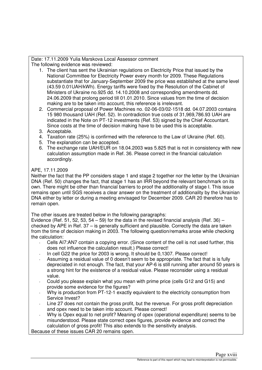Date: 17.11.2009 Yulia Marskova Local Assessor comment The following evidence was reviewed:

- 1. The client has sent the Ukrainian regulations on Electricity Price that issued by the National Committee for Electricity Power every month for 2009. These Regulations substantiate that for January-September 2009 the price was established at the same level (43.59 0.01UAH/kWh). Energy tariffs were fixed by the Resolution of the Cabinet of Ministers of Ukraine no.925 dd. 14.10.2008 and corresponding amendments dd. 24.06.2009 that prolong period till 01.01.2010. Since values from the time of decision making are to be taken into account, this reference is irrelevant.
- 2. Commercial proposal of Power Machines no. 02-06-03/02-1518 dd. 04.07.2003 contains 15 980 thousand UAH (Ref. 52). In contradiction true costs of 31,969,786.93 UAH are indicated in the Note on PT-12 investments (Ref. 53) signed by the Chief Accountant. Since costs at the time of decision making have to be used this is acceptable.
- 3. Acceptable.
- 4. Taxation rate (25%) is confirmed with the reference to the Law of Ukraine (Ref. 60).
- 5. The explanation can be accepted.
- 6. The exchange rate UAH/EUR on 18.04.2003 was 5.825 that is not in consistency with new calculation assumption made in Ref. 36. Please correct in the financial calculation accordingly.

## APE, 17.11.2009

Neither the fact that the PP considers stage 1 and stage 2 together nor the letter by the Ukrainian DNA (Ref. 50) changes the fact, that stage 1 has an IRR beyond the relevant benchmark on its own. There might be other than financial barriers to proof the additionality of stage I. This issue remains open until SGS receives a clear answer on the treatment of additionality by the Ukrainian DNA either by letter or during a meeting envisaged for December 2009. CAR 20 therefore has to remain open.

The other issues are treated below in the following paragraphs:

Evidence (Ref. 51, 52, 53, 54 – 59) for the data in the revised financial analysis (Ref. 36) – checked by APE in Ref. 37 – is generally sufficient and plausible. Correctly the data are taken from the time of decision making in 2003. The following question/remarks arose while checking the calculation:

- Cells AI7:AN7 contain a copying error. (Since content of the cell is not used further, this does not influence the calculation result.) Please correct!
- In cell G22 the price for 2003 is wrong. It should be 0,1307. Please correct!
- Assuming a residual value of 0 doesn't seem to be appropriate. The fact that is is fully depreciated in not enough. The fact, that your AP-6 is still running after around 50 years is a strong hint for the existence of a residual value. Please reconsider using a residual value.
- Could you please explain what you mean with prime price (cells G12 and G15) and provide some evidence for the figures?
- Why is production from PT-12-1 exactly equivalent to the electricity consumption from Service Invest?
- Line 27 does not contain the gross profit, but the revenue. For gross profit depreciation and opex need to be taken into account. Please correct!
- Why is Opex equal to net profit? Meaning of opex (operational expenditure) seems to be misunderstood. Please state correct opex figures, provide evidence and correct the calculation of gross profit! This also extends to the sensitivity analysis.

Because of these issues CAR 20 remains open.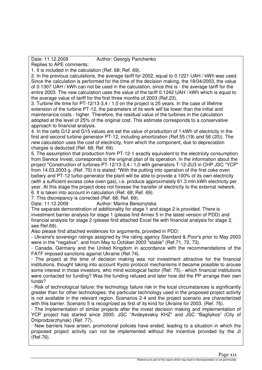## Date: 11.12.2009 Author: Georgiy Panchenko

Replies to APE comments:

1. It is included in the calculation (Ref. 68; Ref. 69).

2. In the previous calculations, the average tariff for 2002, equal to 0.1221 UAH / kWh was used. Since the calculation is performed for the time of the decision making, the 18/04/2003, the value of 0.1307 UAH / kWh can not be used in the calculation, since this is - the average tariff for the entire 2003. The new calculation uses the value of the tariff 0.1242 UAH / kWh which is equal to the average value of tariff for the first three months of 2003 (Ref.23).

3. Turbine life time for PT-12/13-3,4 / 1,0 on the project is 25 years. In the case of lifetime extension of the turbine PT-12, the parameters of its work will be lower than the initial and maintenance costs - higher. Therefore, the residual value of the turbines in the calculation adopted at the level of 25% of the original cost. This estimate corresponds to a conservative approach to financial analysis.

4. In the cells G12 and G15 values are set the value of production of 1 kWh of electricity in the first and second turbine generator PT-12, including amortization (Ref.55 (19) and 56 (20)). The new calculation uses the cost of electricity, from which the component, due to depreciation charges is deducted (Ref. 68; Ref. 69).

5. The assumption that production from PT-12-1 exactly equivalent to the electricity consumption from Service Invest, corresponds to the original plan of its operation. In the information about the project "Construction of turbines PT-12/13-3,4 / 1,0 with generators T-12-2U3 in CHP JSC "YCP" from 14.03.2003 g. (Ref. 70) it is stated: "With the putting into operation of the first coke oven battery and PT-12 turbo-generator the plant will be able to provide a 100% of its own electricity (with a sufficient excess coke oven gas), i.e. produce approximately 61.3 mln.kWh electricity per year. At this stage the project does not foresee the transfer of electricity to the external network. 6. It is taken into account in calculation (Ref. 68; Ref. 69).

7. This discrepancy is corrected (Ref. 68; Ref. 69).

Date: 11.12.2009 Author: Marina Bereznytska The separate demonstration of additionality for stage 1 and stage 2 is provided. There is

investment barrier analysis for stage 1 (please find Annex 5 in the latest version of PDD) and financial analysis for stage 2 (please find attached Excel file with financial analysis for stage 2, see Ref.69).

Also please find attached evidences for arguments, provided in PDD:

- Ukraine's sovereign ratings assigned by the rating agency Standard & Poor's prior to May 2003 were in the "negative", and from May to October 2003 "stable" (Ref.71, 72, 73).

- Canada, Germany and the United Kingdom in accordance with the recommendations of the FATF imposed sanctions against Ukraine (Ref.74).

- The project at the time of decision making was not investment attractive for the financial institutions, thought taking into account Kyoto protocol mechanisms it became possible to arouse some interest in those investors, who mind ecological factor (Ref. 75).- which financial institutions were contacted for funding? Was the funding refused and later how did the PP arrange their own funds?

- Risk of technological failure: the technology failure risk in the local circumstances is significantly greater than for other technologies; the particular technology used in the proposed project activity is not available in the relevant region. Scenarios 2-4 and the project scenario are characterized with this barrier. Scenario 5 is recognized as first of its kind for Ukraine for 2003. (Ref. 76).

- The implementation of similar projects after the invest decision making and implementation of YCP project has started since 2005: JSC "Avdeyevskiy KHZ" and JSC "Bagliykos" (City of Dniprodzerzhynsk) (Ref. 77).

- New barriers have arisen, promotional policies have ended, leading to a situation in which the proposed project activity can not be implemented without the incentive provided by the JI (Ref.76).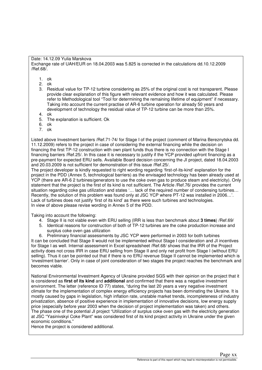Date: 14.12.09 Yulia Marskova

Exchange rate of UAH/EUR on 18.04.2003 was 5.825 is corrected in the calculations dd.10.12.2009 /Ref.68/.

- 1. ok
- 2. ok
- 3. Residual value for TP-12 turbine considering as 25% of the original cost is not transparent. Please provide clear explanation of this figure with relevant evidence and how it was calculated. Please refer to Methodological tool "Tool for determining the remaining lifetime of equipment" if necessary. Taking into account the current practise of AR-6 turbine operation for already 50 years and development of technology the residual value of TP-12 turbine can be more than 25%.
- 4. ok
- 5. The explanation is sufficient. Ok
- 6. ok
- 7. ok

Listed above Investment barriers /Ref.71-74/ for Stage I of the project (comment of Marina Bereznytska dd. 11.12.2009) refers to the project in case of considering the external financing while the decision on financing the first TP-12 construction with own plant funds thus there is no connection with the Stage I financing barriers /Ref.25/. In this case it is necessary to justify if the YCP provided upfront financing as a pre-payment for expected ERU sells. Available Board decision concerning the JI project, dated 18.04.2003 and 20.03.2009 is not sufficient for demonstration of this issue /Ref.25/.

The project developer is kindly requested to right wording regarding 'first-of-its-kind' explanation for the project in the PDD (Annex 5, technological barriers) as the envisaged technology has been already used at YCP (there are AR-6 2 turbines/generators to use the coke oven gas to produce steam and electricity). Only statement that the project is the first of its kind is not sufficient. The Article /Ref.76/ provides the current situation regarding coke gas utilization and states '... lack of the required number of condensing turbines... Recently, the solution of this problem was found only at JSC YCP where PT-12 was installed in 2006…'. Lack of turbines does not justify 'first of its kind' as there were such turbines and technologies. In view of above please revise wording in Annex 5 of the PDD.

Taking into account the following:

- 4. Stage II is not viable even with ERU selling (IRR is less than benchmark about **3 times**) /Ref.69/
- 5. Identical reasons for construction of both of TP-12 turbines are the coke production increase and surplus coke oven gas utilization
- 6. Preliminary financial assessments by JSC YCP were performed in 2003 for both turbines

It can be concluded that Stage II would not be implemented without Stage I consideration and JI incentives for Stage I as well. Internal assessment in Excel spreadsheet /Ref.68/ shows that the IRR of the Project activity does not cross IRR in case ERU selling from Stage II and only net profit from Stage I (without ERU selling). Thus it can be pointed out that if there is no ERU revenue Stage II cannot be implemented which is 'investment barrier'. Only in case of joint consideration of two stages the project reaches the benchmark and becomes viable.

National Environmental Investment Agency of Ukraine provided SGS with their opinion on the project that it is considered as **first of its kind** and **additional** and confirmed that there was a negative investment environment. The letter (reference ID 77) states, "during the last 20 years a very negative investment climate for the implementation of complex energy efficiency projects has been dominating the Ukraine. It is mostly caused by gaps in legislation, high inflation rate, unstable market trends, incompleteness of industry privatization, absence of positive experience in implementation of innovative decisions, low energy supply price (especially before year 2003 when the decision of project implementation was taken) and others. The phase one of the potential JI project "Utilization of surplus coke oven gas with the electricity generation at JSC "Yasinivskyi Coke Plant" was considered first of its kind project activity in Ukraine under the given economic conditions."

Hence the project is considered additional.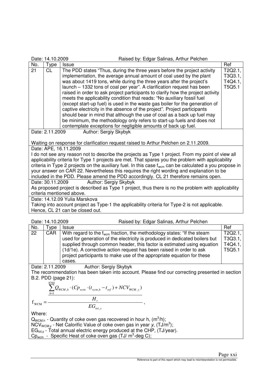| Raised by: Edgar Salinas, Arthur Pelchen<br>Date: 14.10.2009                                                                                                                                                                                                                                                                                                                                                                                                                                                        |                               |                                                                                                                                                                                                                                                                                                                                                                                                                                                                                                                                                                                                                              |                                        |
|---------------------------------------------------------------------------------------------------------------------------------------------------------------------------------------------------------------------------------------------------------------------------------------------------------------------------------------------------------------------------------------------------------------------------------------------------------------------------------------------------------------------|-------------------------------|------------------------------------------------------------------------------------------------------------------------------------------------------------------------------------------------------------------------------------------------------------------------------------------------------------------------------------------------------------------------------------------------------------------------------------------------------------------------------------------------------------------------------------------------------------------------------------------------------------------------------|----------------------------------------|
| No.                                                                                                                                                                                                                                                                                                                                                                                                                                                                                                                 | Type                          | <b>Issue</b>                                                                                                                                                                                                                                                                                                                                                                                                                                                                                                                                                                                                                 | Ref                                    |
| 21                                                                                                                                                                                                                                                                                                                                                                                                                                                                                                                  | <b>CL</b>                     | The PDD states "Thus, during the three years before the project activity<br>implementation, the average annual amount of coal used by the plant<br>was about 1419 tons, while during the three years after the project's<br>launch - 1332 tons of coal per year". A clarification request has been<br>raised in order to ask project participants to clarify how the project activity<br>meets the applicability condition that reads: "No auxiliary fossil fuel<br>(except start-up fuel) is used in the waste gas boiler for the generation of<br>captive electricity in the absence of the project". Project participants | T2Q2.1<br>T3Q3.1,<br>T4Q4.1,<br>T5Q5.1 |
|                                                                                                                                                                                                                                                                                                                                                                                                                                                                                                                     |                               | should bear in mind that although the use of coal as a back up fuel may<br>be minimum, the methodology only refers to start-up fuels and does not<br>contemplate exceptions for negligible amounts of back up fuel.                                                                                                                                                                                                                                                                                                                                                                                                          |                                        |
| Date: 2.11.2009<br>Author: Sergiy Skybyk<br>Waiting on response for clarification request raised to Arthur Pelchen on 2.11.2009.                                                                                                                                                                                                                                                                                                                                                                                    |                               |                                                                                                                                                                                                                                                                                                                                                                                                                                                                                                                                                                                                                              |                                        |
| Date: APE, 16.11.2009                                                                                                                                                                                                                                                                                                                                                                                                                                                                                               |                               |                                                                                                                                                                                                                                                                                                                                                                                                                                                                                                                                                                                                                              |                                        |
| I do not see any reason not to describe the projects as Type 1 project. From my point of view all<br>applicability criteria for Type 1 projects are met. That spares you the problem with applicability<br>criteria in Type 2 projects on the auxiliary fuel. In this case $f_{\text{wcm}}$ can be calculated a you propose in<br>your answer on CAR 22. Nevertheless this requires the right wording and explanation to be<br>included in the PDD. Please amend the PDD accordingly. CL 21 therefore remains open. |                               |                                                                                                                                                                                                                                                                                                                                                                                                                                                                                                                                                                                                                              |                                        |
|                                                                                                                                                                                                                                                                                                                                                                                                                                                                                                                     |                               | Date: 30.11.2009<br>Author: Sergiy Skybyk                                                                                                                                                                                                                                                                                                                                                                                                                                                                                                                                                                                    |                                        |
| As proposed project is described as Type 1 project, thus there is no the problem with applicability<br>criteria mentioned above.                                                                                                                                                                                                                                                                                                                                                                                    |                               |                                                                                                                                                                                                                                                                                                                                                                                                                                                                                                                                                                                                                              |                                        |
|                                                                                                                                                                                                                                                                                                                                                                                                                                                                                                                     | Date: 14.12.09 Yulia Marskova |                                                                                                                                                                                                                                                                                                                                                                                                                                                                                                                                                                                                                              |                                        |
| Taking into account project as Type-1 the applicability criteria for Type-2 is not applicable.<br>Hence, CL 21 can be closed out.                                                                                                                                                                                                                                                                                                                                                                                   |                               |                                                                                                                                                                                                                                                                                                                                                                                                                                                                                                                                                                                                                              |                                        |

| Date: 14.10.2009                                                   |            | Raised by: Edgar Salinas, Arthur Pelchen                                                                                                                                                                                                                                                                                                                                                                  |                                         |
|--------------------------------------------------------------------|------------|-----------------------------------------------------------------------------------------------------------------------------------------------------------------------------------------------------------------------------------------------------------------------------------------------------------------------------------------------------------------------------------------------------------|-----------------------------------------|
| No.                                                                | vpe        | <b>Issue</b>                                                                                                                                                                                                                                                                                                                                                                                              | Ref                                     |
| 22                                                                 | <b>CAR</b> | With regard to the f <sub>wcm</sub> fraction, the methodology states: "If the steam<br>used for generation of the electricity is produced in dedicated boilers but<br>supplied through common header, this factor is estimated using equation<br>(1d/1e). A corrective action request has been raised in order to ask<br>project participants to make use of the appropriate equation for these<br>cases. | T2Q2.1.<br>T3Q3.1,<br>T4Q4.1,<br>T5Q5.1 |
| Author: Coroni Chubulz<br>$D_{0}$ <sub>10</sub> $D_{1}$ 11 $D_{0}$ |            |                                                                                                                                                                                                                                                                                                                                                                                                           |                                         |

Date: 2.11.2009 Author: Sergiy Skybyk The recommendation has been taken into account. Please find our correcting presented in section B.2. PDD (page 21):

$$
=\frac{\sum_{h=1}^{8760} Q_{WCM,h} \cdot (C p_{wcm} \cdot (t_{wcm,h} - t_{ref}) + NCV_{WCM,y})}{H_{r}}
$$
  
= 
$$
\frac{H_{r}}{EG_{tot,y}},
$$

Where:

 $f_{_{\rm WCM}}$ 

 $Q_{WCM,h}$  - Quantity of coke oven gas recovered in hour h,  $(m^3/h)$ ; NCV<sub>WCM,y</sub> - Net Calorific Value of coke oven gas in year y,  $(TJ/m^3)$ ;  $EG<sub>tot,y</sub>$  - Total annual electric energy produced at the CHP, (TJ/year).  $Cp_{\text{wcm}}$  - Specific Heat of coke oven gas (TJ/  $m^3$ -deg C);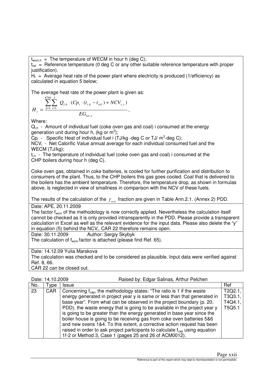$t_{\text{wcm h}}$  = The temperature of WECM in hour h (deg C);

 $t_{ref}$  = Reference temperature (0 deg C or any other suitable reference temperature with proper iustification).

 $H<sub>r</sub>$  = Average heat rate of the power plant where electricity is produced (1/efficiency) as calculated in equation 5 below;

The average heat rate of the power plant is given as:

$$
H_r = \frac{\sum_{h=1}^{8760} \sum_{i=1}^{I} Q_{i,h} \cdot (C p_i \cdot (t_{i,h} - t_{ref}) + N C V_{i,y})}{EG_{tot,y}},
$$

Where:

 $Q<sub>ih</sub>$  - Amount of individual fuel (coke oven gas and coal) i consumed at the energy generation unit during hour h, (kg or  $m^3$ );

 $\overline{C}p_i$  - Specific Heat of individual fuel i (TJ/kg -deg C or TJ/  $m^3$ -deg C);

NCV<sub>i</sub> - Net Calorific Value annual average for each individual consumed fuel and the WECM (TJ/kg);

 $t_{ih}$  - The temperature of individual fuel (coke oven gas and coal) i consumed at the CHP boilers during hour h (deg C).

Coke oven gas, obtained in coke batteries, is cooled for further purification and distribution to consumers of the plant. Thus, to the CHP boilers this gas goes cooled. Coal that is delivered to the boilers has the ambient temperature. Therefore, the temperature drop, as shown in formulas above, is neglected in view of smallness in comparison with the NCV of these fuels.

The results of the calculation of the  $f_{_{\rm wcm}}$  fraction are given in Table Ann.2.1. (Annex 2) PDD.

Date: APE, 20.11.2009

The factor  $f_{\text{wcm}}$  of the methodology is now correctly applied. Nevertheless the calculation itself cannot be checked as it is only provided intransparently in the PDD. Please provide a transparent calculation in Excel as well as the relevant evidence for the input data. Please also delete the "y" in equation (5) behind the NCV<sub>i</sub>. CAR 22 therefore remains open.

Date: 30.11.2009 Author: Sergiy Skybyk

The calculation of  $f_{\text{wcm}}$  factor is attached (please find Ref. 65).

Date: 14.12.09 Yulia Marskova

The calculation was checked and to be considered as plausible. Input data were verified against Ref. 8, 66.

CAR 22 can be closed out.

| Date: 14.10.2009 | Raised by: Edgar Salinas, Arthur Pelchen |
|------------------|------------------------------------------|
|------------------|------------------------------------------|

| No. | Type       | <i><b>Issue</b></i>                                                                      | Ref     |
|-----|------------|------------------------------------------------------------------------------------------|---------|
| 23  | <b>CAR</b> | Concerning $f_{\text{can}}$ , the methodology states: "The ratio is 1 if the waste       | T2Q2.1. |
|     |            | energy generated in project year y is same or less than that generated in                | T3Q3.1, |
|     |            | base year". From what can be observed in the project boundary (p. 20,                    | T4Q4.1, |
|     |            | PDD), the waste energy that is going to be available in the project year y               | T5Q5.1  |
|     |            | is going to be greater than the energy generated in base year since the                  |         |
|     |            | boiler house is going to be receiving gas from coke oven batteries 5&6                   |         |
|     |            | and new ovens 1&4. To this extent, a corrective action request has been                  |         |
|     |            | raised in order to ask project participants to calculate f <sub>cap</sub> using equation |         |
|     |            | 1f-2 or Method 3, Case 1 (pages 25 and 26 of ACM0012).                                   |         |